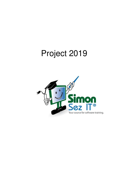# Project 2019

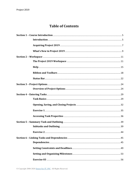# **Table of Contents**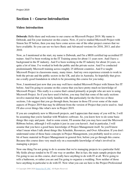# <span id="page-4-0"></span>**Section 1 – Course Introduction**

#### <span id="page-4-1"></span>**Video: Introduction**

**Deborah:** Hello there and welcome to our course on Microsoft Project 2019. My name is Deborah, and I'm your instructor on this course. Now, if you've studied Microsoft Project with Simon Sez IT before, then you may have come across one of the other project courses that we have available. So you can see we have Basic and Advanced versions for 2016, 2013, and also 2010.

Now, as I mentioned at the start, my name is Deborah, and I'm a MOS certified tap accredited IT trainer. And I've been working in the IT Training arena for about 11 years now. And I have a background in the IT industry. And I've been working in the IT industry for about 24 years, so quite a lot of time. I've worked in both the public and the private sector. And I've conducted predominantly Microsoft training across roughly 25 different countries. And I've taught Microsoft Project in classrooms many, many times. And my own experience extends to work in both the private and the public sectors in the UK, and also in Australia. So hopefully that gives me a really good foundation in which to be presenting this course for you today.

Now, I mentioned just now that you may well have studied Microsoft Project with Simon Sez IT before. And I'm going to assume on this course that you have pretty much no knowledge of Microsoft Project. This really is a course that's aimed primarily at people who are new to using Microsoft Project. So if you have used it before, you may find that some of the early sections involve material that you're fairly familiar with. But particularly for the first two or three sections, I do suggest that you go through them, because in those I'll cover some of the main aspects of Project 2019 that may be different from the version of Project that you're used to. And I'll also cover things like what's new in Project 2019.

If you are completely new to Microsoft projects, and I appreciate that many of you will be, I will be assuming that you're familiar with Windows software. So, you know how to do some basic things like copy and paste. And to some extent, I'll assume that you may have used the Microsoft Ribbons before, although I will explain it just in case you haven't. And in particular, I will assume that you have a good basic knowledge of Project Management itself. So you'll know what I mean when I talk about things like Schedule, Resources, and Over Allocation. If you don't understand some of those basic concepts in Project Management, you probably need to cover a bit of basic material in Project Management in general first, before you go through this course. Because this course does very much rely on a reasonable knowledge of what's involved in managing a project.

Now one thing I'm not going to do is assume that we're managing projects in a particular field. My fields always tended to be IT one way or another. But in fact, the main sample projects that I'm going to use on this course, don't really have anything to do with IT at all. We're going to refit a bathroom, or rather you are and I'm going to organize a wedding. Now neither of those have anything in particular to do with IT. Now what you can see here is the Project Professional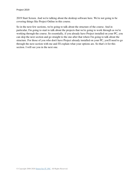2019 Start Screen. And we're talking about the desktop software here. We're not going to be covering things like Project Online in this course.

So in the next few sections, we're going to talk about the structure of the course. And in particular, I'm going to start to talk about the projects that we're going to work through as we're working through the course. So essentially, if you already have Project installed on your PC, you can skip the next section and go straight to the one after that where I'm going to talk about the structure. For those of you who don't have Project already installed on your PC, you'll need to go through the next section with me and I'll explain what your options are. So that's it for this section. I will see you in the next one.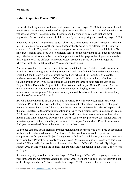#### <span id="page-6-0"></span>**Video: Acquiring Project 2019**

**Deborah:** Hello again, and welcome back to our course on Project 2019. In this section, I want to talk about the versions of Microsoft Project that are available. And for those of you who don't yet have Microsoft Project installed, I recommend the version or versions that are most appropriate for use on this course. So I'll talk briefly about acquiring and installing Project 2019.

Now, one thing you'll hear me say quite a bit on the course about Microsoft products, is that I'm looking at a page on microsoft.com here, that's probably going to be different by the time you come to look at it. They tend to change these pages on a really regular basis, which in itself is fine. But it means that I need you to basically search for the equivalent of this page if you want to get the latest information. Now, what's important about this page is that it gives us a nice big link to jump to all the different Microsoft Project products that are available through the Microsoft website. So let's click on, "See products and pricing".

And what you'll see first are two tabs at the top here Cloud Based Solutions, and On-Premise Solutions. And you might be thinking to yourself, well, what's the difference between the two? Well, the Cloud Based Solutions, which we see here, which, if I'm honest, is Microsoft's preferred solution, this relates to Office 365. Which is probably a term that you've heard of floating around even if you haven't used it. And there are three options here for Office 365; Project Online Essentials, Project Online Professional, and Project Online Premium. And each one of those has various advantages and disadvantages to buying it. Now, the Cloud Based Solutions are subscriptions. That means you pay a monthly subscription in order to essentially rent that software from Microsoft.

But what it also means is that if you do buy an Office 365 subscription, it means that your version of Project will always be kept up to date automatically, which is a really, really good feature. It means that you don't have to buy the next version of Project in order to keep up with the latest updates. So the subscription option is a really good option. Now, this course is Project 2019. And that comes under this second option On-Premise Solutions. On-Premise basically means a one-time standalone purchase. So you can see here, the prices are a lot higher. And we have two options that we could buy if we wanted to; Project Standard and Project Professional. And you can see the difference between the two of them there.

So Project Standard is On-premises Project Management, for those who don't need collaboration tools and other advanced features. And Project Professional as you would expect is a comprehensive On-premises Project Management solution. So which one you choose is entirely up to you. Now Project 2019 is only available as an On-premise solution. Essentially, this latest version 2019 is really for people who haven't subscribed to Office 365. So basically brings Project 2019 in line with all the updates that are constantly happening in the Office 365 versions of Project.

So essentially, if you've had in the past Project 2016 through Office 365, it's going to be very, very similar to the On-premise version of Project 2019. So there will be a lot of crossover, a lot of the things available in 2016 are available in Project 2019. There's really not too much of a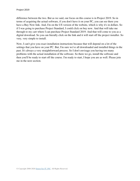difference between the two. But as we said, our focus on this course is in Project 2019. So in terms of acquiring the actual software, if you don't have it on your PC, you can see there you have a Buy Now link. And, I'm on the US version of the website, which is why it's in dollars. So if I was going to purchase Project Standard, I could click on buy now. And that will take me through to my cart where I can purchase Project Standard 2019. And that will come to you as a digital download. So you can literally click on the link and it will start off the project installer. So very, very simple to install.

Now, I can't give you exact installation instructions because that will depend on a lot of the settings that you have on your PC. But, I'm sure we've all downloaded and installed things in the past. It's always a very straightforward process. So I don't envisage you having too many problems with the actual installation of the software. So there we go, install the software and then you'll be ready to start off the course. I'm ready to start, I hope you are as well. Please join me in the next section.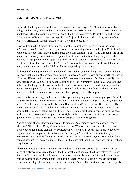#### <span id="page-8-0"></span>**Video: What's New in Project 2019**

**Deborah:** Hello again, and welcome back to our course on Project 2019. In this section, I'm going to take a very quick look at what's new in Project 2019. And one of the reasons that it is a quick look is that there isn't really very much of a difference between Project 2019 and Project 2016 in terms of functionality that's specific to Project. So I'm currently looking at one of the pages on office.com. And it's called; What's New in Project 2019.

Now, as I pointed out before, I normally say at this point that you need to check the latest information. Well, I don't expect they're going to put anything else new in Project 2019. So when you come to watch this video, I don't expect any other additions. But let's go through some of the main points anyway, because there are just a few of them. So the first thing it says here, the opening paragraph is if you're upgrading to Project Professional 2019 from 2016, you'll still have all of the features that you're used to, And you'll notice a few new ones as well. And this is a really interesting one actually; Linking Tasks using a drop down menu.

So instead of having to remember the idea of a task, when you're linking tasks together, what you can do is just click in the predecessors column, and from the drop down arrow, you'll get a list of all of the different tasks, so you can create links between them very easily. So it's a really nice new feature in 2019. You'll also see the addition of a Task Summary Name field. And as it says in here with a long list of tasks, it can be difficult to know what a task is indented under in the overall Project plan. So the Task Summary Name field is a read only field. And it shows the name of the tasks, summary tasks. So again, that's going to be really helpful.

Now I realize at this stage in the course, this is probably going to mean nothing to you. But as I said, there are only three or four new features in here. So I thought I might as well highlight them to you. Another new feature is the Timeline Bar Labels and Task Progress. So this is a really good one as well. So our Timeline Bars, which we're going to build up as we go through, can now be labeled. So, it makes them a little bit more meaningful, because you can have the name of the task and also the task progress shown right on the task themselves. So it makes it very quick to illustrate your plan, and the work in progress when sharing status.

And of course, there's always improvements made to Accessibility with each new release of Microsoft Office. So in 2019, it's now a lot easier for Windows Narrator and other assistive technology to read more elements of Project, which is always an excellent feature to have for anybody who has impairments in that area. And then you'll see at the bottom of that page, we have some basic tutorials for adding tasks in project and also a Project Quick Start guide. So as you can see, not too many changes in there, but the ones that they have made are very useful and very important.

The other thing that I think is always really helpful when you're going into a new version of a piece of software is to have a look on the Microsoft site at some of the blogs related to Project. And there's so many of them down here. But those can also be really helpful and provide you with extra information when it comes to putting together your Project. So I would definitely check out the blog sites within microsoft.com. And that's it really, short and sweet with regards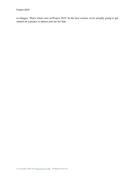to changes. That's what's new in Project 2019. In the next section, we're actually going to get started on a project so please join me for that.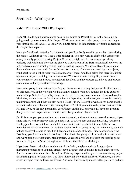## <span id="page-10-0"></span>**Section 2 – Workspace**

#### <span id="page-10-1"></span>**Video: The Project 2019 Workspace**

**Deborah:** Hello again and welcome back to our course on Project 2019. In this section, I'm going to take you on a tour of the Project Workspace. And we're also going to start creating a very simple project. And I'll use that very simple project to demonstrate key points concerning the Project Workspace.

Now, you've already seen this Start screen, and you'll probably see this quite a few times during the course. Although as you'll see a little bit later on, you may want to disable the Start screen once you really get used to using Project 2019. You might decide that you can get along perfectly well without it. Now let me give you a quick tour of the Start screen itself. Over on the left, we have an area which gives us links to existing projects. We have a Recent Section just there at the top and currently for me this section is empty. Once we start working on projects, you'll start to see a list of recent projects appear just there. And then below that there is a link to open other projects, which gives us access to a Windows browse dialog. So, you can browse your computer, you can browse any network locations you have access to, and you can browse cloud areas such as your OneDrive storage.

Now we're going to start with a New Project. So we won't be using that part of the Start screen on this occasion. In the top right, we have some standard Windows buttons, the little question mark is Help. Note the ScreenTip there, for Help F1 is the keyboard shortcut. Then we have the Minimize, and we have the Maximize or Restore depending on whether your screen is currently maximized or not. And then we also have a Close Button. Below that we have my name and the account under which I'm currently running Project 2019. If you're the only person that uses this PC, and if you're the only person that uses Project on this PC, and you only have one account that you ever run Project under, then this will always indicate that account.

But if for example, you sometimes use a work account, and sometimes a personal account, if you share this PC with somebody else, you may want to switch between accounts. And, you have a Facility just here to switch accounts. I'll demonstrate that few a little bit more fully later on. Now, let me talk about the rest of the Start screen. And I'm going to say this once more, you may not see exactly the same as me, it will depend on a number of things. But almost certainly the first thing you'll see here is a Blank Project thumbnail. I'm going to click on that in a little while and we're going to create a new blank project. So essentially blank project is the starting point for a new Project. Let's run through some of these others First of all though.

If you're on Projects that have an element of similarity, maybe you do building projects marketing projects, then you may already have a Project that you'd like to base a new one on. And the second thumbnail here, New from Existing Project enables you to use an existing project as a starting point for a new one. The third thumbnail, New from an Excel Workbook, lets you create a project from an Excel workbook. And what this basically means is that you have perhaps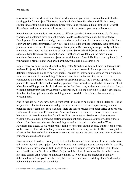a list of tasks on a worksheet in an Excel workbook, and you want to make a list of tasks the starting point for a project. The fourth thumbnail New from SharePoint task list is a pretty similar kind of thing, but in relation to SharePoint. So if you have a list of tasks in Microsoft SharePoint, and you want to use those as the basis for a project, you can use that option.

Now the other thumbnails all correspond to different standard Project templates. So if I were working on a software development project, I could use the first template there; Software Development Plan. And it would get me started on a typical set of tasks as a starting point for a software development project. Now, you'll see a whole list of these templates, these templates you may think of in the old terminology as boilerplates. But nowadays, we generally call them templates. And there are lots and lots of them there. So Residential Construction is there For example, New Business Plan is another one. But there are available online many, many templates that you can base new projects on. And there is a Search Facility at the top here. So if you wanted a project plan for a particular thing, you could do a search here.

In fact, there are some standard searches, Suggested Searches as they call them underneath. So we have Projects, Schedules, Themes, Analysis, so on and so forth. Let's suppose and this is definitely potentially going to be very useful. I wanted to look for a project plan for a wedding, so let me do a search on a wedding. This, of course, is an online facility, so I need to be connected to the internet. And let's click the magnifying glass. And it comes up with a wedding planner. If I were to click on that wedding planner, then I would see a little bit more detail about what this wedding planner is. So it shows me the first few tasks, it gives me a description. It says wedding planner provided by Microsoft Corporation, it tells me how big it is, and it gives me a little bit of a description about the wedding planner. And then I could use that to create a wedding plan.

And in fact, it's not very far removed from what I'm going to be doing a little bit later on. But let me just close that for the moment and go back to this screen. Because, apart from given me potential project templates for a wedding, there are search results from other office applications. Let's look at PowerPoint For instance. There are three items found in relation to PowerPoints. Now, each of these is a template for a PowerPoint presentation. So there's a picture frame wedding photo album, a wedding seating arrangement plan, and also a simple wedding photo album. Now there are other suitable wedding related artifacts that can be used in Word, Publisher, and Excel. So we're not really going to cover that on this course. But they can be very useful links to other artifacts that you can use with the other components of office. Having taken a look at that, let's go back to the start screen and we just use the back button up here. And we're going to create a blank project.

Now as soon as I do this, I want you to look at the bottom left hand corner of the screen because a little message will pop up just for a few seconds that you'll get used to seeing and after a while, you'll probably just ignore it. But I need to explain it to you briefly now and then in a little bit more detail later on. So click on Blank Project and then look down immediately in the bottom left hand corner. And you'll see a message that says, "New tasks are created in Manually Scheduled mode". As you'll see later on, there are two modes of scheduling. There's Manually Scheduled and there's Auto Scheduled.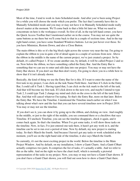Most of the time, I tend to work in Auto Scheduled mode. And after you've been using Project for a while you will choose the mode which you prefer. The fact that I currently have this in Manually Scheduled mode and you may or may not have it in Manually Scheduled mode really doesn't matter at the moment. We'll come back to that a little bit later on. What we need to concentrate on here is the workspace overall. So first of all, in the top left hand corner, you have the Quick Access Toolbar that I mentioned earlier on in the course. You may not see quite the same buttons as me there but we'll come back to that in a couple of sections time. And in the top right hand corner, you have some Standard Windows buttons. Let me just hover over those. So you have Minimize, Restore Down, and also a Close Button.

The main ribbon is this so it's the big block right across the screen very near the top. I'm going to explain the ribbon to you in quite a bit of detail again in a couple of sections from now. Above the ribbon in the middle is the name of the current project, we've just created a project. So by default, it's called Project 1. If we create another one, by default, it will be called Project 2 and so on. Now below the ribbon, we have something called the Entry Bar. And the Entry Bar is something that we can use to enter and edit data into our project. You may or may not have the Entry Bar shown. If you don't see that then don't worry, I'm going to show you in a while how to show that if it isn't already shown.

Basically, the kind of thing we use the Entry Bar for is this. If I want to enter the name of the first task in my project, I can click on the task Name Field there. And then if I click in the Entry Bar, I could call it Task 1. Having typed that, I can click on the tick mark to the left of the task. And that will become my first task. If I click down to the next row, and maybe I intend to type Task 2, I could type Task 2 change my mind and click on the cross to the left of the task Entry Bar. And that will cancel whatever I'm typing. So that's the Entry Bar, more on that later. Below the Entry Bar. We have the Timeline. I mentioned the Timeline much earlier on when I was talking about what's new and the fact that you can have several timelines now in Project 2019. You may or may not see the timeline.

 If you don't see it, you can show it by going up to the ribbon, and clicking on view. And roughly in the middle, or just to the right of the middle, you see command there or a checkbox that says Timeline. If I uncheck Timeline, you can see the timeline disappears, check it again, and it comes back again. So that's the timeline. When I've got some tasks, it will show those tasks on the timeline. Now, in fact, I've just entered one task there, it hasn't got any work in it, and the timeline can be set to run over a period of time. Now by default, my new project is starting today. So that's March the fourth. And because I haven't got any tasks or work scheduled at the moment, you'll see on the right hand side of the timeline, it also says March the fourth.

So currently, it's not the most exciting project in the world. Below the timeline is the Main Project Window. And by default, on my installation, I show a Gantt Charts. And a Gantt C0hart actually comprises two parts. It comprises the list of tasks, it's actually a table. And we refer to this as the table. And on the right we have the chart itself, which is normally a pictorial representation of the tasks in my project. Now, you may or may not have a Gantt Chart shown. If you don't have a Gantt Chart shown, you will find out soon how to show a Gantt Chart there.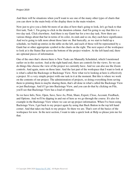And there will be situations when you'll want to see one of the many other types of charts that you can show in the main body of the display there in the main window.

Now just to give you a little bit more of an idea of how that's going to look, let's go back to that first task, Task 1. I'm going to click in the duration column. And I'm going to say that this is a two day task. Click elsewhere. And there is my Gantt bar for a two day task. Now there are various things about that bar in terms of its color, its ends and so on, they each have significance. And we're going to talk more about those later on. But basically, as we start to build up a schedule, we build up entries in the table on the left, and each of those will be represented by a Gantt bar or other appropriate symbol in the charts on the right. The next aspect of the workspace to look at is the Status Bar across the bottom of the project window. At the left hand end, there are optional pieces of information.

One of the ones that's shown there is New Tasks are Manually Scheduled, which I mentioned earlier on in this section. And at the right hand end, there are controls for the views. So we can do things like choose the view of the project we currently have. And we can also use the Zoom controls. And again, more on those later. And the last part of the workspace that I want to look at is what's called the Backstage or Backstage View. Now what we're looking at here is effectively a project. It's a very simple project with one task in it at the moment. But this is where we work on the contents of our project. The administration of projects, so doing everything from saving them to printing them to maybe sharing them, that's all done in what's called the Backstage View or just Backstage. And if I go into Backstage View, and you can do that by clicking on File, you'll see that Backstage View has a load of options.

So we have Info, New, Open, Save, Save As, Print, Share, Export, Close, Account, Feedback, and Options. And we'll be dipping in and out of here as we go through the course. It's also for example in the Backstage View where we can set up project information. When I've been using Backstage View, I get back to my project again by using that Back Button in the top left hand corner. And that takes me back to my project. So there we are. That's sort of the basics of the workspace for now. In the next section, I want to take a quick look at Help so please join me for that.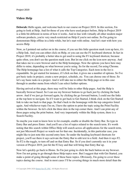#### <span id="page-14-0"></span>**Video: Help**

**Deborah:** Hello again, and welcome back to our course on Project 2019. In this section, I'm going to look at Help. And for those of you who have used project before, Help in Project 2019 is a little bit different in terms of how it works. And in line with virtually all other modern major software products, you're very much restricted on Help if you're not online. So I'm going to demonstrate Help offline in a little while, but let's start with online. And let's start with how you access Help.

Now, as I pointed out earlier on in the course, if you see this little question mark icon up here, it's a Help link. And you can either click on Help, or you can use the F1 keyboard shortcut. In fact in Project 2019, it's probably a better idea to get used to using the F1 keyboard shortcut, because quite often, you don't see the question mark icon. But let me click on the icon now anyway. And that takes me to a new browser and to the Help homepage. Now the options you have here may differ to mine, depending on what browser you're using. So for the record, I'm using Chrome. The Help homepage has a list of what it calls the Top Categories. Each item in the list is expandable. So get started for instance, if I click on that, it gives me a number of options. So I've got basic tasks in project, create a new project, schedule, etc. You can choose one of those. So let's say basic tasks in a project. And it will take me to either the Help page or in this case through to another menu from which I can select further options.

Having arrived at this page, there may well be links to other Help pages. And the Help is basically browser based. So I can use my browser buttons to go back just by clicking the back arrow. And if we just go forward again, by clicking the go forward button, I could use the links at the top here to navigate. So if I want to get back to Get Started, I think click on the Get Started link to take me back to that page. So that's back to the homepage with the top categories listed again. And whichever topic I'm on, I have the option to print the topic using the Print Facility within the browser. So let's click the three dots in the top corner there. And I can print any of these pages using the print button. And very importantly within the Help system, there is a Search Facility.

So maybe you want to know how to for example, enable or disable the Entry Bar. So type in Entry Bar and press Enter. And you'll see a list of topics related to the search term. It's worth noting that this search within Office Help will search across all applications for the search term, not just Microsoft Project so watch out for that one. Incidentally, in this particular case, you might like to just note this second entry here. So under the heading keyboard shortcuts for project, you'll see there it says activate the Entry Bar to edit text in a field. And then it says F2. So F2 is the toggle, to turn off and on that Entry Bar. So if you don't currently see it in your version of Project 2019, just hit the F2 key and that will bring that Entry Bar up.

Now let's quickly go back to Home. So I'm just going to click the back button on my browser. Now I'm not going to go through these Help topics now. But I suggest that with Get Started, you make a point of going through some of these basic topics. Obviously, I'm going to cover these topics during the course. And in most cases I'll be covering things in much more detail than the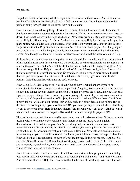Help does. But it's always a good idea to get a different view on these topics. And of course, to get the official Microsoft view. So, do try to find some time to go through these Help topics perhaps going through them as we cover them on the course.

Now when we finished using Help, all we need to do is close the browser tab. So I could click the little cross in the top corner of the tab. Alternatively, if I just want to close the whole browser down, I can use the cross in the right hand corner. Now there are some situations where you can access Help in different ways. So far, we've looked at accessing Help by clicking on the question mark button, which takes you to the external Microsoft Help website. But, you can also access Help from within the Project window also. So let's create a new blank project. And I'm going to press the F1 key. And what happens here is that a pane opens up on the right hand side of the screen. And the options look fairly similar to what we saw in the web browser version of Help.

So from here, we can browse the categories. So Get Started, for example, and I have access to all of my health information this way as well. We could also use the search facility at the top. So if I click in the search bar, and let's search for Entry Bar again, and click the magnifying glass. And this time, we get links to Help that are all related to Microsoft Project only, it doesn't search for the term across all Microsoft applications. So essentially, this is a much more targeted search than the previous option. And of course, if I click these three dots, I get some other further options, including one that will jump me back to Home.

Now a couple of other things to tell you about. One of them is what happens if you're not connected to the internet. So let me just show you that. I'm going to disconnect from the internet so now I no longer have an internet connection. I'm going to press the F1 key, and you'll see that I get a message that says; "sorry, something went wrong, please check your network connection and try again". In previous versions of Project, there was something different there. And I think it provided you with a little bit further Help with regards to finding items on the ribbon. But at the time of recording this, if you're offline in 2019, you don't get any Help at all. So the last thing I want to show you about Help is the new feature, "tell me what you want to do". And this was a feature that was introduced in Project 2016. And it continues through to project 2019.

This, as I understand will improve and become more comprehensive over time. We're very much dealing with a reasonably early version of this feature so let me just give you a quick demonstration of it. So let's suppose there's something that you want to do, and you don't remember where the command is that does it. So perhaps you're not quite sure how you should go about doing it. Let's suppose that you want to set a Baseline. Now setting a baseline, it may mean nothing to you at all at this moment. But let me just click in that box, and type set baseline. Now as I do that, it recognizes all or parts of what I'm typing. So it gives me some options; Set Baseline, Show Baseline, Set Reminder, Show Slippage, so on and so forth. As I do that, I may say to myself, ah, set baseline, that's what I want to do. And then there's a little pop up menu, which says set baseline or clear baseline.

Now if that's exactly what I want to do, if I click on that option, it brings up the relevant dialog box. And if I know how to use that dialog, I can actually go ahead and do it and set my baseline. And of course, there is a Help link there as well at the bottom of that dialog box. Note that with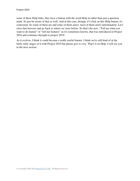some of these Help links, they have a button with the word Help in rather than just a question mark. So just be aware of that as well. And in this case, though, if I click on this Help button, it's contextual. So some of them are and some of them aren't, most of them aren't unfortunately. Let's close that browser and go back to where we were before. So that's the new, "Tell me what you want to do feature" or "tell me features" as it's sometimes known, that was introduced in Project 2016 and continues through to project 2019.

As it evolves, I think it could become a really useful feature. I think we're still kind of at the fairly early stages of it with Project 2019 but please give it a try. That's it on Help. I will see you in the next section.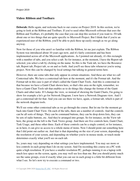#### <span id="page-17-0"></span>**Video: Ribbon and Toolbars**

**Deborah:** Hello again, and welcome back to our course on Project 2019. In this section, we're going to look at the Ribbon and Toolbars. If you've used other Microsoft software that uses the Ribbon and Toolbars, it's probably the case that you can skip this section if you want to. I'll talk about one or two things that are quite specific to Microsoft Project. But I think that if you're an experienced user of the Ribbon, you'll be able to pick these up easily enough as we go along anyway.

Now for those of you who aren't so familiar with the Ribbon, let me just explain. The Ribbon System was introduced about 10 years ago now, and it's fairly consistent and has been implemented across all of the Microsoft applications. As I pointed out already, it's this rectangle with a number of tabs, and you select a tab. So for instance, at the moment, I have the Report tab selected, you select a tab by clicking on the name. So this is the Task tab, we have the Resource tab, Report tab, Project tab, so on and so forth. And you'll see these tabs whenever you're using project. Now this can be changed by local settings but talking in general terms here.

However, there are some tabs that only appear in certain situations. And these are what we call Contextual tabs. We have a contextual tab here at the moment, and it's the Format tab. And the Format tab in this case is part of what's called the Gantt Chart Tools. And this is contextual in that because we have a Gantt Chart shown here, so that's this area on the right, remember, we have a Gantt Chart Tools tab that enables us to do things like change the format of the Gantt Charts and other tasks. If I change the view, so instead of showing the Gantt Charts, I'm going to show for example a let's go for Network Diagram. I now have a Network Diagram view. And I get a contextual tab for that. And you can see there we have, again, a format tab, which is part of the network diagram tools.

We'll see some other contextual tabs as we go through the course. But let me for the moment go back into Gantt Chart View. On each of the tabs, there are a number of controls. And the controls can be all sorts of things. They can be command buttons, they can be drop down lists, they can be sets of radio buttons, etc. And they're arranged into groups. So for instance, on the View tab here, the group on the left is the Task Views group. And there are five controls here, Gantt Chart, Task Usage, and these other three. Each of these controls can be a single control, or for instance, as in here, it can give us access to a whole menu of items. Now I should point out something here that I did point out earlier on. And that is that depending on the size of your screen, depending on the resolution of your screen, and depending on whether you're in mouse mode, or touch mode determines exactly what you'll see on each tab.

So, yours may vary depending on what settings you have implemented. You may see more or less controls in each group than I do on my screen. And I'm recording this course on a PC with quite a high resolution. If you have a smaller resolution PC, perhaps running it on a laptop with much less space on the screen, again, you may well see less than me. But you should pretty much see the same groups, even if exactly what you can see in each group is a little bit different from what I see. So let's now try to execute a command or two.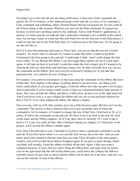I'm going to go to the task tab and one thing you'll notice is that some of the commands are grayed out. So for instance, in the clipboard group on the task tab, you have a Cut command, a Copy command, and something called a Format Painter that are not grayed out. So you could do all of those things at this moment. Whereas you can't use the Paste command. It's grayed out because we don't have anything copied to the clipboard. And as with Windows applications, in general, of course graying out indicates that a particular command is not available at the current time. Let me type a name of a task into this task Name box for the first task in this little project. I could use the tick next to the Task Entry Bar, or I could just press the Enter key. So I'm going to use the tick like so.

Now if I select that particular task name as I have here, you can see that the box has a border around it. So, I know that it's selected. If I wanted to make that bold, I could use the Bold Command in the Font group in the task tab. I could make it Italic. And I could change the font from Calibri. To say, Bedoni MT Black. I can also toggle these options off. So if I click italic, again, it will take me back to just bold. I could also make this font a larger size if I wanted to by clicking the font size drop down and selecting a larger size. So that's basically how you can use the commands on the ribbon. Now we're not just restricted to styling text. If you take that particular task, you could do all sorts of things to it.

For instance, you could record progress on that task using the commands on the ribbon. But more of that later. Now slightly at the danger of getting ahead of ourselves here, one thing you'll notice, particularly as your project gets bigger, is that the ribbon does take up quite a lot of space. And in particular, if you're using a small screen, it takes up a disproportionately large amount of space. Now you can hide the ribbon, and there's a little arrow up here over on the right hand end. And if you hover over it, it says collapse the ribbon and you can see the keyboard shortcut for that is Ctrl F1. If we click collapse the ribbon, the ribbon is hidden.

Now you may well say well, that certainly gives me a little bit more space. But how do I use the commands? The answer to that is that provided you've got reasonable idea of where the command is. So for instance, if I wanted to change the size of that Task 1 font back to 10, or 11 points, if I know the commands on the task tab, all I have to do is go back to the task tab, click on the name and the ribbon reappears. So if I say okay, then it's currently 18, I want to put it back to 11, I can very easily do that. Once I finished making my changes, if I click back on the project, you'll see that the ribbon is hidden again.

Now when I describe that to you, I said that if you know where a particular command is on the task tab. If you don't know where it is, you can still click on any one of the tabs. And you can pretty much click around to find the tasks that you want. Click off again on the main project window, and you'll see that those ribbons disappear again. If you get to a point though, which you think well actually, I need the ribbon available all the time Again, I don't just want it collapsed anymore, if I just click on a tab to bring the ribbon back, and right click my mouse over on the right hand side but still in that ribbon area, you'll notice the collapse the ribbon is currently ticked. So just click to untick and the ribbon will be there all of the time. And now you can see the contents of each of the ribbons.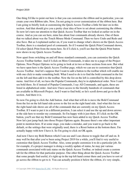One thing I'd like to point out here is that you can customize the ribbon and in particular, you can create your own Ribbon tabs. Now, I'm not going to cover customization of the ribbon here. But I am going to briefly look at customizing the Quick Access Toolbar a little bit later on in this section. And that should give you a pretty clear idea of how to set about customizing the ribbon. So now let's turn our attention to that Quick Access Toolbar that we looked at earlier on in the course. And as you can see here, mine has about four commands already shown. One of them that we talked about was the Touch Mouse Mode Command. Then we have Undo and Redo and also Save. But as I explained earlier on, if you want to change what's shown on the Quick Access Toolbar, there is a standard pool of commands. So if I wanted the Quick Print Command shown, I'd select Quick Print from the menu here. So if I click it, you'll see that the Quick Print button now shows in my Quick Access Toolbar.

Now apart from switching on and off those standard commands, you can customize the Quick Access Toolbar further. And if I click on More Commands, it takes me to a page of the Project Options. Now Project Options we're going to look at in two or three sections from now. But what we have open here is the Quick Access Toolbar page, which we can use to customize that Quick Access Toolbar. And let's suppose that I want to add a button to the toolbar which will enable me with one click to make something bold. What I need to do is to find the bold command in the list on the left and then add it to the toolbar. Now the list on the left is controlled by this drop down menu. And first of all, we have the Popular Commands, they're in alphabetical order. Now I can't see bold there. So if instead of Popular Commands, I say All Commands, and again, these are listed in alphabetical order. And now I have access to the literally hundreds of commands that are available in Microsoft Project. And I want to find bold, so let's scroll down and go to the B section. And there it is.

So now I'm going to click the Add button. And what that will do is move the Bold Command from the list on the left hand side across to the list on the right hand side. And what this list on the right hand side shows are all of the commands that are currently on my Quick Access Toolbar. If I want to put it in a different position, I can select it and use the up and down arrows at the side here to reorder my commands. So I'm happy with it just there. If I click on the OK button, you'll see that my Bold Command has now been added to my Quick Access Toolbar. Now let's just jump back into those Project Options again. Because there's one other important point to mention here. If at some stage, you make a mistake, and you want to go back to the default, or the settings that were originally used, there is a Reset button at the bottom there. I'm actually happy with how I have it. So I'm going to click on OK again.

And now I have my Bold Button which I can use and I can choose to toggle that off and on. It may well be that after you've been using Project 2019 for a while, you'll find it very useful to customize that Quick Access Toolbar. Also, some people customize it to do a particular job. So for example, if a project manager is doing a weekly update of status, he may put various commands associated with task status on the Quick Access Toolbar, or indeed create a custom tab for the ribbon for that particular purpose. One other thing about the Quick Access Toolbar that some people find useful, it's right up in the top left hand corner there and you have to sort of go across the ribbon to get to it. You can actually position it below the ribbon, it's very simple,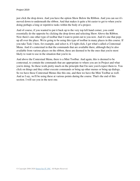just click the drop down. And you have the option Show Below the Ribbon. And you can see it's moved down to underneath the ribbon. And that makes it quite a bit easier to get to when you're doing perhaps a long or repetitive tasks within the body of a project.

And of course, if you wanted to put it back up to the very top left hand corner, you could essentially do the opposite by clicking the drop down and selecting Show Above the Ribbon. Now there's one other type of toolbar that I want to point out to you now. And it's one that pops up all over the place. We're going to be using this type of toolbar in many places in this course. If you take Task 1 here, for example, and select it, if I right click, I get what's called a Contextual Menu. And it's contextual in that the commands that are available there, although they're also available from various places on the ribbon, these are deemed to be the ones that you're most likely to want to use in the situation that you're in.

And above the Contextual Menu, there is a Mini Toolbar. And again, this is deemed to be contextual, to contain the commands that are appropriate to where you are in Project and what you're doing. So these work pretty much on the principle that I'm sure you'd expect them to. You click on things and they either execute commands or bring up other menus or bring up dialogs. So we have these Contextual Menus like this one, and then we have the Mini Toolbar as well. And as I say, we'll be using these at various points during the course. That's the end of this section. I will see you in the next one.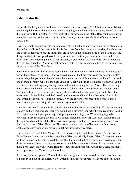#### <span id="page-21-0"></span>**Video: Status Bar**

**Deborah:** Hello again, and welcome back to our course on Project 2019. In this section, I'd like to take a quick look at the Status Bar. Now I'm going to deal with it in two parts, the left part and the right parts. But importantly, if you right click anywhere on the Status Bar, you'll see a list of potential contents. And whatever is ticked is currently shown, note the head of their customized Status Bar.

Now, you might be surprised to see so many texts, but actually not very much information on the Status Bar at all. And the reason for this is that apart from the bottom two entries, few shortcuts and zoom slider, which are the things that are shown at the right hand end of the Status Bar, the things on the left correspond to optional pieces of information you can show, but which very often don't show anything at all. So for example, if you look at the item fourth down in the list there, Filter, it's ticked. And what that means is that if a filter is being applied to the current view, show the name of the filter there.

Now in this case, no filter is being applied, and therefore you don't see anything. So with quite a few of these items, even though they're ticked, most of the time, you won't see anything unless you're using that particular feature. Now there are a couple of things shown at the left hand end, one of them is ready, which is the Cell Mode. If I click Cell Mode, so that it's not shown, you'll see the effect it no longer says ready, because I'm not showing the Cell Mode. The other thing that's shown is whether new tasks are Manually Scheduled or Auto Scheduled. If I click New Tasks, it will no longer show that currently they're Manually Scheduled by default. Now the other items, although they're ticked there's nothing to see. One of them that isn't ticked is this one, which is the Macro Recording Indicator. We're currently not recording a macro, and a macro is a sequence of steps that we can replay automatically.

If I check that, you'll see the little icon that indicates that we're not recording. If I start recording a macro and left this checked, then you would see a different icon whilst we're recording. And in fact, that icon would give your way of stopping the recording also. We're not going to be covering macro recording anytime soon. So let's check that back off. Let's now concentrate on the right hand ended the Status Bar. Now we're going to look at the bottom two options there. And the first one is View Shortcuts. This corresponds to this set of buttons that I can use to enable different views of my project. So let me just click away there.

I currently have Gantt Chart View. If I go to this one, that's Task Usage View. The next one is Team Planner View, we have Resource Sheet View, and finally Report View. I'll be covering all of these later on in the course. And the fact that the second to bottom option is ticked means that those buttons are there to enable me to easily switch between those views. As an alternative to those I can select the View I want from the View tab on the ribbon. And in fact, there are many more options on the View tab on the ribbon.

At the very bottom option is Zoom Slider. And this gives me access to the control that I can use to zoom in and out of the current view, which is this slider over here. So let me click out again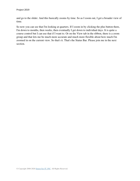and go to the slider. And this basically zooms by time. So as I zoom out, I get a broader view of time.

So now you can see that I'm looking at quarters. If I zoom in by clicking the plus button there, I'm down to months, then weeks, then eventually I get down to individual days. It is quite a course control but I can use that if I want to. Or on the View tab in the ribbon, there is a zoom group and that lets me be much more accurate and much more flexible about how much I'm zoomed in on the current view. So that's it. That's the Status Bar. Please join me in the next section.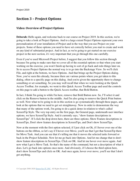## <span id="page-23-0"></span>**Section 3 – Project Options**

#### <span id="page-23-1"></span>**Video: Overview of Project Options**

**Deborah:** Hello again, and welcome back to our course on Project 2019. In this section, we're going to take a look at Project Options. And to a large extent Project Options represent your own personalization of your installation of Project and in the way that you use Project on your projects. Some of these options you need to have set correctly before you start to create and work on any kind of substantial project. And in fact, as we're going to get started on our exercise project in the next section, it's very important that you go through this one carefully.

Even if you've used Microsoft Project before, I suggest that you follow this section through because I'm going to make sure that we cover all of the essential options so that when you start working on the exercise, you won't finish up having to sort of go back and redo things later on. So to access Project Options the normal way is to go into the Backstage View. So we'll click File, and right at the bottom, we have Options. And that brings up the Project Options dialog. Now, you've seen this already, because there are various points where you get taken to this dialog, often to a specific page on this dialog. And you're given the opportunity there to change something or set something. So you may well recall that when we were looking at the Quick Access Toolbar, for example, we went to this Quick Access Toolbar page and used the controls on this page to add a button to the Quick Access toolbar, that Bold Button.

In fact, I think I'm going to while I'm here, remove that Bold Button now. So, I'll select it and click on the Remove button in the middle. And I'm also going to remove the Quick Print button as well. Now what we're going to do in this section is go systematically through these pages, and look at the options that we need to get set straightaway. Now in order to demonstrate the way that many of the options work, I'm going to do a quick demo in relation to what's called ScreenTip Style. The very top entry on the first page, the General page, underneath user interface options, we have ScreenTip Style. And it currently says, "show feature descriptions in ScreenTips". If I click the drop down here, there are three options; Show Feature descriptions in ScreenTips, Don't show feature descriptions in ScreenTips, and Don't show ScreenTips.

Now at the moment with the first option selected, if I just click on Ok, if I hover over one of the buttons on the ribbon, so let's say if I hover over Move, you'll see that I get that ScreenTip there for Move Task. And you can see that it's telling me that it moves the selected tasks forward or back in the Project Schedule. Now let me go back into Options. And let me change that to don't show feature descriptions in ScreenTips. Click on OK. And let me hover over move again. And now what I get is Move Task. So that's the name of the command, but not a description of what it does. Let's go back into options once more. And obviously, if I choose the third option here, don't show ScreenTips and click on OK. And once again, hover over move, you'll see that I don't get anything.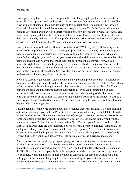Now I personally like to have the description there. So I'm going to put that back to what it was originally from options. And we'll just set that back to show feature descriptions in ScreenTips. Now let's look at some of the other key ones on this general page. The default view for me is Gantt with Timeline. I pointed that out to you a couple of times. That's the default view when I open up Project in particular, when I start working on a new project, that's what I see. And I can also choose here my default Date Format, which is the short form of the day of the week. And then the month, day and year. And if you prefer there are various other date formats that you can choose from that drop down list. My user name is also here with my initials.

Now you may think well, what difference does that make? Well, if you're collaborating with other people on projects, and if you're sharing projects and so on, you may do many things For example, comments on projects. You may make certain other changes to projects which are identified as being by you. And having your username and initial set correctly here enables other people to track that it was you that made that change or made that comment. Now, if you remember right back to near the beginning of the course, I talked about the fact that one of the new features in Project 2019 was the availability of some Alternative Office Themes. And down here is where you can choose them. So if we click the drop down in Office Theme, you can see we have colorful, dark gray, black, and white.

Now, I've currently got colorful selected, which is my personal preference. But if I selected for example, say dark grey, and clicked on Ok, you can immediately see the effect there. And I think if I was to select this one, it might make it a bit harder for you to see these videos. So, I'm just going to go back and I'm going to change that back to colorful. And something else that I mentioned earlier on in the course is that you can suppress the showing of the Start screen just with that checkbox at the bottom. If I uncheck that, click on OK to save the change, next time I start project, I won't see the Start screen. Again, that's something for you to try out, see if you're happier with that arrangement.

Just incidentally, while we're talking about these changes that we're making, it's worth pointing out that most changes you make in Project Options are activated when you click Ok to close that Project Options dialog. There are a small number of changes where you do need to restart Project for them to take effect. But when it is necessary to restart Project, it does actually tell you that you need to restart Project for the change to take effect. The next page I want to look at is the Display Page. And there are two important options here that I want to highlight. First of all, for each project that you work on, you can set the Currency Options. At the moment, we only have Project 1 here. And the drop down lets me choose from any available projects. So there's only Project 1 currently. And I can set a symbol, the decimal digits, the currency, and so on.

And the second option on this page, again, going back to something that I mentioned earlier on, if I don't see the Entry Bar, it's probably because this option down here for Entry Bar is unchecked. So make sure that's checked. And you'll see the Entry Bar between the Ribbon and the Timeline. Now the next page is the Schedule page. And there are a couple of very important settings here, which I'm afraid I'm going to have to ask you to set based on trusting what I'm telling you at the moment. I'm going to explain these settings to you a little bit later on in the course. But at the outset, I'd like you to have them set in a particular way. Now there are some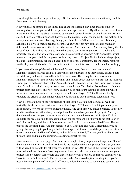very straightforward settings on this page. So for instance, the week starts on a Sunday, and the fiscal year starts in January.

Now you may be tempted to do things like change the default start time and end time for working days, where you work hours per day, hours per week, etc. By all means set those if you want to. I will be talking about those and calendars in general in a bit of detail later on. At this stage, it's not really that important that you get them quite right at the moment. Two settings I do want you to set in a particular way, though, are these first of all, new task created Manually Scheduled. Now I've mentioned that before. I've currently got new tasks created Manually Scheduled, I want you to set that to the other option, Auto Scheduled. And it's very likely that for most of you, this will be the way to leave this setting set in the longer term. And what this basically means is that when you create a task in a project, it becomes Auto Scheduled, which means that as you schedule the project or in many cases as Project 2019 schedules the project, this one is automatically scheduled according to all of the constraints, dependencies, resource availability, and all the other factors that come in to force this task to be scheduled accordingly.

If you leave this setup Manually Scheduled for new tasks, then each task that's created is Manually Scheduled. And each task that you create either has to be individually changed auto schedule, or you have to manually schedule each tasks. There may be situations in which Manually Scheduled tasks is what you want, and I'll talk about that later on. But for the moment, I want you to make sure that's set at Auto Scheduled. The other setting that I want you to make sure it's set in a particular way is down here, where it says Calculation. So we have, "calculate project after each edit", on or off. Now I'd like you to make sure that this is set to on, which means that each time we make a change to the schedule, Project 2019 will automatically calculate the effects of that change without you having to take a separate calculation stop.

Now, I'll explain more of the significance of that setting later on in the course as well. But basically, for the moment, just bear in mind that Project 2019 has to do a lot, particularly in a large project, to work out how to schedule things. And each time you make a change, you really need to see the effects that changes had potentially on a whole parts of the project. And if you don't have that set on, you have to separately and as a manual exercise, tell Project 2019 to calculate the project or i.e. to reschedule it. So for the moment, I'd like you to set that to on as well. And as I say, with both of those settings, we'll look at those in more detail later. The next page is the Proofing page. And that relates to Spell Checking and Auto Correction as you're typing. I'm not going to go through that at this stage. But if you've used the proofing facilities in other components of Microsoft Office, such as Microsoft Word, I'm sure you'll be able to go through there and make the appropriate settings correct for you.

Now we come to the Save page. And there are a couple of very important settings here. One of them is the Default File Location. And this is the location where any project files that you save will be saved by default. It's set when you install Project 2019 to one of the folders within your personal windows directory. You may want to leave it set there or you may want to save your project files by default somewhere else that is entirely your decision. So mine is currently set to "save in the default location". The next option is the Auto saved option. And again, if you've used other components of Microsoft Office, you might be tempted to switch auto save on and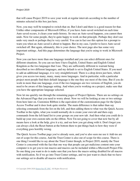that will cause Project 2019 to save your work at regular intervals according to the number of minutes selected in this box just here.

Now, you may well be tempted to switch that on. But I don't and there is a good reason for that. Unlike other components of Microsoft Office, if you have Auto saved switched on each time Auto saved occurs, it clears your undo history. So once an Auto saved happens, you cannot then undo. Now for some people, they're quite happy to work on that principle. Perhaps they don't use undo very much or perhaps they're very careful. You can in fact use this option for a prompt to warn you when an Auto saved is about to happen. But in my case, I prefer to leave Auto saved switched off. But again, ultimately, this is your choice. The next page also has some very important settings. And this page determines the language that you're using to work in Microsoft Project.

Now you can have more than one language installed and you can select different ones for different situations. So you can see here I have English, United States and English United Kingdom as the two languages that I use. They are sufficiently different to warrant being described as two different languages, and my default is set to English United States. If you need to add an additional language, it is very straightforward. There is a drop down just here, which gives you access too many, many, many more languages. And in particular, with a particular project most people find their default language is the one they use most of the time. But if you do work in more than one language, even if the two languages are two versions of English, you do need to be aware of this language setting. And when you're working on a project, make sure that you have the appropriate language selected.

Now let me quickly run through the remaining pages of Project Options. There are no settings on the Advanced Page that you need to worry about. Now we will be looking at one or two settings from here later on. Customize Ribbon is the equivalent of the customization page for the Quick Access Toolbar and it does look quite similar. The main difference is that rather than say selecting commands from the list on the left, and then adding them to what was the Quick Access Toolbar in the rights, what you would normally do is create your own tab and then copy commands from the left hand list to your groups on your new tab. And then what you could do is build up your own custom tabs on the ribbon. Now I'm not going to cover that now but by all means have a look at the help, give it a try, and see how you get along with it. Don't forget you can always click the Reset button at the bottom there to put things back to how they were if everything goes horribly wrong.

The Quick Access Toolbar page you've already seen, and you've also seen me use it Add-ins are out of scope for this course, And the Trust Center is also out of scope for this course. There is one thing I would like to say about the Trust Center though, in Project 2019, mainly the Trust Center is concerned with the fact that one way that people can get malicious content onto your computer is to get you to run macros and macros can be included within a Microsoft Project File. So one thing you want to do is make sure that you have the macro setting disabled for all macros with notification. So if we go into Trust Center settings, and we just want to check that we have our settings set to disable all macros with notification.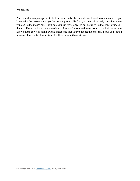And then if you open a project file from somebody else, and it says I want to run a macro, if you know who the person is that you've got the project file from, and you absolutely trust the source, you can let the macro run. But if not, you can say Nope, I'm not going to let that macro run. So that's it. That's the basics, the overview of Project Options and we're going to be looking at quite a few others as we go along. Please make sure that you've got set the ones that I said you should have set. That's it for this section. I will see you in the next one.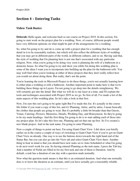## <span id="page-28-0"></span>**Section 4 – Entering Tasks**

#### <span id="page-28-1"></span>**Video: Task Basics**

**Deborah:** Hello again, and welcome back to our course on Project 2019. In this section, I'm going to start work on the project plan for a wedding. Now, of course, different people would have very different opinions on what might be part of the arrangements for a wedding.

So, what I'm going to try and do is come up with a project plan for a wedding that has enough detail in it to be reasonably realistic, but which will also reflect the different styles of wedding that you may get in different parts of the world, in different cultures, and so on. Having said that, the style of wedding that I'm planning here is not one that's associated with any particular religion. Now, what you're going to be doing very soon is planning the refit of a bathroom in a domestic house. So what I'm going to try and show you while I'm doing this wedding plan is some of the ideas I want you to incorporate into building up the plan for the bathroom refit. You may well find when you're looking at either of these projects that they don't really reflect how you would set about doing them. But really, that's not the point.

You're learning the tools in Microsoft Project to do these things, you're not actually learning how to either plan a wedding or refit a bathroom. Another important point to make here is that we're building these things up in Layers. I'm not going to go deep into the details straightaway. We will certainly get into the detail. But what we will do is one layer at a time, and I'll explain the tools and techniques associated with Project 2019 as we go. So first of all, I've made a list of the main aspects of this wedding plan. So let's take a look at that first.

Now, I'm sure this isn't going to be quite right But I've made this list. It's actually in the course file folder if you want a copy of this list, and it's Planning, Attire, and by attire, I mean basically the clothes that people are going to wear. But it's probably a little bit broader than that Guests, Venue, Catering, Flowers, Memories, Details, Wedding Day, and Honeymoon. So they're going to be my main headings. And the first thing I'm going to do is to start adding each of those into my project plan. So let's take this first one, Planning and set that one up first. So I've created a new blank project. And in the task name, I'm going to enter Planning.

Now a couple of things to point out here, I'm using Gantt Chart View. I did show you briefly earlier on in the course a couple of ways of switching to Gantt Chart View if you've got no Gantt Chart View on already. One way is to use the buttons down towards the right hand end of the Status Bar, but you can also go into the View tab and select Gantt Chart View there. Another thing to bear in mind is that you should have new tasks set to Auto Scheduled or what I'm going to do next won't work for you. So having entered Planning as the task name, I press the Tab key. And a number of Fields are filled in for my first task and one of them is Duration. And by default, a task has a duration of one day with a question mark normally.

Now what the question mark means is that this is an estimated duration. And what one normally does is to leave the duration as an estimate, until you have actually got a reasonably reliable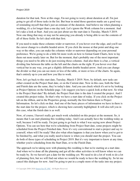duration for that task. Now at this stage, I'm not going to worry about duration at all. I'm just going to get all of those tasks in the list. But bear in mind those question marks are a good way of reminding myself that that's just an estimate of the duration. And believe me when planning a wedding, it's a lot longer than a one day task. Let's ignore the Work column for a moment. And let's take a look at Start. And you can just about see the start date is Tuesday, March 5 2019. Now one thing that may or may not be annoying you already is being able to see the contents of all of these fields. So let's deal with that first.

If you need to make these columns wider or narrower, if you hover over the edge, and you'll see the cursor change to a double headed arrow. If you click the mouse at that point and drag one way or the other, you can make the columns wider or narrower depending on your personal preference. We're going to do a little bit more work on how to format Gantt Charts, how to lay them out more neatly later on. But for the moment, that's probably one of the most important things you need to be able to do just resizing those columns. And also there is a bar, a vertical dividing line between the table on the left and the charts on the right. If you hover over that vertical bar in any way, you get a slightly different double headed arrow. And you can change the divider so that you can see more or less of the table, or more or less of the charts. So again, that's entirely up to you and how you like to work.

Now, let's go back to this start date, Tuesday, March 5 2019. Now, by default, new tasks are either created on the Project Start date, or on the Current date. Now in this case, both the Start and Finish date are the same, they're today's date. And you can check which it's set to by looking at Project Options on the Schedule page. I do suggest you have a quick look at that now. So what is the Project Start date? By default, the Project Start date is the date I created the project. And I created this project today. So that's why we have a start date of today. If you click on the Project tab on the ribbon, and in the Properties group, normally the first button there is Project Information. So let's click on that. And one of the basic pieces of information we have in there is the start date for the project, which is showing here currently highlighted. It will also tell you in this case, what the finish date is as well.

Now, of course, I haven't really got much work scheduled on this project at the moment. So, it means that I can start planning this wedding today. And I can actually have the wedding today as well, because I will be ready. I'm just going to go back to what I was saying now about Project Options. You can see here that we're scheduling from Project Start date, some projects might be scheduled from the Project Finished date. Now it's very conventional to start a project and say to yourself, when will I be ready? But also what often happens is that you know when you've got to be finished by, and what you really need to know is when you should start the project. You can do both of those types of scheduling in Project 2019. But it's very important to know at any time, whether you're scheduling from the Start Date, or to the Finish Date.

The approach we're taking now with planning this wedding is that we're starting at a start date. And when we've done all the planning and got all the other activities in will know when we can be ready by. So we haven't got a date for the wedding yet. We need to do a lot of work to do a lot of planning first, but we will find out when we would be ready to have the wedding by. So let me cancel this dialogue for now. And I'm going to put in a couple more of the tasks into my project.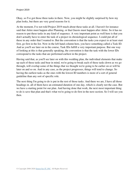Okay, so I've got those three tasks in there. Now, you might be slightly surprised by how my plan looks, but there are very good reasons for it.

At the moment, I've not told Project 2019 much about these tasks at all. I haven't for instance said that Attire must happen after Planning, or that Guests must happen after Attire. So it has no reason to put these tasks in any kind of sequence. A very important point as well here is that you don't actually have to enter the task of a project in chronological sequence. I could put all of these in any order that I wanted to. But the convention is that the tasks you expect to at least start first, go first in the list. Now in the left hand column here, you have something called a Task ID. And as you'll see later on in the course, Task IDs fulfill a very important purpose. But one way of looking at this is that generally speaking, the convention is that the task with the lower IDs correspond to the tasks that are performed earliest in the project.

Having said that, as you'll see later on with this wedding plan, the individual elements that make up each of these tasks and bear in mind, we're going to break each of these tasks down as we go through, will overlap some of the things that we thought we're going to be earlier on or will be later on and so on. And in any case, as the project progresses, things will tend to change. So having the earliest tasks as the ones with the lowest ID numbers is more of a sort of general guideline than any sort of specific role.

The next thing I'm going to do is put in the rest of those tasks. And there we are, I have all those headings in. all of them have an estimated duration of one day, which is clearly not the case. But we have a starting point for our plan. And having done that work, the next most important thing to do is save that plan and that's what we're going to do first in the next section. So I will see you then.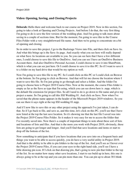#### <span id="page-31-0"></span>**Video: Opening, Saving, and Closing Projects**

**Deborah:** Hello there and welcome back to our course on Project 2019. Now in this section, I'm going to take a look at Opening and Closing Projects. And before I do that, the very first thing I'm going to do is save the first version of the wedding plan. And I'm going to talk more about saving in a couple of sections time. But for the moment, I'm going to save this to the Course Files Folder with a very straightforward file name. And then we're going to concentrate on a bit of opening and closing.

So in order to save this project, I go to the Backstage Views into File, and then click on Save As. And what this brings up is the Save As page. And exactly what you see here will really depend on what Save As locations are available to you. So you can see here that I have a few different ones, I could choose to save this file to OneDrive. And you can see I have an OneDrive Business Account there. And also OneDrive Personal Account, I could choose to save it into SharePoint, which is what you can see just here. Or I could choose to save it to this PC. So if I want to save it to a folder on my hard drive that would be my option as well.

Now I'm going to save this file to my PC. So I could click on this PC or I could click on Browse at the bottom. So I'm going to click on Browse. And that will let me choose the location where I want to save this file. So I'm just going to go through and select a folder. And the folder I'm going to choose here is Project 2019 Course Files. Now at the moment, the course Files folder is empty as far as the Save as type that I'm using, which you can see down here is .mpp, which is the default file extension for project files. So all I need to do is go down to file name and give my project a name. So I'm going to call this SSI Wedding 01. And click on Save. Now when I've saved that the phone name appears in the header of the Microsoft Project 2019 windows. So you can see there it says right at the top SSI wedding 01.mpp.

And if I now like to save this or any other project using the approach I've just taken, I can do that. So if I go back to file, and save as, and this time, let's click on this PC, you'll see that I have now listed at the top the last save location. So it's showing me that the last file I saved was into the Project 2019 Course Files Folder. So it makes it very easy for me to access the folder that I've recently saved into. Now there's a couple of important things to note about these sort of lists and locations of lists and files. And that is the more you work with Project 2019, obviously, these lists are going to get longer and longer. And you'll find that save locations and items or start to drop off the bottom of the list.

Now something to anticipate that if you have locations that you save into on a frequent basis and things you want to be able to access quickly, you do have a very useful utility in Project 2019. And that is the ability to be able to pin folders to the top of the list. And you'll see as I hover over the Project 2019 Course Files, if you cast your eyes to the right hand side, you'll see I have a little drawing pin icon. If I click on that drawing pin, that's going to now pin that folder to the top of the list. So no matter how many other save locations, I start to see build up in here, this one is always going to be at the top and you can pin more than one. You can pin up to about 30 I think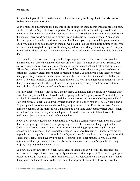it is into the top of this list. So that's also really useful utility for being able to quickly access folders that you use most often.

So in a moment, I'm going to look at some of the options for opening that wedding project again. But before I do, let's go into Project Options. And straight to the advanced page. And I did mention earlier on that we would be looking at some of these advanced options as we go through the course. There won't be time to go through each and every single one of them. You can see there are quite a few in here and some of them I will leave you to go through in your own time. But I would like to point out a few of them as we go. And I do suggest that from time to time you take a browse through these options. It's always good to know what your settings are. And if you need to adjust those settings to enable you to work more efficiently with whatever it is that you're doing.

For example, on the Advanced Page, in the Display group, which is just down here, you'll see this first option; "show the number of recent projects", and it's currently set to 50. So here, you can very easily control how many projects appear in your recent list. And below that option is; "Show the number of unpinned recent folders". And then below that option, you also have an option to; "Quickly access this number of recent projects". So again, you could select however many projects, you want to be able to access quickly from there. And then underneath that, we have; "Show this number of unpinned recent folders". So you have a number of options just here that you can experiment with, to get them to the optimum level for you and the way that you work. So I would definitely check out those options.

I'm fairly happy with how they're set at the moment. So I'm not going to make any changes there. Now, I'm going to click Cancel. And what I'm going to do is I'm going to exit Project all together and kind of pretend it's the next day. And then when I come back and see what happens when I start that project. So let's close down Project and then I'm going to reopen it. Well, when I start a Project again, I can of course see the wedding project in my Recent Projects list. Now I'm not going to open that at the moment, what I'm going to do is start a new blank project. And it might be that as I'm working on my new blank project, I decided that I need to take a look at the wedding project maybe as a quick reference points.

Now I don't actually need to close down this Project that I currently have open, I can have more than one project open at once. So I'm going to go to the File ribbon, and I'm going to select Open. And of course, they're in my recent files is my wedding project. Now again, I might choose to pin this again, if this is something which I reference frequently, it might serve me well to pin this to the top of that list as well. So let's just do that. So now I have my file pinned. And if I click on folders, I also have my project 2019 course Files folder pinned. So you have that option as well, not just with folders, but also with standalone files. So let's open the wedding project, I'm going to double click on it.

So now I have my two projects open. And I can see that if I go down to my Taskbar and just hover over the project icon, I can very easily see the two different project files that I've got open Project 1, and SSI wedding 01. And I can choose to flick between them if I want to. So it makes it very quick and simple to move between any of your project files just by hovering over the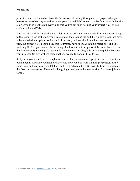project icon in the Status bar. Now that's one way of cycling through all the projects that you have open. Another way would be to use your Alt and Tab key you may be familiar with that that allows you to cycle through everything that you've got open not just your project files, so you could use Alt and Tab.

And the third and final way that you might want to utilize is actually within Project itself. If I go to the View ribbon at the top, you'll see right in the group at the end the window group, we have a Switch Windows option. And when I click that, you'll see that I then have access to all of the files, the project files, I should say that I currently have open. So again, project one, and SSI wedding 01. And you can see the wedding plan has a little tick against it, because that's the one that I'm currently viewing. So again, this is a nice way of being able to switch quickly between your projects. So any of those three methods are really good utilities to use.

So by now you should have enough tools and techniques to create a project, save it, close it and open it again. And also you should understand how you can work on multiple projects at the same time, and very easily switch back and forth between them. So now it's time for you to do the first course exercise. That's what I'm going to set you in the next section. So please join me for that.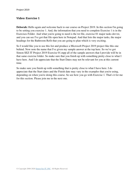#### <span id="page-34-0"></span>**Video: Exercise 1**

**Deborah:** Hello again and welcome back to our course on Project 2019. In this section I'm going to be setting you exercise 1. And, the information that you need to complete Exercise 1 is in the Exercises Folder. And what you're going to need is the txt file, exercise 01 major tasks dot txt, and you can see I've got that file open here in Notepad. And that lists the major tasks, the major headings for the Bathroom Refit that you are going to plan which is very exciting.

So I would like you to use this list and produce a Microsoft Project 2019 project like this one behind. Now note the name that I've given my sample answer at the top here. So we've got Simon SEZ IT Project 2019 Exercise 01.mpp all of the sample answers that I provide will be in that same exercise folder. So make sure that you finish up with something pretty close to what I have here. And I do appreciate that the Start Dates may not be relevant for you at this current time.

So make sure you finish up with something that is pretty close to what I have here. I do appreciate that the Start dates and the Finish date may vary in the examples that you're using, depending on when you're doing this course. So see how you go with Exercise 1. That's it for me for this section. Please join me in the next one.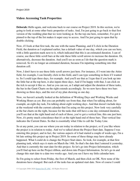#### <span id="page-35-0"></span>**Video: Accessing Task Properties**

**Deborah:** Hello again, and welcome back to our course on Project 2019. In this section, we're going to look at some other basic properties of tasks. And, I'm just going to go back to that first version of the wedding plan that we were looking at. So the top one here, remember, I've got it pinned to the top of the list makes it super easy to access. And I'm just going to open that by double clicking.

Now, if I look at that first task, the one with the name Planning, and if I click in the Duration Field, the duration as I explained earlier, has a default value of one day, which you can see here, with a little question mark next to it, which indicated that this is an estimated duration. I can of course, use these little scroll bars at the side these little scroll arrows to increase the duration. Or, alternatively, decrease the duration. And you'll see as soon as I do that the question mark is removed. So it's no longer an estimated duration, because I'm inputting something into that duration cell.

Now, I don't have to use these little scroll arrows just here. For instance, if I went into the Attire field, for example, I can literally click in this field, and I can type something in there if I wanted to. So I could type three days, for example. And you'll see that as I type that if you look up into the little bar at the top here, it also inputs three days. And if I'm happy with that, I can click on the tick to accept it like so. And as you can see, as I adapt and adjust the duration of these tasks, the bar in the Gantt Charts on the right extends accordingly. So we now have these two bars showing us three days, and the rest of my plan showing as one day.

Now, we haven't actually looked at the definition of Working Days and Working Weeks and Working Hours as yet. But you can probably see from that, that when I'm talking about, for example, an eight day task, I'm talking about eight working days. And that doesn't include days at the weekend with the current calendar that I'm using on this project. Now look very carefully at the bar charts on the right, because for the tasks that still have a one day estimated duration, you'll see that at the right hand end of each of those, you've got a vertical line, this one just here. Now, it's pretty much coincidence that it's at the right hand end of those bars. That vertical line indicates the Current Dates. So that is essentially what I like to call the Today Line.

So at any point, you can see where you are today in relation to the project, or if you like where the project is in relation to today. And we've talked about the Project Start date. Suppose I was entering this project, and in fact, the various aspects of it had started a couple of weeks ago, I'm a bit late setting this project up in Project 2019. So some of these things may have already happened. What I could do is change the Project Start dates. So look, for example, at that first planning task, which says it starts on March the 14th. So that's the date that I entered it yesterday. And that is currently the start date for this project. So let's go into Project Information, which you'll find up here on the Project ribbon, and down into Project Information. So let's go in and change this start date to a date two weeks ago. And you see I have my little calendar here.

So I'm going to select from Friday, the first of March, and then click on OK. Now none of the durations have changed. But each of the tasks has an updated start date. Now of course I could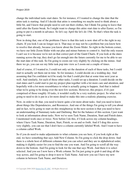change the individual tasks start dates. So for instance, if I wanted to change the date that the attire task is starting. And if I decide that attire is something we maybe need to think about a little bit, and I know that people need to sort out their clothes, but I think I'm going to leave that until after the Easter break. So I might want to change this attire start date to after Easter, so I'm going to put it a month in advance. So let's say April the let's do 15th. So that's when the task is going to start.

Now in doing that, one of the problems I have is that this task is now shut off to the right in my charts. If you look I can no longer see it. That may or may not be a problem but you know how to resolve that already, because you know about the Zoom Slider. So right in the bottom corner, we have our little Zoom Slider with our plus and minus buttons to control it. And the only reason I can't see it is because we're not on that correct part of the Gantt Charts. If you look at the dates running across the top, they don't go far enough into the future currently for me to be able to see the start date of this task. So I'm going to zoom out very slightly by clicking on the minus. And there we go, you can see my little task pop into view as I zoom out a couple of times.

And of course, if I wanted to, I could not only set the duration of each of these tasks, but I could start to actually set them out in time. So for instance, I could decide on a wedding day. And assuming that I'm confident we'd be ready for that I could plot that at some time next year as well. And similarly, for each of those other tasks, I could set up a duration. I could decide on the start dates and I could start to put my project plan together with a lot more care and attention, and hopefully with a lot more resemblance to what is actually going to happen. And that is indeed what we're going to be doing over the next few sections. However, this project, if it's just comprised of those roughly 10 tasks, it wouldn't really be a very realistic project. So what we're going to need to do is put in a lot more detail to make this into a realistic planning exercise.

Now, in order to do that, you need to know quite a lot more about tasks. And you need to know about things like Dependencies, and Resources. And one of the things I'm going to tell you about and in fact, we're going to start on this straightaway in the next section is that you need to have an understanding of Summary tasks and Outlining. But for the balance of this section, I just want to look at information about tasks. Now we've seen Task Name, Duration, Start and Finish dates. I mentioned work once or twice. Now before I do this, if I look across my column headings, where I have Task Name, Duration, Start, Finish, so on and so forth. And if I drag this across very slightly, you can see that I don't have a column currently labeled Work. And I want to have a column called Work.

So if you do need to make adjustments to what columns you see here, if you look right at the end, we have something that says Add New Column. So I'm going to click the drop down. And there is a whole host of different columns that you can select and they are in alphabetical order, making it slightly easier for you to find the one you want. And I'm going to scroll all the way down to the bottom. And I'm going to look for the one that says Work. And there it is select selected. And you see I now have a Work column. So I'm just going to grab it and drag all the way across, and I'm going to drop it next to Task Name. And now you see I have my new column in between Task Name, and Duration.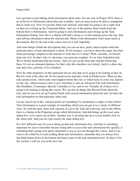Let's get back to just talking about information about tasks. For any task in Project 2019, there is an awful lot of information about that task available. And you may need to be able to manipulate that in some way. Now I've got the Attire task selected. And what I'm going to do is right click on that row to bring up the Contextual Menu. And one of the options about fourth from the bottom there is Information. And I'm going to click Information and it brings up the Task Information Dialog. Now this is a dialog with half a dozen or so tabs running across the top. And each tab has information about the selected task. Much of the information won't mean much at the moment. But by the end of the course most of it will, hopefully.

And some things I think the descriptions that you can see here, pretty much explain what that particular piece of task information is about. So for instance, you know about the name, but what about percentage complete or the amount of work that we've done? Well, currently, we haven't done any of it. So that's why it's showing a zero percent complete. It's an Auto Scheduled task. We've briefly mentioned that previously. And you can see the Start date and the Finish date there. It's not an estimated duration. So that's why this checkbox isn't ticked. And it's a three day task and it has a priority of five hundred.

Now the other properties on this particular tab are ones that we're going to be looking at later on. But let's look at the other tab. So let's jump across and take a look at Predecessors. What are this tasks predecessors, which tasks must happen before this one, or which tasks in some way depend on this one, which resources does it use? And there is also an Advanced Tab with information like Deadlines, Constraints, Specific Calendars to Use, and so on. Virtually all of these we're going to be looking at during this course. We can also do things like Record Notes about the task, and we can even set up Custom Fields with custom information about the task. So that's the task information for that particular Attire task.

Let me cancel out of this. And just point out something I've mentioned a couple of times before. Task information is a good example of something which you can get at in a variety of different ways. So with the same Attire task selected, if I go to the Task tab at the top, and on the ribbon, there is a button in the Properties group called Information. And that brings up the exact same dialog box. Let's cancel out of there. Another way I can bring that up is to just double click on the Attire task. And you see I get exactly the same dialog box.

So a few different ways for you to bring up that task information box. And that is something important for you to remember because being able to access this task information box quickly, is something that's going to be pretty important to you as you run through this course. And if you want to do a little bit of extra reading about task information, remember that you always have that Help button down in the bottom left hand corner of the task information box. So that's it for this section. I will see you in the next one.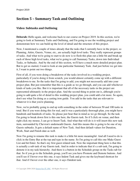# **Section 5 – Summary Task and Outlining**

## **Video: Subtasks and Outlining**

**Deborah:** Hello again, and welcome back to our course on Project 2019. In this section, we're going to look at Summary Tasks and Outlining, and I'm going to use the wedding project and demonstrate how we can build up the level of detail and the structure of this project.

Now, I mentioned a couple of times already that the tasks that I currently have in the project, so Planning, Attire, Guests, Venue, etc., are actually high level tasks. They really represent groups of tasks. And what we're going to start to do now is to flesh this plan out a little bit and break up each of those high level tasks, what we're going to call Summary Tasks, down into Individual Tasks, or Subtasks. And by the end of this section, we'll have a much more detailed project plan. But to get us started, I want to look at one particular Summary Task. And just before we get into it, I want to point out two things.

First of all, if you were doing a breakdown of the tasks involved in a wedding project, particularly if you're doing it from scratch, you would almost certainly come up with a different breakdown to me. So the tasks that I'm going to add, you might not necessarily add into your project plan. But just remember that this is a guide as we go through, and you can add whichever kinds of tasks you like. But it is important that all of the necessary tasks in the project are represented ultimately in the project plan. And the second thing to point out is, although you're going to add quite a bit of detail to this wedding project plan, you could add a lot more. So again, don't use what I'm doing as a casting iron guide. You add in the tasks that are relevant to whatever it is that you're planning.

Now, we're probably going to end up with something in the order of between 50 and 100 tasks in total. But if you were doing this for real, and it was a particularly thorough plan, you might have hundreds and hundreds of tasks. So please just bear that in mind as we go through. So the task I'm going to break down first is this one here, the Guests task. So if I click on venue, and then right click my mouse, I can go to Insert Task. And what that will do is it will insert this new task item, surrounded by Chevron's underneath Guests. And this means this is going to be one of my Guests subtasks. It gets a default name of New Task. And then default values for Duration, Work, Start and Finish date as well.

Now I'm going to rename this task to make it a little bit more meaningful. And all I need to do is click in the Entry Bar at the top and type in the name. So I'm going to call this one Make Guest List and hit Enter. So that's my first guest related task. Now the important thing here is that this is actually a sub task of my Guests task. And in order to indicate that it's a sub task, I'm going to demote it in my task hierarchy. And there is a button in the Schedule group on the Tasks tab for that. So if you go to the Schedule group, you'll see you have Promote and Demote buttons. And you'll see if I hover over this one, it says Indent Task and gives me the keyboard shortcut for that. And if I hover over the other one, it says Outdent task.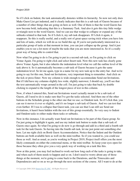So if I click on Indent, the task automatically demotes within its hierarchy. So now not only does Make Guest List get indented, and it clearly indicates that this is a sub task of Guests because of a number of other things that are going on here as well. One of them is that the word Guests has now become bold, indicating that this is a Summary Task. And also it gets this tiny little wedge or triangle next to the word Guests. And we can use that wedge to collapse or expand any of the subtasks related to that task. So if I click it, my sub task disappears. If I click it again, it reappears. So this is really useful, and a really sort of great space saving trick when you have lots and lots of tasks, which we will do as we build this up. If you're not particularly interested in a particular group of tasks at that moment in time, you can just collapse up the group. And it just enables you to see a lot more of maybe the tasks that you are more interested in. So it's a really great way of being able to control that.

Now what I'm going to do is I'm going to put in a second sub task, so I'm going to click on Venue Again. I'm going to right click and select Insert task. Now this new task has clearly gone above Venue Again, but it also inherits the indentation level what we call the outline level of the task above it. So it automatically becomes a sub task of Guests because it gets the same indentation level. So let me again, type in a name for my new task up to the entry bar. And we're going to say for this one, Send out Invitations, very important thing to remember. And click on the tick or press Enter. Now my column is wide enough to accommodate Send out Invitations. But if I did have my columns slightly less wide, slightly narrower, I should say, you'll see that the text automatically wraps around in the cell. I'm just going to take that back by double clicking to expand to the length of the longest piece of text in this column.

Now, if when I entered this, Send out Invitations wasn't actually meant to be a sub task of Guests, all I need to do is make sure that I've got the tasks selected. And then one of the other buttons in the Schedule group is the other one that we use; so Outdent task. So if I click that, you can see it moves it ever so slightly, and it's no longer a sub task of Guests. And we can test that even further. If I was to collapse that Guest task, you can see that I can still see Send out Invitations, it hasn't been hidden with the rest of this group essentially. So very easy to Indent and Outdent tasks to either make them tasks or subtasks.

Now in this instance, I do actually want Send out Invitations to be part of this Guest group. So I'm just going to highlight it again, and use my indent task button to make that a sub task of Guests once again. So what I'm going to do now is go through and add in a third and a fourth sub task for the task Guests. So having into the fourth sub task, let me just point out something else here. Let me right click on Book Guest Accommodation. Notice that the Indent and the Outdent buttons are both available here as well on the mini toolbar. So if you wanted to, you could use those as well. And as usual, as you're working in Project 2019, Project itself offers you the most likely commands on either the contextual menu, or the mini toolbar. So keep your eyes open for those because they often give you a very quick way of working on a task like this.

Now at this point, you may feel inclined to work out how long each of the tasks is going to take, and when each of them needs to happen and so on. I don't need to worry about any of those things at the moment, we're going to come back to the Durations, and the Timescales and Dependencies and so on as we go through the next sections of the course. All I want to do at the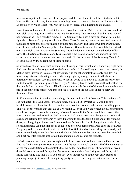moment is to put in the structure of the project, and then we'll start to add the detail a little bit later on. Having said that, there's one more thing I need to show you here about Summary Tasks. So let me go to Make Guest List. And I'm going to increase the duration to eight days.

Now if you look over at the Gantt Chart itself, you'll see that the Make Guest List task is indeed now eight days long. But you'll also see that the Summary Task no longer has the same type of bar representing it as a standard sub task. The Summary Task has a different format bar on the right there. Now we're going to talk about Gantt Chart formatting much later on. And you can in fact change most aspects of formatting of these bars anyway. But there's two important things. One of them is that the Summary Task does have a different formatter bar, which helps it stand out on the right there. But also the Summary Tasks by default does not have a duration of its own. The duration of the Summary Task is actually the duration from when its first sub task starts right through to when its latest sub task ends. So the duration of the Summary Task isn't effect dictated by the scheduling of these subtasks.

So if we look at ours here, our Guests task is showing in this format, and it's showing eight days. And that's because the longest task or the longest sub task, I should say that we have currently is Make Guest List which is also eight days long. And the other subtasks are only one day. So hence why this bar is showing as currently being eight days long, because it will show the duration of the longest sub task in the list. What I'm going to do now is to insert the rest of the subtasks for this particular project. Now, if you'd actually like to do this yourself, rather than use the sample file, the demo file that I'll tell you about towards the end of this section, there is a text file in the course file folder. And this text file lists each of the subtasks under its relevant Summary Task.

So if you want a bit of practice, you could go through and set all of these up. This is what you'll see in that text file. And again, just a reminder, it's called SSI Project 2019 wedding task breakdown.txt, so please feel free to use that as a practice. So here is the revised wedding plan. This will be the version that I'll save as a Wedding 02. So if you want to take a look, and perhaps somehow compare it with the version you've made yourself, that's fine. And there is one other area now that we need to look at. And in order to look at that area, what I'm going to do is add even more detail to this temporarily. Now I'm going to take the task, Select and order wedding dress, and I'm going to break that down into three further subtasks. So I'm going to right click, select Insert task. And the first one is going to be Select wedding dress. And click the tick. And I'm going to then indent that to make it a sub task of Select and order wedding dress. And you'll see as immediately when I do that, the task above, Select and order wedding dress becomes bold, and I get my little triangle at the side that expandable and collapsible triangle.

Let's do another one. Same process, right click, Insert task, and we'll call this one Order dress. And the final one might be Measurements, and fittings. And you'll see that all of them have taken on the same indentation of the subtasks that we added. And then we might, for example, break down Measurements and fittings into Measurements and then first fitting second fitting third fitting something like that. So as you can see, even though we're in the very early stages of planning this project, we're already getting pretty deep into building out that structure for our plan.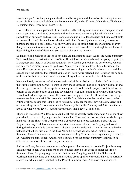Now when you're looking at a plan like this, and bearing in mind that we've still only got around about, oh, let's have a look right to the bottom under 50, under 45 tasks, I should say. The highest ID number there, if we scroll down is 43.

If we really went in and put in all of the detail actually making your way around, this plan would start to get quite complicated because it will look more and more complicated. We haven't even started yet on durations and assigning resources and putting in dependencies and time constraints and so on. So there'll be much more detail to add. And it's usually the case when you start to increase the size of a project that you only want to look at certain parts at certain times or even that you only want to look at the project at a certain level. Now there is a straightforward way of determining the level of detail that you see in a plan such as this one.

So I'm scrolling back up to the top of my plan and I'm going to select Attire, the Attire Summary Task. And that's the task with the ID of four. If I click on the View tab, and I'm going to go to the Data group, and there is an Outline button just here. And if you look at the description, you can see this, the ScreenTip has come up it says, "specify which outline level should be used in the view. For large project you may want to collapse everything to outline level one or two and then expand only the sections that interest you". So if I have Attire selected, and I click on the bottom of this outline button, let's see what happens if I say select for example, Hide Subtasks.

Now you'll only see Attire and all the subtasks and all levels below it a hidden. Let's go back to the Outline button again. And if I want to show those subtasks I just click on Show Subtasks and there we go. Now in fact, I can apply the same principle to the whole project. So if I click on the bottom of the outline button again, and say click on level 1, it's going to show me Outline level 1. And look what's happened here, all I see is everything just at level 1. If I click on level 2, I get to see everything at level 2. But note with task ID five, Select and order wedding dress, under Attire level two means that I don't see its subtasks. I only see the level two subtasks, Select and order wedding dress. So as you can see the Summary Tasks like Planning and Attire and Guests are all at what we call level 1. And the level below that is level 2, and so on.

There is in Project 2019, a level zero. And level zero is actually pretty important. So let me show you what level zero is. If you go into the Gantt Chart Tools and the Format tab, towards the right hand end, in the Show Hide Group there is a checkbox for Project Summary Task. And the Project Summary Task has some very important uses, some of which we're going to look at during the duration of this course. Now I already have this switched on. But if I was to take the tick out of that box, just look in the Task Name field, what happens when I untick project Summary Task. Can you see it removes that main heading? Let me click it again and you can see SSI wedding 02 comes back. And there is a duration for the project Summary Task which in effect is the duration of the entire project currently.

And as we'll see, there are many aspects of the project that we need to use the Project Summary Task in order to deal with, but more on those things later. So I'm going to select the Project Summary Task, I'm going to go back into Outline and I'm going to click Hide Subtasks. So bearing in mind anything you select in this Outline group applies to the task that you're currently clicked on, which is why I clicked on the Project Summary Task. And now you can see it's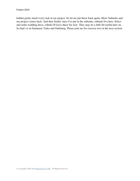hidden pretty much every task in my project. So let me put those back again, Show Subtasks and my project comes back. And then finally since I've put in the subtasks, subtask five here, Select and order wedding dress, I think I'll leave these for now. They may be a little bit useful later on. So that's it on Summary Tasks and Outlining. Please join me for exercise two in the next section.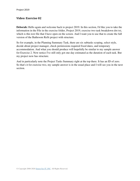## **Video: Exercise 02**

**Deborah:** Hello again and welcome back to project 2019. In this section, I'd like you to take the information in the File in the exercise folder, Project 2019, exercise two task breakdown dot txt, which is this text file that I have open on the screen. And I want you to use that to create the full version of the Bathroom Refit project with structure.

So for example, in the Planning Summary Task, there are six subtasks scoping, select style, decide about project manager, check permissions required fixed dates, and temporary accommodation. And what you should produce will hopefully be similar to my sample answer for Exercise 2. Now notice I've still only got one day estimated as the duration of each task. But my project now has structure.

And in particularly note the Project Tasks Summary right at the top there. It has an ID of zero. So that's it for exercise two, my sample answer is in the usual place and I will see you in the next section.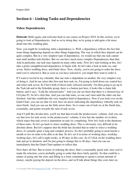## **Section 6 – Linking Tasks and Dependencies**

## **Video: Dependencies**

**Deborah:** Hello again, and welcome back to our course on Project 2019. In this section, we're going to look at Dependencies. And as we're doing that, we're going to add quite a bit more detail into this wedding plan.

Now, you might be wondering what a dependency is. Well, a dependency reflects the fact that some things happening depend on other things happening. The way in which they depend can be quite complex. But in a very simplest type of dependency, we would say that one task cannot start until another task finishes. But we can have much more complex Dependencies than that. And in particular, one task may depend on many other tasks. Now let's start looking at this, let's take a pretty straightforward dependency to begin with. So let's take a look at tasks six, and seven. Select wedding dress, and Order dress. Now, clearly, you're not going to order the dress until you've selected it. But as soon as you have selected it, you might then want to order it.

If I want to record in my schedule, that one task is dependent on another, the very simplest way of doing it. And let me select this first task here task six, I'm going to hold down my control key and select task seven. So I have both of those tasks selected currently. I'm then going to go up to the Task tab and in the Schedule group, there is a button just here, it looks like a chain link button, and it says, "Link the selected tasks". And you can see there that there is a shortcut key of Ctrl plus F2. So let's click that. And you can link tasks, so one can't start until the other one has finished. And this establishes the very simplest kind of dependency. Now if you look over on the Gantt Chart, you can see that we now have an arrow indicating the dependency whereby task six must finish. And you can see the little arrow there. So it comes out of task six at the finish line, essentially, and points towards the start of task seven.

And if I pull this divider here, you'll see that that reveals the predecessors' column. And you can see that now for task seven, in the predecessors' column, it now has the number six in there, which states that task seven is dependent on task six completing. Now let's look at the durations of these tasks. So let's go back to select wedding dress. This is obviously very difficult to be absolute about. But let's suppose that the bride has decided that in order to select a wedding dress, it's actually quite a long and complex process. So she's probably going to need maybe a month or two in order to be able to do that. So let's set it in terms of working days, weekday working days, let's call it eight weeks, or 40 days in this case. So if I click on the wedding dress task and go to duration, and I'm just going to change this to 40 days. And you can see immediately that the Gantt Chart updates to reflect that.

Now that's all fine. But in terms of ordering the dress, that's a reasonably quick task, once you've made the selection, you're probably going to order that dress fairly quickly. So that could be a matter of going into the store and filling in a form committing to spend a certain amount of money, maybe paying the deposit on the dress, and we'll talk about things like costs later on.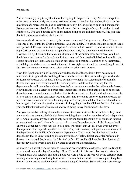And we're really going to say that the order is going to be placed in a day. So let's change this order dress. And currently we have an estimate in here of one day. Remember, that's what the question mark represents. It's just an estimate currently. So I'm going to go in and change this from an estimate to a fixed duration. Now I can do that in a couple of ways, I could go in and edit the cell. Or I could double click on the task to bring up the task information. And just take that tick out of estimated and click on OK.

Now once the dress has been ordered, the measurements and fittings can start. There'll be a sequence of these until the dress is finalized. And once again, let's assume that it's going to take a total period of 40 days for all that to happen. So we can select task seven, and we can select task eight Ctrl key and we could create a dependency in exactly the same way we did before. However, if I right click on the selection, if you look at the mini toolbar down here, you'll see that it has a link button. So I can do the link that way and I can do the link before I establish the second duration. So let me double click on task eight, and change its duration to not estimated, and 40 days. And there we are. And at the end of task eight, we should have a wedding dress that fits. Now let's move on to task nine select and order bridesmaid dresses.

Now, this is not a task which is completely independent of the wedding dress because as I understand it, in general, the wedding dress would be selected first, with a thought to what the bridesmaids' dresses will be like. But you certainly wouldn't start selecting the bridesmaid dresses until you were certain about the wedding dress. So let's in this case, say that the dependency is we'll select the wedding dress before we select and order the bridesmaids dresses. Now in reality with a Select and order bridesmaids dresses, that's probably going to be broken down into more subtasks underneath that. But for the moment, we'll stick with what we have. So let's establish a link between Select wedding dress and Select and order bridesmaid dresses. So up to the task ribbon, and in the schedule group, we're going to click that link the selected task button again. And let's change this duration. So I'm going to double click on the task. And we're going to take the tick out of estimated and we're going to say the duration is 60 days.

And you can see by looking at our schedule now, this takes us towards the middle of July. And you can also see on our schedule that Select wedding dress now has a number of tasks dependent on it. And of course, any task cannot only have several tasks depending on it, but it can depend on several tasks as well. Now let's start to look at these Dependencies in a little bit more detail. There is a dependency from task six to task nine, we just set that up. If I hover over the arrow that represents that dependency, there is a ScreenTip that comes up that gives me a summary of the dependency. It's an FS; a finish to start dependency. That means that the first task in the dependency that is Select wedding dress must finish or F before Select and order bridesmaids dresses can start and that is what the S is. And in fact, if I double click on that line, I get a task dependency dialog where I could if I wanted to change that dependency.

So it says from select wedding dress to Select and order bridesmaids dresses, there is a finish to start dependency with a lag of zero days. Now if I decided in this particular case that after the wedding dress was selected, and at that point, we were going to order it, we could certainly start looking at selecting and ordering bridesmaids' dresses, but we needed to leave a gap of say five days for some reason. And that would represent a lag of five days. So let's do that. Let's change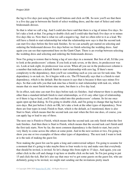the lag to five days just using those scroll buttons and click on OK. So now you'll see that there is a five day gap in between the finish of select wedding dress, and the start of Select and order bridesmaids dresses.

So that is what we call a lag. And I could also have said that there is a lag of minus five days. So let's take a look at that. I'm going to double click and I could take that back five days or to minus five days like so. Now that is what we call a negative lag. And we often refer to it as a lead. We still have a finish to start relationship but what the relationship now says is that the second task can start five days before the first task finishes. So we can actually get started on selecting and ordering the bridesmaid dresses five days before we finish selecting the wedding dress. And again you can see that represented here on the Gantt Chart. There is an overlap between selecting the wedding dress and selecting and ordering the bridesmaids dresses.

Now I'm going to restore that to being a lag of zero days in a moment. But first of all, I'd like you to look at the predecessors' column. If you look at task seven, or the dress, its predecessor was six. Look at task eight, its predecessor was seven. When all you see in the predecessor column is a number that indicates a default finish to start relationship with zero lag. If there's more complexity to the dependency, then you'll see something such as you can see for task nine. The dependency is on task six. So it begins with a six. The FS basically says that is a finish to start dependency, which is the default. But the reason it says that is because it then says minus five days. So that code tells you that task nine has a finish to start relationship with task six, which means that six must finish before nine starts, but there is a five day lead.

So in effect, task nine can start five days before task six finishes. And whenever there is anything other than a standard default finish to start relationships, so if it's any other type of relationship, or if there is lag or lead, you'll see that coded into this predecessors' column. So let me once again open up that dialog. So I'm going to double click, and I'm going to change that lag back to zero days. But just before I click on OK, let's take a look at the other types of dependency. Now there are four types in total; Finish to Start, which is the default, as I mentioned, there is also Start to Start, which means that the second task can start when the first one does, of course, you can apply lag or lead to any of these.

The next one is Finish to Finish, which means that the second task can only finish when the first task finishes. And then there is Start to Finish, which means that the second task can't finish until the first task starts. Now by far, the most common dependency is the finish to start, but you're very likely to come across the others at some point. And in the next section or two, I'm going to show you one or two examples of these other types of dependency. The next task I want to look at is the task of making the guest list.

Now making the guest list can be quite a long and controversial subject. I'm going to assume for a moment that it's going to take maybe three to four weeks to try and make sure that everybody that should be invited, is invited. So let's change this from eight to 15 days. And again, you can either click in the cell and change it up here or double click on the task. So I'm just going to put 15 and click the tick. But let's also say that once we've got some guests on the guest list, who are definitely going to be invited, we might start sending out the invitations pretty much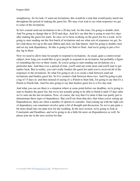straightaway. So for task 13 send out invitations, this would be a task that would pretty much run throughout the period of making the guest list. We may even wait to see what responses we get to some of the invitations.

So let's extend send out invitations to be a 20 day task. So this time, I'm going to double click. And I'm going to change that to 20 D and okay. And let's say that this is going to start five days after making the guest list starts. So once we've been working on the guest list for a week, we're going to start sending out the first batch of invitations and see what sort of responses we get. So let's link these two up to the task ribbon and click our link button. And I'm going to double click and set my task dependency. So this is going to be Start to Start. And we're going to put a five day lag in there.

Now we need to allow time for people to respond to invitations. As usual, quite a controversial subject, how long you would like to give people to respond to an invitation, but probably a figure of something like two or three weeks. So you're going to start sending out invitations on a particular date. And then over a period of time, you'll send out some more and you'll start to get replies back. But in reality, you can't really finalize the guest list until you've received all of the responses to the invitations. So what I'm going to do is to create a link between send out invitations and finalize guest list. So I've created a link between those two. And I'm going to put a lag of 15 days in. and then instead of saying it's a Finish to Start link, I'm going to say that it's a Finish to Finish link. And I'm also going to say that finalize guest list is a five day task.

And what you can see there is a situation where at some point before our deadline, we're going to start to finalize the guest list, but we're not actually going to be able to finish it until 15 days after we've sent out the last invitation. Now, of course, the way that I've done it that was partly just to demonstrate these types of dependency. But you'll see from that also, that when you're setting up Dependencies, there are often a number of options to consider. And coming up with the right sort of dependency can sometimes involve quite a bit of thought and discussion. So we've put quite a bit more detail into our plan now for the wedding. In the next section, we're going to look at Constraints and Deadlines, and we're going to do a little bit more on Dependencies as well. So please join me in the next section for that.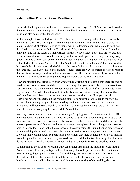#### **Video: Setting Constraints and Deadlines**

**Deborah:** Hello again, and welcome back to our course on Project 2019. Since we last looked at the wedding plan, I've added quite a bit more detail to it in terms of the durations of many of the tasks, and also some of the dependencies.

So for example, if you look down at ID 20, where we have Catering, within there, there are two pairs of tasks, there's the first pair, and there is the second pair. And I've allowed 15 days for making a shortlist of caterers, talking to them, making a decision about which one to book and then finalizing the menu with them. I've allowed 15 days for each of those tasks. And then I've done the same for the baker. So make Baker shortlist 15 days, select Baker and order cake, also 15 days. Now it may look from the current plan that we could get this wedding done very, very quickly. But as you can see, one of the main issues is that we're doing everything all at once right at the start of the project. And in reality, that's not really what would happen. There just wouldn't be enough time in this short period of time in the case of a few weeks to do all of those things at the same time. And as we'll see later on in the course, there are various factors or various reasons that will force us to spread these activities out over time. But for the moment, I just want to leave the plan like this except for adding a few Dependencies that are really important.

Now one situation that arises very often when you're working on projects is that there are one or two key decisions to make. And there are certain things that you must do before you make those key decisions. And there are certain other things that you can't do until after you've made those key decisions. And what I want to look at in this first section is the very key decision of the wedding date itself. So you can see here, task three set wedding date. Now you can't do everything before you decide on the wedding date. So for example, we talked in the previous section about making the guest list and sending out the invitations. You can't send out the invitations until you've set a wedding dates, but you can't set the wedding date until you know what the venue you're going to use is and if it's available.

You may also want to make sure that the venue you're going to use for what we call in the UK, the reception is available as well. But you are going to have to take some things on trust. So for example, you may well have to say well, I'm going to fix the wedding dates, and then see which photographers are available and book one of those photographers. So what I'm going to assume here in this wedding plan is that there are two or three key things that must happen before we can set the wedding dates. And from that point onwards, various other things will be dependent on knowing that wedding dates. So appreciating once again that there is quite a lot of detail missing from this plan. I've been through the plan. And I've decided that the two key things that I need to do are number 18 Book the reception venue, and also number 38 Book the wedding venue.

So I'm going to go up to Set Wedding Date. And rather than using the linking mechanism that I've used before, I'm going to type in those IDs straight into the predecessors' field on the end here. So I'm going to put in 18, comma 38. And that gives me a date on which I'm going to set the wedding dates. I should point out that this is not final yet because we have a few more hurdles to overcome a little bit later on. And then from the setting of the wedding date, for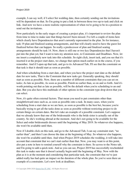example, I can say well, if I select Set wedding date, then certainly sending out the invitations will be dependent on that. So I'm going to put a link in between those two up to task and click on link. And now we have a more realistic representation of when we're going to be in a position to send out the invitations.

Now particularly in the early stages of creating a project plan, it's important to review the plan from time to time to make sure that things haven't been missed. I've left a couple of items here which clearly have Dependencies that aren't currently represented in the plan. So for instance, task 19 plan and finalized seating arrangements, and that will clearly need to have the guest list finalized before that can happen. So really a predecessor of plan and finalized seating arrangements should be task 14. Now, there is still one or two key Dependencies that I haven't put into the plan yet, but I want to turn my attention now, to Constraints and Deadlines. Now, let me insert a completely new task into this schedule. So right click, insert task, and you see that it's inserted it at the project start dates, we change that option much earlier on in the course, if you remember. And if I open up that task, and go to its Advanced Tab, I'll see that the constraint on that task is that it should start as soon as possible.

And when scheduling from a start date, and when you have the project start date as the default date for new tasks, That is the Constraint that new tasks get. Generally speaking, they should start as soon as possible. Now, there are a number of different constraints that you can set on tasks; As late as possible, As soon as possible, Finish no earlier than, so on and so forth. And it's worth pointing out that as late as possible, will be the default when you're scheduling to an end date. But you also have this multitude of other options in the constraint type drop down that you can select.

Now, it's quite often external factors. That mean you need to put constraints other than straightforward ones such as, as soon as possible onto a task. In many cases, when you're scheduling from a start date as we are here, as soon as possible is the best bet, because you're basically trying to get all the tasks done as soon as possible without restricting project to do certain things on certain dates. But let's take an example of a possible constraint. Let's suppose that we already know that one of the bridesmaids who is the bride sister is actually out of the country. So she's working abroad at the moment. And she's not going to be available for the Select and order bridesmaids dresses until the beginning of May 2019. So whatever else happens, she won't be available until then.

Now if I double click on this task, and go to the Advanced Tab, I can say constraint start, "no earlier than", and then I can choose the date at the beginning of May. So whatever else happens, she won't be available until then. And when Project 2019 schedules the wedding, it will take into account that constraint that we can't start earlier than that. Now, you may want to at this point, also put a note in here to remind yourself why the constraint is there. So across to the Notes tab, and I'm going to add a quick note. And as you can see, Project 2019 has successfully rescheduled this task to make sure that it doesn't actually begin until the beginning of May. Now with the plan as it is at the moment and considering that particular task, the constraint that we've just added really has had quite an impact on the duration of the whole plan. So you've seen there an example of a constraints. Let's now look at deadlines.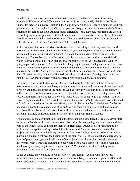Deadlines in many ways are quite similar to constraints. But there are two or three really important differences. One difference is that the deadline is very easily visible in the Gantt Charts. It's actually a physical marker in the Gantt Chart, which you'll see in a moment. And you get not only a marker in the Gantt Chart, but you can also get warning indicators in the Indicator column to the left of the table. Another major difference is that although constraints are used in scheduling, as you saw just now with the limitation on the availability of one of the bridesmaids Deadlines are not actually used in scheduling. They are used in some calculations associated with scheduling but they don't actually affect the schedule itself.

So let's suppose that we decided obviously we want the wedding to be a huge success. But if possible, we'd like to schedule it in a better time of year. So maybe it's always been our dream to have an autumn or fall wedding. So I want to change the actual date of the wedding to the beginning of September. So what I'm going to do is go down to the wedding date task itself which is down here task 41, open that up, and I'm going to go to the Advanced tab. And I'm going to put a deadline on it. And the deadline I'm going to put on it is September the first. Now, you can't actually see September at the moment in the Gantt Chart on the right there, so let me just zoom out a little. And now you can see that the deadline marker, the green arrow, just there. And if I hover over it, you see deadline task, wedding day, deadlines, Sunday, September, the first 2019. Now, that's a purely visual marker, it won't put in a physical limitation.

But clearly, as we work further on the plan, we need to try to make sure that the wedding day never moves to the right of that dates, we've got quite a lot more to do on it yet. So we don't need to worry about that too much at the moment. And as I say, if we do start to get a problem, we will see an indicator in the column at the left of the table. So I have two other things to do in this section, both fairly quick things to show you. First of all, I'm going to go into Options, so File, Down to options. And on the Schedule tab, one of the options is "auto scheduled tasks scheduled on" and we changed it to "project start dates", which is the setting that I usually use. But let me just change that to Current date, and click on OK. And then I'm going to go and insert a new task. Now if I double click and take a look at the constraints on that new task, it doesn't have an as soon as possible constraint, it has a start no earlier than constraints of today.

Which means as the constraint implies that the task cannot be scheduled by Project 2019 to start earlier than that dates. So that's an important distinction. I'm now going to cancel that and delete both of those new tasks. So highlight them both, right click, Delete task. I'm just going to go back in and change that setting. So back to schedule. And I'm going to change this back to project start date, because that is my preference. The second thing I want to do here is to make quite a big change, right near the beginning of the plan. So ID 2, agree budget and approach, in terms of project management itself, quite often projects have phases. And probably the most likely phase with a wedding planning project would be that we'd start off by saying, well, how much money are we going to need to spend on this? What sort of level of spending are we looking at? And what will our approach be?

So for example, are we talking about a relatively small family wedding with maybe just immediate family and a dozen or so people? Or are we talking about a much grander affair with two to 300 guests and maybe even more than that, attending the reception and entertainment in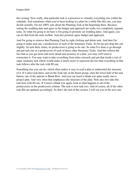the evening. Now really, that particular task is a precursor to virtually everything else within the schedule. And sometimes when you've been looking at a plan for a while like this one, you may decide actually, I'm not 100% sure about the Planning Task at the beginning there. Because, setting the wedding date and agree in the budget and approach are really two completely separate tasks. So what I'm going to do here is I'm going to promote set wedding dates. And again, you can do that from the mini toolbar. And also promote agree budget and approach.

And I'm going to remove that Planning Task by right clicking and delete task. And then I'm going to make task one, a predecessor of each of the Summary Tasks. So let me just drag this out slightly. So task three Attire, its predecessor is going to be one. So what I've done is go through and put task one as a predecessor of each of those other Summary Tasks. And this reflects the fact that as you get more and more detail and accuracy in a plan, you may well want to restructure it. You may want to take everything from attire onwards and put that inside a sort of super summary task which would make it much easier to represent the fact that everything in that task follows after the task with ID one.

Something else you can do, which often makes it easy to read a plan to understand the structure of it. If I select task three, and on the Task tab, in the Insert group, click the lower half of the task button, one of the options is Blank Row. And you can insert a blank row quite neatly into a project plan. And very often that emphasizes the structure of the plan. Note also let's take this task here with ID one. If I insert a blank row again, look at what happens to all of the predecessors in the predecessor column. The task is now task two. And of course, all of the other task IDs are updated accordingly. So that's the end of this section. I will see you in the next one.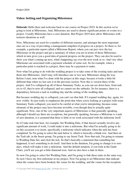#### **Video: Setting and Organizing Milestones**

**Deborah:** Hello there and welcome back to our course on Project 2019. In this section we're going to look at Milestones. And, Milestones are used to denote significant points or events in a project. Usually Milestones have a zero duration. But Project 2019 does allow Milestones with nonzero durations as well.

Now, Milestones are used for a number of different reasons, and amongst the most important ones are as a way of providing a management snapshot of progress on a project. So there is, for example, a particular report called a Milestone Report, where you can just view the key Milestones in the project and get a summary of where you are in terms of those Milestones, which in turn gives you a good idea of general progress on the project. They can also be used to show you what's coming up next, what's happening say over the next week or so. And very often Milestones are associated with a payment schedule of some sort. So for example, when a particular point is reached in a project, there may be a payment to make.

Now what I'm going to do with the wedding project is to take some of the existing tasks and turn them into Milestones. And I may will introduce one or two new Milestones along the way. Before I start, note what I've done with the project at this stage, because it looks a little bit different than when we last saw it in the previous section. Now this is version three of the project. And I've collapsed up all of those Summary Tasks, as you can see down here, from task six to 43, they're now all collapsed, and we cannot see the subtasks. So for instance, there is a dependency between a task in wedding day and the setting of the wedding date.

But because wedding day is collapsed, you can't see that link. If I expand wedding day, again, it's now visible. So just really to emphasize the point that when you're looking at a project with some Summary Tasks collapsed, you need to be careful at what you're interpreting, because some elements of the project may have become invisible, even though they're actually quite significant. Now, one of the very important aspects of Milestones is that generally speaking, although I should say there are exceptions, but generally speaking, because a Milestone is a task of zero duration, it is assumed that there is little or no work associated with the milestone itself.

So if I take task four here, for example, Set Wedding Date, if that doesn't actually involve any significant amount of work, I could make it into a milestone. But what I'm actually going to do on this occasion is to insert, specifically a milestone which indicates when the task has been completed. So I'm going to select the task below it, which is basically a blank row. And then on the Task tab, in the Insert group, I'm going to say Insert Task. Now that task, I'm going to rename to Wedding Date Set, and click the tick. So that's basically a statement that something has happened, it isn't something to do itself. And then in the duration, I'm going to change it to zero days, which will make it into a milestone. And the default notation, if you look at the Gantt Chart, you'll see you get a little diamond icon. And we also have a date in there.

So now I'm going to select Set Wedding Date, and I'm going to link these tasks in the same way. So now I have my first milestone in my project. Now I'm going to set Milestones that indicate when the venues have been booked, the venue for the wedding, and the venue for the reception.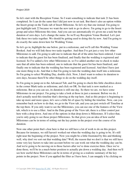So let's start with the Reception Venue. So I want something to indicate that task 21 has been completed. So I can do the same that I did just now in set task. But there's also an option within the Insert group on the Tasks tab of Insert Milestone. So let's try that one instead. I'm going to just highlight task 22 because we want the new task to go in above. I'm going to go to the Insert group and select Milestone this time. And you can see automatically it's given me a task but the duration of zero days. Let's change the name. So we'll say Reception Venue Booked. Let's just link these two tasks together. We should be getting used to doing this by now. And I'm going to do exactly the same down here for Wedding Venue.

So let's go in, highlight the one below, put in a milestone, and we'll call this Wedding Venue Booked. And we will link these two tasks together. And then I've got just a very few other Milestones to add. I'm going to add one to indicate that all of the attire has been ordered, I want to indicate that the guest list has been finalized, and finally that the wedding is registered and licensed. So I've added a few other Milestones in. so I've added another one to check to make sure that all attire has been ordered, one to indicate that the guest list has been finalized, and finally one to indicate that the wedding has been registered and licensed. And then I have just one more thing to do. And that is that I'm going to turn the wedding date itself into a milestone. So I'm going to select Wedding Day, double click. Now, I don't want to reduce its duration to zero days, because there'll be other things to do on the wedding day itself.

So I'm going to jump on to the Advanced Tab, and I'm going to check this little checkbox down in the corner Mark tasks as milestone, and click on OK. So that task is now marked as a milestone. But as you can see, its duration is still one day. So there we are, we have some Milestones in our project. I'm going to take a look at those in just a moment. Before we do, I don't actually need this timeline that's showing at the top here. And as this project is beginning to take up more and more space, let's save a little bit of space by hiding the timeline. Now, can you remember back on how to do that, we go to the View tab, and you can just switch off Timeline at the top there. If you only want to see the Milestones, you can use one of the features of the View tab, which is to use a filter. And in the Data group of the View tab, there is a filter control just here with a drop down. And one of the options in that drop down is Milestones. If I select that, you're only going to see those project Milestones. So that gives you an idea of how useful Milestones can be in terms of setting out the key points in the project over the course of its duration.

Now one other point that's clear here is that we still have a lot of work to do on this project. Because for instance, we still haven't worked out when the wedding day is going to be. It's still right near the beginning of the project. Now you might be a little frustrated by this and thinking well, why don't we sort out that wedding date? Well, the reason that we don't is that we still have some very key factors to take into account before we can work out what the wedding day can be. And we're going to be moving on to those factors after we've done exercise three. Once we've done those, we'll be in a much better position to actually pin down a wedding day. And then we'll see how useful these Milestones can be in terms of giving us a realistic summary of the key points in the project. Now if you applied the filter as I have here, I can unapply it by clicking on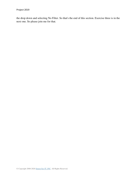the drop down and selecting No Filter. So that's the end of this section. Exercise three is in the next one. So please join me for that.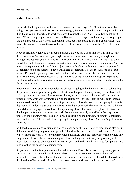#### **Video: Exercise 03**

**Deborah:** Hello again, and welcome back to our course on Project 2019. In this section, I'm going to set you exercise three. And as exercises go, this one is actually quite a long exercise and it will take you a little while to work your way through this one. And it has a few constituent parts. What we're going to do is to take the Bathroom Refit project, and not only are we going to add the durations of the various component tasks, but we're going to put in Dependencies. And we're also going to change the overall structure of the project, for reasons that I'll explain in a moment.

Now, sometimes when you go through a project, and you have your first try at listing out all of those tasks as we've done here, you might be successful in some ways, and you might make it through that list. But you won't necessarily structure it in a way that lends itself either to easy scheduling and planning, or to easy understanding. And you can finish up in a situation. And this is what is happening in the wedding project that you finish up with many, many complicated Dependencies. So for instance, I have a task here Preparation, it's task 16. And one of its sub tasks is Prepare for painting. Now we know that further down in the plan, we also have a Paint task. And clearly one predecessor of the paint task is going to have to be prepare for painting. But there will also be various tasks following on from painting that depend on it, such as actually fitting the equipment.

Now whilst a number of Dependencies are obviously going to be the cornerstone of scheduling the project, you can greatly simplify the structure of the project once you've got your basic list of tasks by dividing the project into separate phases, and making each phase as self-contained as possible. Now what we're going to do with the Bathroom Refit project is to make four separate phases. And from the point of view of Dependencies, each of the four phases is going to be selfdependent. Now looking at what's involved in this bathroom, refit the four phases that I think we should divide the project into a basically a planning phase, that would be a phase of activities that happen before we start doing the work. So planning certainly would be in the preparation phase, or the planning phase. But also things like arranging the finances, finding the contractors, so on and so forth. The second phase is going to be a purchasing phase. And there's quite a lot of selecting to do.

So I need to select paint, equipment, tile, so on and so forth. And I need to order it and also get it delivered. And I'm going to need to get all of that done before the work actually starts. The third phase will be the work itself. So the implementation itself. And the final phase will be where any snags are dealt with, the sort of cleaning up phase making sure that everything is ready to be used. Now in order to give you the information you need to do this division into four phases, let's take a look at my answer to exercise three.

So you see there the four phases as collapsed Summary Tasks. Task two is the planning phase summary task, and its total duration is 12 days and you can see the different columns of information. Clearly the values in the duration columns for Summary Tasks will be derived from the duration of its sub tasks. But the predecessors' column shows you the predecessors of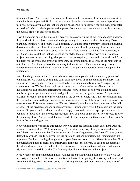Summary Tasks. And the successes column shows you the successes of the summary task. So if you take for example, task ID 21; the purchasing phase, its predecessor, the one it depends on is task two, which as you can see is the planning phase. And its successor, the one that comes after it is task 40, which is the implementation phase. So you can see there the very simple structure of the overall project in those four phases.

Now if I open up one of the phases, I'll give you an overview now of the Dependencies and how they work within the phase. Now within the planning phase, there are three Summary Tasks; planning, contractors, and finance. And basically with these three Summary Tasks the individual durations are there and lots of individual Dependencies within the planning phase are also there. So for instance, if we look at scoping, which is task four, you can see it has five successors, task 5678, and nine. And these include selecting the style, deciding whether we're going to have a project manager or not, checking what permissions are required, if any to do the work, and fixing the dates for the works and arranging temporary accommodations to use whilst the bathroom is out of action. And then we have the summary task contractors. This is where we get some contractor recommendations, we make a shortlist, we get some quotations then we appoint the contractors.

Note that the get Contractor recommendations task runs in parallel with some early phases of planning. But we won't be getting any contractor quotations until the planning Summary Tasks, so task three is complete. Because we want to be clear about exactly what we're expecting the contractor to do. We then have the finance summary task. Once we've got all our contract quotations, we can set about arranging the finance. Now in order to help you get all of these numbers right; to get the durations in and get the Dependencies right and so on. I've prepared a text file for each of the four phases, which is in the exercise folder. And it lists the durations and the Dependencies, also the predecessors and successors in terms of the task IDs, in my answer to exercise three. If for some reason your IDs are differently number to mine, then clearly that will affect all of the predecessors and successor values. But hopefully, your ID numbers are the same as mine. So you should be able to use this to help you not only enter the appropriate durations, but also to set up all of the correct dependences. So I've got up on the screen now the text file for the planning phase. And as I said, there is a text file for each phase in the exercise folder. So let's look at the purchasing phase.

Now you might be wondering throughout why you can't see start and finish dates here. And my answer to exercise three. Well, whenever you're working your way through exercise three, it won't be on the same dates that I'm recording this. So to a large extent, the dates if I gave you my dates, they wouldn't really help you. It's the durations that are important, the Dependencies are important. But I'm assuming throughout that your dates are going to be different from mine. Now the purchasing phase is pretty straightforward. It includes the delivery of each of the materials, the tiles and so on. So at the end of this, I've introduced a milestone there, which is task number 38, which is all materials on site. That's a very significant milestone in the project.

Next we have the implementation phase. And let me explain the main points here. Now we set up a skip a receptacle for the waste products which arise from gutting the existing bathroom, and from the building work that we're going to do fitting the new bathroom. Then we have a lot of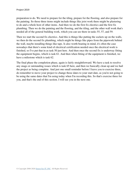preparation to do. We need to prepare for the tiling, prepare for the flooring, and also prepare for the painting. So those three items might include things like joist work there might be plastering to do and a whole host of other items. And then we do the first fix electrics and the first fix plumbing. Then we do the painting and the flooring, and the tiling, and the other wall work that's needed all of the general building work, which you can see there in tasks 55, 57, and 59.

Then we start the second fix electrics. And this is things like putting the sockets up on the walls, we then do the second fix plumbing, which might be things like pipes from the pipework behind the wall, maybe installing things like taps. Is also worth bearing in mind, it's often the case nowadays that there's some kind of electrical certification needed once the electrical work is finished, so I've put that in as task 50 just here. And then once the second fix is underway fitting the equipment begins, which is task 61. And then when fitting of the equipment is finished, we have a milestone which is task 62.

The final phase the completion phase, again is fairly straightforward. We have a task to resolve any snags or outstanding issues which is task 65 here, and then we basically clean up and we hail the project as being complete. And just one small reminder before I leave you to exercise three, do remember to move your project to change those dates to your start date, as you're not going to be using the same dates that I'm using today when I'm recording this. So that's exercise three for you, and that's the end of this section. I will see you in the next one.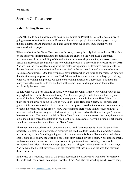## **Section 7 – Resources**

#### **Video: Adding Resources**

**Deborah:** Hello again and welcome back to our course on Project 2019. In this section, we're going to start to look at Resources. Resources include the people involved in a project, they include equipment and materials used, and various other types of resource notably cost associated with a project.

When you look at the Gantt Chart, such as this one, you're primarily looking at Tasks. The table on the left gives information about the tasks and the charts on the right gives a graphical representation of the scheduling of the tasks, their durations, dependencies, and so on. Now, Tasks and Resources are basically the two building blocks of a project in Microsoft Project 2019. And we link the two together using what are called Assignments or Resource Assignments. In this section, we're going to look at Resources. And in the next section, we're going to look at Resource Assignments. One thing you may have noticed when we're using the View tab before is that the first two groups on the left are Task Views and Resource Views. And largely speaking, when we're looking at a project, we tend to be looking at tasks or at resources. But there are many views that enable us to look at both at the same time. And in particular, look at the relationship between them.

So far, when we've been looking at tasks, we've used the Gantt Chart View, which you can see highlighted there in the Task View Group. And for most people, that's the view that they use most of the time. Of the Resource Views, a very popular view is Resource Sheet View. And that's the one that we're going to look at first. So if I click Resource Sheets, this spreadsheet gives us information about all of the resources in our project. And at the moment, as you can see, we have no resources in our project. Now we're going to start to add some resources in just a moment. But before we do, just look down at the right hand end of the Status Bar, you'll see we have some icons. The one on the left is Gantt Chart View. And the three on the right, the one that looks most like a spreadsheet takes us back to the Resource Sheet. So you'll probably get used to switching between Resource Sheet and Gantt Chart.

The other two views, the ones in between are also used fairly frequently. Task Usage, which basically lists tasks and shows which resources are used in a task. And at the moment, we have no resources, so there's nothing being used. And the next one is Team Planner View, which can enable us to look at how the work in a project is distributed between a team. Now at the moment, we have no team because we have no resources to put into a team. So let's go back to the Resource Sheet View. The two main projects that I'm using on this course differ in many ways. And perhaps the biggest difference is in the resources that they use, and the way that they use those resources.

In the case of a wedding, some of the people resources involved which would be for example, the bride and groom won't be charging for their time. And also the wedding won't involve using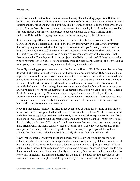lots of consumable materials, not in any case in the way that a building project or a Bathroom Refit project would. If you think about our Bathroom Refit project, we have to use materials such as paint and floor tiles and that kind of thing. The difference is going to be even bigger when we start looking at Costs. Because when it comes to cost, for example, the bride and groom wouldn't expect to charge their time on this project to people, whereas the people working on the Bathroom Refit will be charging their time to whoever is paying for the bathroom refit.

So there are many differences between these two projects in relation to how they handle resources and the associated costs. But I hope that by dealing with two such different projects that we're going to in turn deal with many of the situations that you're likely to come across in future when using Project 2019. Now as we add resources to the Resource Sheet, each row on the sheet represents a resource and each column represents a property of that resource. So the first resource that I'm going to add to this project is the Bride. And first of all I need to say what type of resource is the bride. There are basically three choices; Work, Material, and Cost. And as we're going to see this is not always a particularly easy choice to make.

Generally speaking people are entered onto the Resource Sheet as Work Resources because they do work. But whether or not they charge for that work is a separate matter. But, we expect them to perform tasks and complete work rather than as in the case of say materials be consumed by a job used up in doing a particular task. Or, a cost where we basically say with a task that it has a certain cost, but isn't necessarily performed by an individual, or involve the consumption of some kind of material. Now we're going to see an example of each of these three resource types. But we're going to work for the moment on the principle that when we add people, we're adding Work Resources generally. Now when I choose a type for a resource, I will get different accessible selection of properties here. So for instance, when I declare that a particular resource is a Work Resource, I can specify their standard rate, and at the moment, that zero dollars per hour, and I can specify their overtime rate.

Now, as I mentioned, just now the bride is not going to be charging for her time on this project. So we don't need to assign a standard rates or overtime rate for the bride. We do, however, need to declare how many brides we have, and we only have one and she's represented by that 100% just here. If I were dealing with say bricklayers, and I was building a house, I might say I've got three bricklayers. So that's 300%. And I could save the standard rate that it costs me to employ those bricklayers. And then I can also enter an overtime rate, I also have a cost per use. So for example, if I'm dealing with something where there is a setup fee, perhaps a delivery fee or a contract fee, I can specify that here. And I normally also specify an accrual method.

Now for the moment, I want you to ignore a cruel. And I also want you to ignore the next column, which is the calendar that this particular resource uses, which by default is our standard base calendar. Now, we're not looking at calendars at the moment, so just ignore both of those columns. Now, when it comes to using any resource on a project, it's always a good idea to give that resource initials whereby we can identify that resource, for example, on the Gantt Chart. So for bride, I'm literally just going to put Bride for the initials. So that's my first resource set up. Now it would only seem right to add the groom as my second resource. So let's add him in here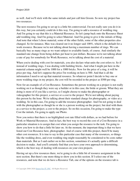as well. And we'll stick with the same initials and just call him Groom. So now my project has two resources.

The next resource I'm going to set up is a little bit controversial. I'm not really sure you do it in this way, but you certainly could do it this way. I'm going to add a resource of wedding ring. And I'm going to say that this is a Material Resource. So let's jump back onto the Resource Sheet add wedding ring. And I'm going to select Material. And I'm going to give it the initials of Ring. And note that when I chose material, some of the other fields, some of the other properties also changed. So for instance, Max was cleared out it no longer said 100%, which is the default for a work resource. Because we're not talking about having a maximum number of rings. We can basically buy as many rings as we want subject to available funds, of course. And similarly the standard rate change from being dollars per hour to just dollars. Because we're not talking about a rate of pay for somebody for Work Resource, we're talking about the cost of a material.

When you're dealing with cost for materials, you also declare what units the cost refers to. So if instead of wedding rings, I was dealing with building bricks. And what I might put here in the material column might well be 1000 for a 1000 bricks. Now for the price of a ring, it will be price per ring. And let's suppose the price I'm working on here is 500. And that is all the information I need to set up that material resource. So whatever point I decide to buy one or more wedding rings in my project, the cost will be recorded in the project as \$500 per ring.

Now for an example of a Cost Resource. Sometimes the person working on a project is not really working on it as though they were say a builder or in this case, the bride or groom. What they are doing is more of if you like a service, so I might choose to make the photographer or videographer for this project, a service or a cost to the project. We're not talking about paying this person by the hour. We're talking about their standard charge for photography, or video at a wedding. So in this case, I'm going to add the resource photographer. And I'm not going to deal with the photographer as though he or she is a person working on the project, but deal with them as a service to the project; a cost to the project. So on this occasion, I'm going to make the type Cost the initials, I'm going to apply our Photo.

Now you notice that there is no highlighted cost rate filled with dollars, as we had before for Work or Material Resources. And in fact, the best way to record the cost of a Cost Resource in a particular situation is to assign that cost when you assign the resource to the task. I'm going to show you how to do that a little bit later on. At the moment, the important thing is that we have listed our Cost Resource here, photographer. And of course with this project, there'll be many other cost resources. It is true to say in this particular case that many of the resources, so things like the wedding dress, and even wedding ring might reasonably be considered to be costs rather than materials. But as I said earlier on in this section, sometimes it's actually quite a difficult decision to make. And you'll certainly find that you have your own approach to determining, which is the best way of dealing with resources on your own projects.

Having set up a few resources there, we're going to do a little bit of resource assignment in the next section. But there's one more thing to show you in this section. If I select one of the resources, and note that we do have a Resource Tab, one of the options on the resource tab is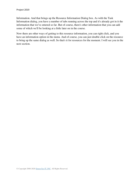Information. And that brings up the Resource Information Dialog box. As with the Task Information dialog, you have a number of tabs running across the top and it's already got in it the information that we've entered so far. But of course, there's other information that you can add some of which we'll be looking at a little later on in the course.

Now there are other ways of getting to this resource information, you can right click, and you have an information option in the menu. And of course, you can just double click on the resource to bring up the same dialog as well. So that's it for resources for the moment. I will see you in the next section.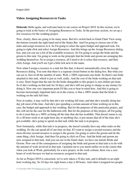## **Video: Assigning Resources to Tasks**

**Deborah:** Hello again, and welcome back to our course on Project 2019. In this section, we're going to look at the basics of Assigning Resources to Tasks. In the previous section, we set up a few resources for the wedding project.

Now, clearly, there are going to be many more. But let's switch back to Gantt Chart View using the buttons towards the right hand end of the Status Bar. And I'm going to choose one of the tasks and assign resources to it. So I'm going to select the agree budget and approach task, I'm going to right click and select Assign Resources. And this brings up the Assign Resources dialog box, and you can see a list of the available resources. So I'm going to assign the bride and the groom to this task. I'm going to work on the principle that the bride and groom are arranging this wedding themselves. So to assign a resource, all I need to do is select that resource, and then click Assign. And you'll see I get a little tick next to the name.

Now when I assign a resource to a task list like that, it doesn't automatically close the Assign Resources dialog. You note that there is a separate closed button in the dialog box. But what you can see is, first of all the number of units. Well, a 100% represents one bride. So there's one bride attached to this task, which is just as well, really. And the cost of the bride working on that task is zero. Don't forget that the rate for the bride chargeable to this project is zero dollars per hour. So if she's working on that task for 10 days, and she's still not going to charge us any money for doing it. Now one very important point I'd like you to bear in mind here. And this is going to become increasingly important later on in the course, is that a 100% means that the bride is working on the task full time.

Now in reality, it may well be that she's not working full time, and that she's actually doing her day job most of the time. And she's just spending a certain amount of time working on in this case, the budget and approach to her wedding. But for the purposes of this particular project, and this will not be the case for the bathroom refit. But for the purposes of this project, all I'm going to do is treat that as a 100% as being all the time that she has available. That doesn't mean to say it's a 40 hour week or an eight hour day or anything else, it just means that all of the time she's got available, she's going to spend on that task while the task is in progress.

Now fortunately, while that task is in progress, she doesn't actually have any other tasks on the wedding. So she can spend all of our time on that. If I want to assign a second resource and the most obvious second resource to assign is the groom, I'm going to select the groom and do the same thing, click Assign. And then I'm going to click on Close. And the bride and groom are now assigned to that task. And you can see in the Gantt chart, we have our initials Bride and Groom. Now one of the consequences of assigning the bride and groom to that task is to do with the amount of work involved in that task. I pointed out to you much earlier on in the course that when you look at Work, particularly for a new project, in the work column, there was a zero hours of work because we had no resources assigned to that task.

As far as Project 2019 is concerned, we've now taken a 10 day task, and it defaults to an eight hour working day. So 10 days for eight hours a day is 80 hours. And when I assigned two people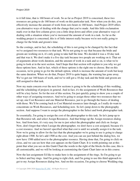to it full time, that is 160 hours of work. So as far as Project 2019 is concerned, these two resources are going to do 160 hours of work on this particular task. Now when you do this, you effectively increase the amount of work from zero hours to 160 hours. And Project 2019 offers you alternative ways of dealing with the change that you've made. And this little exclamation mark over in that first column gives you a little drop down and offers your alternative ways of dealing with a situation where you've increased the amount of work in a task. As far as the wedding project is concerned, this is of little interest really because we're not really going to charge for the bride and groom's time.

So the costings, and in fact, the scheduling of this is not going to be changed by the fact that we've assigned two resources to that task. We're not going to say that because the bride and groom are working on it, it's only going to take half the time. We decided it was a 10 day task and that was it. We don't make it a five day task because two people are working on it. That set of arguments about work duration, and the amount of work in a task and so on, is what we're going to look at in the next section. And I hope that that section will explain to you why we get these options here. And in fact, which of these options is the right one to choose. But on this occasion, we're going to go for the default option, which is increase the amount of work but keep the same duration. When we do that, Project 2019 is quite happy, the warning has gone away. We've got our 160 hours of work, and we've still got a 10 day task and the bride and groom are still assigned to that task.

Now my main concern over the next few sections is going to be the scheduling of this wedding, and the scheduling of projects in general. And in fact, it's the assignment of Work Resources that will be a key factor. So for the rest of this section, I'm just quickly going to show you a couple of other ways of assigning resources. And we're going to assign those other two resources that we set up; one Cost Resource and one Material Resource, just to go through the basics of dealing with those. We'll be coming back to Cost Material resources later though, as I really do want to concentrate on Work Resources, and Scheduling now. So let's jump down to the photography section. And suppose I want to assign the photographer to the Select and book photographer task.

So essentially, I'm going to assign the cost of the photographer to this task. So let's jump up to that Resource tab, and select Assign Resources. And that brings up the Assign resources dialog box. And from here, it's very easy for me to just select the photographer and click on Assign. Now, don't forget that when I assign the photographer, we don't have a cost assigned, because it's a cost resource. And we haven't specified what that cost is until we actually assign it to the task. Now we're going to allow for the fact that the photographer we're going to use is going to charge right about 1500. So let's add 1500 as the cost. And you can see just behind the dialog box, we now have 1500 added next to the photographer resource. Having done that, I'm going to click on close, and we can see how that cost appears on the Gantt Chart. It is worth pointing out at this point that what you see on this Gantt Chart the words to the right of the blocks In this case, this is all customizable, and we will be looking at customizing the Gantt Chart later on in this course.

Now the last assignment I'd like to make here is the assignment of the rings. So I'm going to go to Select and buy rings. And I'm going to right click, and I'm going to use this third approach to get to my Assign Resources dialog box. And on this occasion, I'm going to choose Wedding ring.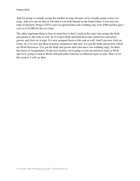And I'm going to actually assign the number of rings because we're actually going to buy two rings. And you can see that as I do that if you look behind on the Gantt Chart, it now has two rings in brackets. Project 2019 is also recognized that each wedding ring costs \$500 and has put a cost in of \$1,000 for the two rings.

The other important thing to bear in mind here is that I could at the same time assign the bride and groom to this task as well. So if I select bride and hold down the control key and select groom, and click on Assign, I've now assigned them to this task as well. And I can now click on Close. So, I've now got three resources assigned to that task. I've got the bride and groom, which are Work Resources. I've got the bride and groom and I also have two wedding rings. So that's the basics of Assignments. In the next section, we're going to turn our attention back to Work and we're going to look at Work with particular reference to different types of task. That's it for this section. I will see then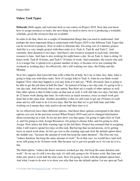## **Video: Task Types**

**Deborah:** Hello again, and welcome back to our course on Project 2019. Now that you know how to assign resources to tasks, the next thing we need to move on to is producing a workable schedule, given the resources that are available.

In order to do that, there are a couple of fundamental things that you need to understand. And perhaps the most important thing to understand with Project 2019 is the different Task Types that can be involved in projects. Now in order to illustrate this, I'm using sort of a dummy project. And this is a very simple project with three tasks in it; Task A, Task B, and Task C. And currently, their duration is two days. And there's one resource assigned to each task. And that resource is Jane. And Jane is also working for eight hours a day. So on Task A, Jane is doing 16 hours work, Task B 16 hours, and Task C 16 hours of work. And remember, the reason why task A is a longer bar, it spread over a greater number of days, is because we're not counting the weekend as working days. So effectively, she's still working two days, the Friday and the Monday.

Now let's suppose that I provide Jane with a little bit of help. So I say to Jane, hey, Jane, John is going to help you with these tasks. Now if I assign John to Task A, what do you think would happen? Now what may happen is you may look at it and say, "Well, obviously Jane is going to be able to get the job done in half the time". So instead of being a two day task, it's going to be a one day task. And obviously that is one option. But there are a couple of other options as well. One other option is that if John works on that task as well, it will still take two days, but they will do 32 hours work during that time. So with twice as much resource, twice as much work gets done but in the same time. Another possibility is that we still want to get our 16 hours of work done and we still want to do it in two days. But the fact that we've got both Jane and John working on it means they only need to devote half their time to it.

So we effectively have three different options. And those three options correspond to the three options you saw in the previous section When Project 2019 said you've changed information about resourcing on a task. So let me just show you that again, I'm going to right click on Task A, and I'm going to click Assign Resources. I'm going to choose John, and I'm going to click Assign. Now notice the little warning sign on the left there. Project has assumed that in assigning John, I still want to spend two days on this task. But having that second person, we're getting twice as much work done. So let's go over to the warning sign and click the default option there the middle one, "increase the amount of work but keep the same duration". The first one was "reduce duration, but keep the same amount of work". So in that case, we would have said well, we're still going to do 16 hours work. But because we've got two people on it, we can do it in a day.

The third option, "reduce the hours resources worked per day, but keep the same duration and work". So we say it's still a two day task, it's still only going to be 16 hours work. But Jane and John only need to work half the time each. Now I'm going to stick with the default option here. And what I want to do now is to show you why that was the default option. Let me open up Task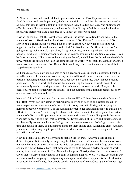A. Now the reason that was the default option was because the Task Type was declared as a fixed duration. And very importantly, the box to the right of that Effort Driven was not checked. So what this says is that this task is a fixed duration task, it's a two day task. And putting more effort in on it will not automatically reduce its duration. So my default is to keep the duration fixed. And therefore if I add a resource to it, I'll just get more work done.

Now let me look at Task B. Now the way that task B is set up is as a fixed work task. So the amount of work is fixed. And all fixed work tasks are Effort Driven. So note that the Effort Driven box is checked, but it's grayed out so I can't change it. Now what do you think will happen if I add an additional resource to this task? It's fixed work. It's Effort Driven. So I'm going to assign John to it. So right click, Assign Resources, John assigned, and look what happens. I still get 16 hours of work done. But of course, now with the additional resource, it can be done in one day. If I go over to the warning on the left, and click on the drop down the default now, "reduce the duration but keep the same amount of work". Well, that's the default for a fixed work task, which is always Effort Driven. But I could say, "Increase the amount of work but keep the same duration".

So I could say, well, okay, it's declared to be a fixed work task. But on this occasion, I want to actually increase the amount of work having put the additional resource in. and then I have the option of reducing the hour's resources work per day. So it could say, Okay, I'll put a second person on it, it's fixed work. But because I'm not changing the amount of work, each of the resources only needs to work part time on it to achieve that amount of work. Now, on this occasion, I'm going to stick with the defaults, and the duration of that task has been reduced by one day. Now let's look at Task C.

Now task C is a fixed unit task. And currently, it's not Effort Driven. Now, the significance of the Effort Driven part is whether in fact, what we're trying to do is to do a certain amount of work, to put in a certain amount of efforts. And in doing that, with flexing with varying the number of people working on it, or the duration in order to get that amount done. If a task is not Effort Driven, then we're not trying to achieve that certain amount of work or put in that certain amount of effort. And if I put more resources onto a task, then all that will happen is that more work gets done. And as a task that's currently not Effort Driven, if I assign additional resources, and let's really go to town this time, let's go back into assign resources. So let's go to town this time and add all of them. So I'm going to highlight them all and click Assign and close. And now you can see that we're going to get a lot more work done with four resources assigned to this task, 64 hours of work.

Now, as usual, I've got the yellow warning sign on the left there. And you could choose a different option. But basically, we're getting the default, which is "increase the amount of work, but keep the same duration". Now, let me undo that particular change. And let's go back in now, and make it Effort Driven. Now, that means we're trying to achieve a certain amount of work, putting in a certain amount of effort. Now what happens if I assign those three extra resources? Given that it's a fixed unit, what do you think is going to happen? Well, let's see. Let's assign our resources. And we're going to assign everybody again. And what's happened is that the duration is reduced. So in half a day, four people can do that amount of work. Once again, of course, I get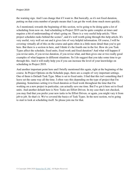the warning sign. And I can change that if I want to. But basically, as it's not fixed duration, putting on that extra number of people means that I can get the work done much more quickly.

As I mentioned, towards the beginning of this section, we're going to be doing quite a lot of scheduling from now on. And scheduling in Project 2019 can be quite complex at times and requires a bit of understanding of what's going on. There is a very useful help article; "How project schedules tasks behind the scenes", and it's well worth going through this help article. It's very useful, very well set out and it gives lots of very helpful information. Of course, I will be covering virtually all of this on the course and quite often in a little more detail than you've got here. But there is a section in here, and I think it's the fourth one in the list. How do you Task Types affect the schedule, fixed units, fixed work and fixed duration? And what will happen if you revise units, if you revise duration, if you revise what, and then gives one or two really good examples of what happens in different situations. So I do suggest that you take some time to go through this. And it will really help you if you can increase the level of your knowledge on scheduling in Project 2019.

And another important point here and I briefly mentioned this again, right at the beginning of the course. In Project Options on the Schedule page, there are a couple of very important settings. One of them is Default Task Type. Mine is set to fixed units. I find that this isn't something that I leave set the same way all the time. I often vary this depending on the type of project that I'm planning. Sometimes setting it to fixed duration or fixed work throughout the time that I'm working on a new project in particular, can actually save me time. But I've got it here set to fixed units. And another default here is New Tasks are Effort Driven. In my case that's not checked, you may find that you prefer your new tasks to be Effort Driven, or again, you might vary it from job to job. So that's it. We've covered the basics of Task Types. In the next section, we're going to start to look at scheduling itself. So please join me for that.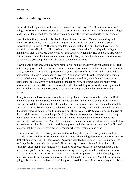#### **Video: Scheduling Basics**

**Deborah:** Hello again, and welcome back to our course on Project 2019. In this section, we're going to start to look at Scheduling. And as part of this, we have a couple of fundamental things to do to our plan in readiness for actually coming up with a realistic schedule for the wedding.

Now, the first thing I want to talk about is the difference between Manual Scheduling and Automatic Scheduling. And as part of doing that, I just want to explain something about scheduling in Project 2019. If you want to take a plan, such as this one that we have here and schedule it manually, there will be nothing to stop you. Now, what I mean by scheduling it manually is that you choose exactly which tasks starts on which date, and you check that you've got the time to do it, that the resources are available, that your constraints and deadlines are met, and so on. So you can pretty much handcraft the whole schedule.

Now in some situations, you may have projects where that's exactly what you decide to do. But with a large project with a lot of resources and many constraints, dependences, etc. that would be a very, very large job. It would probably take you quite a lot of time to maintain that schedule, particularly if there's a lot of change involved. And particularly if, as the project starts, things start to, shall we say, not go according to plan. Largely speaking, one of the main reasons that people use Project 2019 is to automate the scheduling. Now of course there are many other reasons to use Project 2019, but the automatic side of scheduling is one of the most significant ones. And it's the one that we're going to be concentrating on quite a bit over the coming sections.

So my fundamental assumption about the wedding plan and indeed about the Bathroom Refit is that we're going to Auto Schedule them. Having said that, and as we're going to see with the wedding schedule, within an auto scheduled project, you may well decide to manually schedule some of the tasks. So for instance, in the wedding plan, we may well actually manually schedule the actual wedding date and fix it in time and not allow Project 2019 to change it. But the rest of the schedule, we may be quite happy for Project 2019 to auto schedule. Now one of the things that I haven't done yet, and which I need to do now is to resolve the question of when the wedding day will actually be. And at the moment, of course, because wedding day or task 48 has no predecessors, it's almost the first task in the project, which clearly is not correct. I really need to show that the wedding day is going to happen when everything else is done.

I know there will still be a honeymoon after the wedding date. But the honeymoon itself isn't actually in the schedule at the moment. We've only got the making the shortlist, and selecting the destination and booking the honeymoon. We don't have the honeymoon itself. So in effect, the wedding day is going to be the last task. Now one way of doing this would be to have other summary tasks such as catering, flowers, memories as predecessors of the wedding day. But often, when you're starting to get into the scheduling of a project, you decide that one or more tasks or groups of tasks can be separated out into significant phases. And what I'm going to do here is to separate out the wedding day, and I think the rehearsal, as well. And I think these are going to be considered the last phase of this project. And then what I can do is to say that this last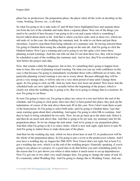phase has its predecessor; the preparation phase, the phase when all the work on deciding on the venue, booking, flowers, etc., is all done.

So what I'm going to do is take tasks 47 and 48 that I have highlighted here and separate them out from the rest of the schedule and make them a separate phase. Now one of the things you need to be careful of here because I am going to do a cut and a paste which is something I haven't talked about much so far. And that is where you have tasks such as these two, which are sub tasks of, in this case, the wedding day summary task. In order to cut them and put them elsewhere, I need to stop them from being subtasks of a summary task. So having selected them, I'm going to Outdent them using the schedule group on the task tab. And I'm going to click the Outdent button. Now I get a warning and you're going to see this quite a few times these planning wizard warnings. And this one tells me that if I out dent these two, they will no longer be scheduled as part of the wedding day summary task. And in fact, they'll be rescheduled to start before the project start date.

Now, that sounds a little bit dangerous, but in fact, it's something that's going to happen from time to time, this sort of planning wizard warning. On what you can say with confidence in this case is that because I'm going to immediately reschedule those with a different set of rules, this particular planning wizard warning is not one to worry about. Because although they will be given a very strange date, it will be only for a very short period of time until I change them again. So I'm going to click on OK. And my tasks have now been out dented. Now know that the scheduled tasks are now right back to actually before the beginning of the project, which is clearly not when the wedding day is going to be. But we're going to change that in a moment. So now I'm going to cut those.

So now I'm going to select cut, I'm going to place my cursor in a row just below the end of the schedule, and I'm going to click paste, then once they've been pasted into place, they pick up the indentation, of course of the task above them task 49 in this case. Now I don't want them as part of the honeymoon. So I'm going to select both tasks, and I'm going to Outdent them. I get that same warning again about their scheduling. And again, I'm going to click OK to continue. And they're back to being scheduled far too early. Now, let me go back up to the attire task. Select it, and then do an insert task above that. And that is going to be my task, my summary task for the preparation phase. So let me change the task name. And we're going to say preparation phase. And then what I'm going to do is to select Attire, which is now task eight, right down to task 50. And I'm going to indent those to make them part of the phase.

And then for the wedding day task, which we have down here in task 53, its predecessor will be the whole of the preparation phase. So I'm going to put a seven in the predecessor column. And I now have a wedding day on August the 20th 2019. Now I know that's not right, but at least I've got a wedding day now, which is at the end of the wedding project. Generally speaking, if you're going to use phases in a project, it's a good idea to do that before you start scheduling partly for the reason that I've just shown you where it often makes it much easier to set up dependencies. Now I've got one or two other very small changes here, I'm going to change the name of task 44. It's commonly called Wedding Day. And I'm going to change this to Wedding Venue. And one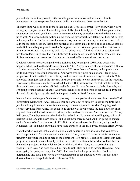particularly useful thing to note is that wedding day is an individual task, and it has its predecessor as a whole phase. So you can really mix and match these dependencies.

The next thing we need to do is check that our Task Types are correct. Very often, when you're setting up a project, you will have thought carefully about Task Types. You'll have your default set appropriately, and you'll also want to make sure that any exceptions from the default are set up as well. While we've been setting up the wedding day project, my default has been set to fixed units as you know. But let me just demonstrate to you now, and bearing in mind what we looked at in the preceding section, that in this particular project fix units is not a good choice. So let's go to the Select and buy rings task. And let's suppose that the bride and groom look at that task, and it's a four week task. And they say well, it's not going to be a full time job for us to select and buy the wedding rings over that time. Let's say it's only going to take half of our available time. So let's go into assign resources. And we get the Assign Resources dialog box again.

Obviously, these two are assigned to that task but they're assigned 100%. And watch what happens when I reduce the bride's assignment to 50%. As you can see, the task becomes a 40 day task, the amount of work continues to be set at 320 hours. Now, of course, in this project, the bride and groom's time isn't chargeable. And we're working more on a notional idea of what proportion of their available time is being used on each task. So when we say the bride is 50% allocated, that's just half of the time that she's got available to work on the plans for the wedding. Now clearly, the idea is not here to extend that task. But just to reflect the fact that the bride's time on it is only going to be half their available time. So what I'm going to do is close this, and I'm going to undo that last change. And what I really need to do here is to set the Task Type for this and effectively every other task in the project to be a Fixed Duration task.

Now if I want to change a fundamental property of a task you've already seen, I can use the Task Information Dialog box. And I can also change a whole set of tasks by selecting multiple tasks just by holding down my control key and using the same approach. So what I'm going to do is select everything from Attire. I'm going to go all the way down to task 15, hold down my shift key and click and that will select everything between those two tasks. And then with the Ctrl key held down, I'm going to make other individual selections. So rehearsal, wedding day, if I scroll back up to the top, hold down control, and select those three as well. And I'm going to change each of those to be fixed duration. So if I click on Information on the Task tab, and go to the Advanced Tab, and make sure that I have fixed duration in the Task Type, and not Effort Driven.

Note that when you see just a black blob or a black square in a box, it means that you have a mixed type in there. So some are and some aren't. Now, you need to be very careful when you transfer what you're looking at here to the Bathroom Refit project. Because, the Bathroom Refit project has a situation with Task Types that are a little bit different from what we have here in the wedding project. So let's click on OK. And that's all fine. Now, let me go back to that wedding rings task. And once again, I'm going to right click and go to Assign Resources. And once again, I'm going to change it to 50%. And watch what happens this time. Look at the duration and also look at the work. Now what happens is the amount of work is reduced, the duration has not changed, the bride is shown at 50%.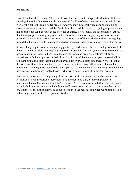Now if I reduce the groom to 50% as well, you'll see we're not changing the duration. But we are showing the each of the resources is only needed for 50% of their time over that period. So now we've got what looks like a better project. And you may think that we're coming up to being close to having a workable schedule. But in fact, the schedule we've got is going to present some major problems. And as you can see here, for example, if you look at the second half of April, that the major problem is going to be that we have far too many things going on at once. And given that the bride and groom are going to be doing a lot of this work themselves, we're going to find that they're going to be over allocated on some parts during certain periods of this project.

So what I'm going to do now is to quickly go through and allocate the bride and groom to all of the tasks in the schedule that they're going to be responsible for. And you can start to see how we have a scheduling issue. So here I've allocated the bride and groom, sometimes full time, sometimes with the proportion of their time. And in the left hand column, you can see the little red symbol that indicates that that particular task has over allocated resources. Now if I look at the Resource Sheet, I can see that the two resources that have over allocation problems that means that they've got too much to do over a period of time are the bride and the groom, which is no surprise. And how we resolve those is what we're going to look at in the next section.

Now as I mentioned at the beginning of this section, it's in our interest to be able to automate the resolution of over allocation of resources. But in order to do that, it's also important to understand the context within which we're working. So for instance, which things we can delay and which things we can't and which things we'd prefer not to delay if it can be avoided and so on. But they're the issues that we're going to look at in the next section when we're going to look at leveling resources. So please join me for that.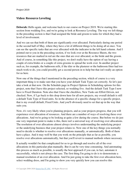## **Video: Resource Leveling**

**Deborah:** Hello again, and welcome back to our course on Project 2019. We're starting this section from wedding five, and we're going to look at Resource Leveling. The way we left things in the preceding section is that I had assigned the bride and groom to tasks for which they had a level of involvement.

And we can see that both of them are significantly over allocated. Particularly during one period in the second half of May, where they have a lot of different things to be doing all at once. You can see the specific tasks that are over allocated with the indicator in the left hand column. And I pointed out to you in the preceding section, if we look over at the Resource Sheets, the two resources that are marked in red are the ones that are over allocated, so the bride and the groom. And of course, in something like this project, we don't really have the option of say having a couple of extra brides or a couple of extra grooms to spread the work over. In another project such as, for example, the bathroom refit, if the tiler or the plasterer or the bathroom fitter had too much work to do, you could possibly get a second person in to help but that isn't really an option for us here.

Now one of the things that I mentioned in the preceding section, which of course is a very important thing is to make sure that you have your default Task Types set correctly. So let's just take a look at that now. On the Schedule page in Project Options in Scheduling options for this project, note that I have this project selected, so wedding five. And the default Task Type I now have is Fixed Duration. Note also that I have the checkbox, New Tasks are Effort Driven, not checked. Now, if I go back to this drop down here for all new projects, my overall default is still a default Task Type of fixed units. So in the absence of a specific change for a specific project, that is my overall default; Fixed Units. And you'll obviously need to set that up in the way that suits you.

Now, it's very likely when you're planning projects, and as your projects progress, that you will experience over allocation of resources. And there are a number of ways of resolving these over allocations. And we're going to be looking at quite a few during the course. But before we do just one very important point to make is this, there isn't a universal way of resolving over allocations. The resolution of over allocations almost always involves understanding the underlying project or the underlying business that your project relates to. Now one of the key things you normally need to decide is whether to resolve over allocations manually, or automatically. Both of them have a place. And it may well be that you work on the principle that as far as possible, you resolve over allocations automatically, but that you'll revert to manual methods where necessary.

It actually wouldn't be that complicated for us to go through and resolve all of the over allocations in this particular plan manually. But it can be very time consuming. And automating this process as much as possible, is usually the best approach if you can, in fact, automate it successfully, which is not always the case. The first thing I'm going to do is to demonstrate a manual resolution of an over allocation. And I'm just going to take the first over allocation here, select wedding dress, and I'm going to show you very quickly how you can resolve this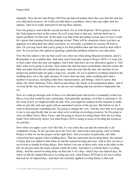manually. Now the fact that Project 2019 has put that red marker there that says that this task has over allocated resources. So it tells you that there's a problem. And it also says right click for options. And we're really interested in the top three options.

Now I'm going to start with the second one here; Fix in Task Inspector. We're going to look at the Task Inspector later in the course. So we'll come back to that one. And the third one is; Ignore problems for this task. In the same way that in the preceding section once or twice, I said let's ignore that warning from the planning wizard. There will be situations where you have an apparent over allocation but either you know, it's not really a problem for reasons I'll look at later. Or you may know that you're going to fix that problem later and don't need to deal with it now. So you do have the option of ignoring a particular problem related to over allocation.

Now the first option is the one that you'll very often use when doing Manual resolution, and it's Reschedule to an available date. And what you're basically saying to Project 2019, is I want you to find a date when this task can happen, And I don't then have an over allocation against it. And that's what we're going to do here. Now notice the task has been rescheduled. And also notice the little red mark from the left column has gone. And also note that the date, the end date of our project has pushed right out quite a long way, actually. So we've pushed everything related to the wedding dress out to the right, because of course that one task, select wedding dress had a number of successes, including order dress measurements, and fittings. And of course, that delays the Attire Summary Task, which in turn delays the whole of the preparation phase. And if we look all the way down here now, we can see our wedding date has moved to September the six.

Now we could go through each of those over allocated tasks and resolve it manually in that way. But as I say that would be time consuming. And generally speaking, we'd like to automate it. So let's look at how we might possibly do that. Now you might be tempted in this situation to undo what we just did, and start again with an automated version of the process. But before we do, I want to demonstrate something else, I'm going to change the view. And the view that we're going to use is one specifically that we use when we're working on leveling resources. So I'm going to click on Other Views, More Views, and I'm going to choose Leveling Gantt. Now the Leveling Gantt View effectively shows you what Project 2019 is doing in terms of leveling the resources on a project.

Now when you apply a new view like this, it's very often the case that the timescale is all completely wrong. So let's go back up to the View tab. And in the zoom group, click on Entire Project so that we see the project on the right there. And you notice in particular, this little colored bar here against select wedding dress. That bar represents the leveling delay; the amount of delay that was added to that when we did the manual leveling just now. And in fact, we have a set of tools to handle leveling delays. Now before I use one of those tools, look at the table on the left, let me just make the name column a little bit wider. And there's a column there; Leveling Delay. And the current leveling delay on that task is 42 e days. And E days are elapsed days. So when we did the manual Resource Leveling just now, what Project 2019 had to do was to delay that task by 42 elapsed days. And that's the currently applied Leveling Delay to that task.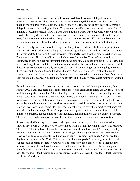Now also notice that its successes, which were also delayed, were not delayed because of leveling of themselves. They were delayed because we delayed the Select wedding dress task that had the resource over allocation. So their leveling e days are set at zero days, they weren't delayed because of a leveling problem. They were delayed because they are successors of a task that had a leveling problem. Now if I wanted to put this particular project back to the way it was, I could obviously do the undo. But I can also go to the Resource tab and click the button just here; Clear Leveling in the leveling group. And watch what happens if I clear the leveling. I get an option of clearing it from the whole project or the entire project or just the selected tasks.

And as I've only done one bit of leveling here, I might as well stick with the entire project and click on OK. And basically what happens is the task goes back to where it was before. And now if I revert back to Gantt Chart View, it would look exactly how it looked before. And of course I've got my over allocation indicator on the left there for task 10. Now before we look at automatically leveling, let me just point something else out. We asked Project 2019 to reschedule select wedding dress to a date where the resource wouldn't be over allocated. You can reschedule these things completely manually yourself. So there will be nothing to stop me going into any of these tasks and changing the start and finish dates. And I could go through all of them and change the start and finish dates manually scheduled the manually change their Task Types from auto scheduled to manually scheduled, if necessary, and fix any of these dates in time if I wanted to.

But what we want to look at now is the opposite of doing that. And that is putting everything in Project 2019 hands and seeing if it can resolve these over allocations automatically for us. So I'm back in the regular Gantt Chart View. And I go to the resource tab. And in that level group that we just saw, now there are two buttons there. There's a Level Resource, and a Level All. Level Resource gives me the ability to level one or more selected resources. So if all I wanted to do was to level the bride and make sure she's not over allocated, I can select one resource, and then click on level now. And Project 2019 will try to level the bride over the project so that she's not over allocated at any stage. Now, it's important to recognize it will try because it may well be that the constraints, the deadlines, the dependencies, that might mean that she cannot be leveled. There are going to be situations where she's just got too much to do over a period of time.

So you may find in many of the projects that you can't completely resolve over allocations, or should I say, not in a way that you're 100% happy with. So that's leveling an individual resource. The Level All button basically levels all resources. And if I click on Level All, I may possibly get one or more warnings. Now I haven't at this stage, which is good news. And there we are. Now, as you can see, most of the red markers in the first column have gone. And our wedding day is now on January the 23rd 2020. So the dates have got pushed out a long way. So overall, our schedule is coming together. And we've got some very good aspects of the schedule now because for example, we have the reception and venue identified, we have the wedding venue identified. And if they're both done before we send out the invitations, that's pretty good. We also have the wedding itself registered and organized. And we also have the wedding itself registered and licensed early on.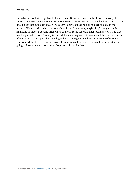But when we look at things like Caterer, Florist, Baker, so on and so forth, we're making the shortlist and then there's a long time before we book those people. And the booking is probably a little bit too late in the day ideally. We seem to have left the bookings much too late in the process. Whereas with other aspects such as the wedding rings, maybe they're roughly in the right kind of place. But quite often when you look at the schedule after leveling, you'll find that resulting schedule doesn't really tie in with the ideal sequence of events. And there are a number of options you can apply when leveling to help you to get to the kind of sequence of events that you want while still resolving any over allocations. And the use of those options is what we're going to look at in the next section. So please join me for that.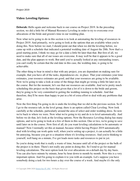## **Video: Leveling Options**

**Deborah:** Hello again and welcome back to our course on Project 2019. In the preceding section, we did a little bit of Manual Resource Leveling in order to try to overcome over allocations of the bride and groom's time in our wedding plan.

Now what we're going to do in this section is to look at automating the leveling of resources in Project 2019. And primarily, we're going to look at the options that are available when you're doing this. Now before we start, I should point out that when we did the leveling before, we came up with a schedule that indicated a potential wedding date of August the 20th. Now that's a good starting point, I think we may go for a date a little bit later than that. But first of all, we need to make sure that all of our issues are overcome. It may well be that it appears to be a good date, and the plan appears to work. But until you've actually looked at any outstanding issues, you can't really be certain that the end date in this case, the wedding date, is going to be achievable.

The other thing to bear in mind is that with any project, you are dependent on making sure for example, that you have all of the tasks, dependencies etc. in place. That your estimates your time estimates, your resource estimates are good, and that your resources are going to be available. Now we're going to take a look at some of the things that might go wrong a little bit later on in the course. But for the moment, let's see that our resources are available. And we're pretty much scheduling this project on the basis that given that a lot of it is down to the bride and groom, they're going to be very committed to getting the wedding running to schedule. And that therefore, they'll be more than happy to put in a bit of extra effort to deal with any problems that arise.

Now the first thing I'm going to do is undo the leveling that we did in the previous section. So if I go to the resource tab, in the level group, there is an option called Clear Leveling. Now look carefully at the schedule, particularly around the area of select and order wedding dress. So now we're back to where we were. Now what we're going to try and do is to level automatically. And before we do that, let's look at the leveling options. Now the Resource Leveling dialog has many options, and we're going to look at a few of them in this section. One or two, we're going to save until later on in the course. Now first of all, do you want leveling calculations to be automatic or manual? Now I normally set this at manual, because whilst having Project 2019 automatically deal with leveling can work quite well, when you're setting up a project, it can actually be a little bit annoying, because you get to a situation where it's leveling resources. And you're thinking to yourself, well hang on a minute, I've got loads more tasks and resources to put in yet.

So you're doing work that is really a waste of time, because until all of the project or the bulk of the project is in there. There's not really any point in doing this. So I tend to go for manual leveling calculations. The next option look for over allocations on a default day by day basis. You can also have minute by minute, hour by hour down to month by month. Now this is a very important option. And I'm going to explain it to you with an example. Let's suppose you have somebody doing a task for two hours a day over the course of a week. And maybe it's the only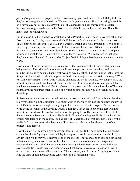job they've got to do on a project. But on a Wednesday, you need them to do a full day task. So they've got an eight hour job to do on Wednesday. If you have over allocations being looked for on a day to day basis, Project 2019 will look at Wednesday and say they're over allocated because they've got two hours on the first task, and eight hours on the second task. That's 10 hours, that's too much work.

But if instead I said on a week by week basis, what Project 2019 will do is to say let's set up that first task a week, five days, two hours, that's 10 hours. Let's add the time for the second task. That's eight hours. But if instead I said on a week by week basis, what Project 2019 will do is to say, Okay, let's set up that first task a week, five days, two hours, that's 10 hours. Let's add the time for the second task, and that's eight hours. So that's a total of 18 hours. And I've got plenty of time in a week to do 18 hours of work. So as far as Project 2019 is concerned in that case, they're not over allocated. Basically what Project 2019 is doing is leveling out or evening out the work.

Now in case of the wedding, well, we're not really that concerned about exactly what hours are being worked. The bride and groom have indicated the portion of the time they need on each task. So I'm going to be quite happy with week by week leveling. The next option is the Leveling Range. Do I want to level the entire project? Or do I want to just level a certain date range? What can sometimes happen when you're working on a long project is you may, for example, have the project in phases. And over the next phase, say the next few months, it may be important that you have the resources leveled. But for phases of the project, which are much further off into the future, leveling resources might be a bit of a waste of time, because you don't really have the detail in yet.

So leveling resources over that period really is a waste of time, and will flag problems that don't really yet exist. So in that situation, you might want to choose to say just the next few months to level. On this occasion, though, we're going to leave it at Level Entire Project. The next option we're going to look at is the Leveling Order. But in fact, I'm going to cover that last I want to look at the checkboxes below that first because I'm going to briefly review those. First of all, there's an option level only within available slack. Now we're going to talk about slack and the critical path later on in the course. But basically, if I check that box that says Level only within available Slack that means that leveling will be done in such a way that the end date of the project is not delayed.

Now this may well constrain how successful leveling can be. But it does mean that we can be certain that this isn't going to cause a delay in the project. At the moment this is unchecked, so any leveling we do may well delay the end of the project. The second option leveling can adjust individual assignments on a task. Rather than move a task and of course, the assignments associated with it for all of the resources that are assigned to the task. It can adjust individual assignments. So it could take one resource and adjust that resources assignment on a task in order to overcome an over allocation issue. That's currently checked so we're going to allow that. And the third option there, leveling can create splits in remaining work.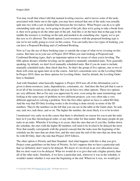You may recall that when I did that manual leveling exercise, and it moves some of the tasks associated with Attire out to the right, you may have noticed that one of the tasks was actually split into two with a sort of dashed line between the two halves. What Project can do is to split outstanding tasks and say, we're going to do part of the job, then we're going to take a break from it, then we're going to do the other part of the job. And this is on the basis that in that gap in the middle the resource is working on the task and needed to do something else. Again, we've got this text so it's allowed. The fourth option, Level resources with the proposed booking type is one we're not really going to cover on this course. You can really have two types of booking, you can have a Proposed Booking and a Confirmed Booking.

Now as I say the use of these booking types is outside the scope of what we're covering on this course. But later on in your use of Project 2019 When you start looking at Proposed and Confirmed Booking types, that's an important option to be aware of when you're leveling. The fifth option dictates whether leveling can be applied to manually scheduled tasks. Now generally speaking, by default, we don't level manually scheduled tasks. But if you do want to include manually scheduled tasks, then check that box. So that's the group of five options, one or two of them will come up again later on in the course. And let's concentrate now on the Leveling Order. In Project 2019, there are three options for Leveling Order. And by default, the Leveling Order here is Standard.

And with Standard, what basically happens is Project 2019 uses all of the information you've given it about resources, tasks, dependencies, constraints, etc. And does the best job that it can to level all of the resources on the project. But you do have two other options. These two options are very different. But as I'm sure you appreciate by now, even using the same terminology and looking at the same types of problem on two different projects, you very often take a very different approach to solving a problem. Now the first other option we have is called ID Only. And the way that ID Only leveling works is the leveling is done strictly in terms of the ID numbers. They're the numbers on the left that you can see in the table in the Gantt chart. So task one, task two, task three, and so on. The higher the number, the more likely it is to be leveled.

I mentioned very early on in the course that there is absolutely no reason for you to put the tasks here in if you like chronological order, or any other order for that matter. But many people do put tasks in an order. Whereby if leveling is to occur, then the ones that are if you like, further down the schedule, the ones with the higher ID numbers will tend to be leveled to be delayed the most. Now that usually corresponds with the general concept that the tasks near the beginning of the schedule are the ones that are done first, and the ones near the end of the ones that are done last. So with ID Only, that's the rule that Project 2019 follows.

The other option is Priority and then Standard. And what happens with this is that you give Project some guidelines on the basis of Priority. So let's suppose that we have a particular task that we definitely don't want to be delayed. We know it's involved in an over allocation issue, But we don't want it to be delayed. What we would do is to give that task a higher priority than all of the other tasks. Similarly, if we have a particular task, wherever it was in the schedule, it wouldn't matter whether it was near the beginning or the end. Wherever it was, we would give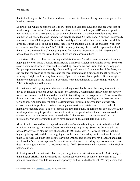that task a low priority. And that would tend to reduce its chance of being delayed as part of the leveling process.

So first of all, what I'm going to do is to try just to use Standard Leveling, and see what sort of results we get. So I select Standard, and I click on Level All and Project 2019 comes up with a new schedule. Now you're going to see some problems with the schedule straightaway. The number of red over allocation indicators is greatly reduced. So that's good. You won't necessarily always see them all disappear. But there is certainly a lot less than there were before we did the leveling. But let's look at our end date. I scroll down and take a look at the end date. Well, our end date is now December the 9th 2019. So currently, the way the schedule is planned with all the tasks that we have in we're not going to be finished until December the 9th 2019 but let's have a look at some of the issues because there are some issues in here.

For instance, if we scroll up to Catering and Make Caterers Shortlist, you can see that there's a huge gap between Make Caterers Shortlist, and then Book Caterer and Finalize Menu. So there's clearly some work needed there on the scheduling, because we don't want that huge, long gap. But perhaps even more importantly, if we scroll up and take a look at the order of the dress, we can see that the ordering of the dress and the measurements and fittings and the attire generally, is being left right until the very last minute, if you look at those dates up there. If you imagine that the wedding is in the middle of December, we're not doing any of these things related to Attire until right up to that date.

So obviously, we're going to need to do something about that because that's way too late in the day to be making decisions about the attire. So Standard Leveling hasn't really done the job for us on this occasion. So let's undo that. And let's try setting one or two priorities. Now one of the things that takes a little bit of getting used to when you're doing leveling is that there are quite a few options. And although I'm going to demonstrate Priorities now, you may alternatively choose to add things like constraints that they must start on a certain date, or even make the manually scheduled tasks. But let's suppose the first thing that I'm going to try is to say, well, the most important thing to get started with is to sort out the guest list and the invitations. And of course, as part of that, we're going to need to book the venues so that we can send out the invitations. And we're going to need to have decided on the actual date and so on.

Most of that is covered by the dependencies that we've already set up if I just make that a little bit wider. But let's go into Make Guest list and change its priority. So on the General tab, we have a Priority set to 500. So let's change that to 600 and click OK. So we're making that the highest priority task, and then we're going to do the same for sending out invitations. Let's make that 600 as well. And then let's go into Leveling Options and choose Priority Standard and click level. And let's see what happens. So now if we scroll down to wedding day, so we can see that date is now slightly earlier, it's December the 6th 2019. So we've actually come up with a slightly better solution.

So having sorted out that particular issue, we might turn our attention now to the Attire and give that a higher priority than it currently has. And maybe also look at some of the other tasks, perhaps ones which could do with a lower priority, so things like the florist. We may decide that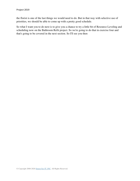the florist is one of the last things we would need to do. But in that way with selective use of priorities, we should be able to come up with a pretty good schedule.

So what I want you to do next is to give you a chance to try a little bit of Resource Leveling and scheduling now on the Bathroom Refit project. So we're going to do that in exercise four and that's going to be covered in the next section. So I'll see you then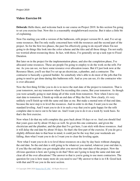#### **Video: Exercise 04**

**Deborah:** Hello there, and welcome back to our course on Project 2019. In this section I'm going to set you exercise four. Now this is a reasonably straightforward exercise. But it takes a little bit of explaining.

Now I'm starting you with a version of the bathroom, refit project version 04 A. and, I've set up some resources. But I'm only really concerned here with the resources and the second part of the project. So for the first two phases, the past I'm effectively going to do myself where I'm not going to do things like look into the color scheme and the tiles and all those things. I'm not really too worried about resourcing those. In fact, with those, I've generally set up a task type to Fixed Duration.

But later on in the project for the implementation phase, and also the completion phase, I've allocated some resources. These are people I'm going to employ to do the work on the refit. For me. As you can see, we have some resource over allocation issues. But if I just look now at the Resource Sheet, you'll see that I've set up an electrician, a plumber, and a contractor. The contractor is basically a general builder. So somebody who's able to do most of the jobs that I'm going to need to get done during this bathroom refit. And as you can see, it's the contractor who is over allocated.

Now the first thing I'd like you to do is to move the start date of the project to tomorrow. That is your tomorrow, not my tomorrow when I'm recording this course, But your tomorrow. As though you were actually going to start doing all of this work from tomorrow. Now when I move my start date to tomorrow, I finish up with an end date of May the first. Now clearly, it's very unlikely you'll finish up with the same end date as me. But make a mental note of that end date, because the next step is to level the resources. And in order to do that, I want you to use the standard leveling. And I want you to do it in such a way that you're quite happy for the refit complete date to move out to be later on. And I want you to do it on a week by week basis. So that's the first exercise.

Now when I do that my refit complete day goes back about 10 days or so. And you should find that yours goes out by about 10 days as well. So given this one contractor, and given the electrician and the plumber, and the plan that I've got here, I can stick with those resources. And it will delay the end date by about 10 days. So that's the first part of the exercise. If you do get a slightly different date to that bear in mind, it could just be the way that your weekends are falling, then what I want you to do is I want you to clear the leveling again.

 Now what I want you to do is to level those resources on a day by day basis without changing the end date. So the end date is still going to be whatever you started, whatever your end date is, if you like the end date you got straight after you moved the start date of the project. Now the obvious question is how am I going to do that? How am I going to keep the same end date and clear all of the over allocations? The answer to that is you're going to use more contractors. The question for you is how many more do you need to use? My answer to that is in 4 B. Good luck with that and I'll see you in the next section.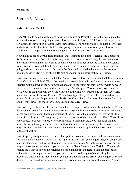# **Section 8 – Views**

## **Video: Views - Part 1**

**Deborah:** Hello again and welcome back to our course on Project 2019. In this section and the next section or two, we're going to take a look at Views in Project 2019. You've already seen a few different Views such as Gantt Chart View already. We're going to look at quite a few others in the next couple of sections. But I'm also going to introduce you to some general aspects of Views that will help you as your knowledge and use of Project 2019 develops.

Now in a little bit of a break from tradition, we're going to look at the exercise; the Bathroom Refit exercise version 04 B. And this is my answer to exercise four during this section. On one of the reasons for doing that is I want to explain a couple of things about my solution to exercise four. Hopefully, your solution to exercise four will have been pretty similar to mine. But I'm going to show you one or two tools that probably would have helped you to do the exercise a little more easily. But first of all, a little reminder about some basic features of Views.

Now we're currently showing Gantt Chart View. If you look on the View tab, the leftmost button Gantt Chart is highlighted. That's the one that's currently in use. Don't forget, you've got those specific buttons down at the bottom right hand end of the status bar that let you switch between some of the more commonly used Views. And you've also got a Zoom control down there as well. Now up on the ribbon, up on the View tab in the first two groups, one of them says Task Views and one of them says Resource Views. Now typically, you'll use the views in those two groups for those specific purposes. So clearly, the Views that you're most likely to use for tasks are in Task View. And those for resources are in Resource View.

However, if you click on Other Views, you'll see a complete list of Views from the More Views list just here. You'll find that as you use Project 2019, it will update some of the Views that are on the drop down menus based on your use of them. Now at the moment, I'm looking at More Views in the Resource Views group, you can see that one of the views there is Gantt Chart. So as you can see, I can access these Views from various different places. Now the other thing to remember is that many Views involve a split of the screen. In fact, some of them involve not only a vertical split like this one, but you can have a horizontal split, which we're going to look at in the next section.

Now it's pretty straightforward to move that split line to change how much information you can see on the table on the left here, or in the right of the chart. So, you can just drag and drag it back in again, depending on how much of each one you want to see. So that's entirely up to you, but very easy to change the way that you're viewing the Gantt Chart and the Task list. You can also change the width of any of the columns. So for example, if you decided that the predecessors' column here was maybe too wide, if you put the cursor to the right of the dividing line in its header and click with the mouse, when you get that double headed arrow, you can just click and drag in. Or you can drag out depending on how wide or narrow you want that column. And if I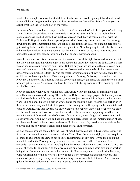wanted for example, to make the start date a little bit wider, I could again get that double headed arrow, click and drag out to the right and I've made the start date wider. So that's how you can adjust what's on the left hand half of the View.

But now let's take a look at a completely different View related to Task. Let's go into Task Usage View. In Task Usage View, what you have is a list of the tasks and for all the tasks where resources are assigned, it shows how much resource is used. Now if you remember with the Bathroom Refit project, the first couple of phases don't have any resources in use. But as we get down into the Implementation phase, we can see each task so let's say for example here task 43 got existing bathroom that has a contractor assigned to it. Now I'm going to make the Task Name column slightly wider. But what you can see here is the amount of resource that's used on a particular task. So let's take for example the Got existing bathroom again.

Now the resource used is a contractor and the amount of work is eight hours and we can see it in the View on the right that where eight hours occurs, it's on Friday, March the 29th 2019. So here we can see where our resources being used. But not only can we see where the resource is being used and how much of it is being used, we can also see various subtotals. So for instance, we have Preparation, which is task 41. And the totals for preparation is shown here by each day. So on Friday, we have eight hours, Monday, eight hours, Tuesday, 24 hours, so on and so forth. Now, the 24 hours on the Tuesday is made up of eight there, eight there, and eight there. So that's how we get to our 24. So you can see how the work that's being done is broken down by Task and by Resource.

Now, sometimes when you're looking at a Task Usage View, the amount of information can actually seem quite overwhelming. The Bathroom Refit is not a huge project. But already as we scroll through time and through the tasks, you can see just how much is going on and how much work is being done. This is a situation where using the outlining that I showed you earlier on in the course, can be very useful. So let's go up to the Data group still staying on the View tab, and click on Outline. And let's say that we only want to see level two. Now with level two, we only see the level two tasks. However, if we look at where the work is all happening, you'll see the totals for each of those tasks. And of course, if you want to, we could go back to outlining and select level one. And now if we go back up to the top here, you'll see the Implementation phase, and how much work is being done on the overall phase on each day. And also note right at the top, you can see how much work is being done overall on the project.

So you can see how we can control the level of detail that we can see in Task Usage View. And if we turn our attention now to what we call the Time Phase Data on the right, we can do quite a lot there to customize the view to our specific requirements at any time. If you look up on the View tab, and in the Zoom group, you can see we have a control called Timescale. And currently, days are selected. Now there's quite a few other options in that drop down. So let's take a look at weeks for example. And there we can see on a week by week basis how much work is being done. So we can see our totals for each week. Now when you make a selection like that, what you finish up with quite often is pretty much a whole project squashed into a very thin amount of space. And you may want to widen things out or see a little bit more. And there are quite a few other options with zoom that I want to take a look at next.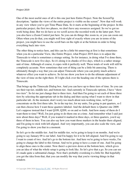One of the most useful ones of all is this one just here Entire Project. Note the ScreenTip description; "update the views of the entire project is visible on the screen". Now that will work in any view where you've got Time Phase Data. So it starts at the beginning of the project. In this particular project, the first two phases, we don't have any resources assigned. So we've got no work being done. But we do have as we scroll across the recorded work in the latter part. Now you also have a Zoom Control just here. So you can do things like zoom in, or you can zoom out. Often when you do that, you might well lose sight of exactly where you are in terms of the project, you might have to use the scroll bars on the right or at the bottom in order to bring everything back into view.

The other thing to notice here, and this can be a little bit unnerving at first is that sometimes when you do a particular View, like Entire Project, what Project 2019 does is to adjust the Timescale to what is sometimes a strange setting. So for instance, in doing what I've done there, the Timescale is now five days. So it's doing it in chunks of five days, which is a rather strange unit of time. Although of course, it copes with it perfectly well. These totals of work will still be completely accurate. Now sometimes that sort of thing can be a little bit annoying. There is ultimately though a way that you can adjust Timescale where you can pretty much achieve whatever effect you want to achieve. So let me show you how to do the ultimate adjustment of the view of time on the right there. If I right click over the heading one of the options there is Timescale.

That brings up the Timescale Dialog box. And you can have up to three tiers of time. So you can see their top tier, middle tier, and bottom tier. And currently in Timescale options, I have "show two tiers". So let me just change that to three tiers. And then I'm going to set each of those three tiers by selecting the appropriate tab in the dialog and then saying what I want to show in that particular tab. At the moment, don't worry too much about non-working time, we'll just concentrate on the first three tabs. So in the top tier, for my units, I'm going to put quarters, so I can then choose how I want those quarters labeled. And the default there is Quarter one 2009. Let's suppose instead that I want Q109, Q209, so on and so forth. And how many of them do I want them to time? Well, I'm just going to do them one at a time. And remember what I said just now about three days? Well, if you wanted it marked in three days, or three quarters, you'd say three of them in here. You can also say how you want those markers in the header there aligned, and I'm going to stick with left aligned. And very importantly, you can also scale the view, and I'm going to show you that in a moment.

So let's go to the middle tier. And for middle tier, we're going to keep it on months. And we're going to say January 09 is our label. And I'm happy for it to be left aligned. And I'm going to say I want to count of two. And let's go to the bottom tier. And here we're going to have weeks, I'm going to change the label to this format. And we're going to have a count of one. And I'm going to align these ones to the center. Now there's a preview down at the bottom here, which gives you an idea of what the whole setup is going to look like. So let's give that a go. So you can see it's made quite a substantial change. Now that's probably overdoing it a little bit. But hopefully you get the idea from that, that you can modify the way that you're viewing things in that window.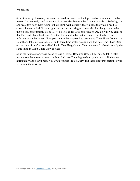So just to recap, I have my timescale ordered by quarter at the top, then by month, and then by weeks. And not only can I adjust that in a very flexible way, but I can also scale it. So let's go in and scale this now. Let's suppose that I think well, actually, that's a little too wide, I need to cover a longer period. So let's right click again and bring up timescale. And I'm going to select the top tier, and currently it's at 107%. So let's go for 75% and click on OK. Now as you can see that I've made that adjustment. And that looks a little bit better, I can see a little bit more information on the screen. Now you can use that approach to presenting Time Phase Data on the right there, labeling, scaling, etc., up to three time scales on any view that has Time Phase Data on the right. So we've done all of this in Task Usage View. Clearly you could also do exactly the same thing in Gantt Chart View as well.

So in the next section, we're going to take a look at Resource Usage. I'm going to talk a little more about the answer to exercise four. And then I'm going to show you how to split the view horizontally and how it helps you when you use Project 2019. But that's it for this section. I will see you in the next one.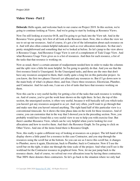## **Video: Views - Part 2**

**Deborah:** Hello again, and welcome back to our course on Project 2019. In this section, we're going to continue looking at Views. And we're going to start by looking at Resource Views.

Now I'm still looking at exercise 04 B, and I'm going to go back into the View tab. And in the Resource Views group, let's first of all look at the Resource sheet. Now, this is often the view we use to set up our resources. And of course, it's got a lot of the information about each resource on it. And will also often contain helpful indicators such as over allocation indicators. So that one's pretty straightforward and something that we've looked at before. So let's jump to the view above it Resource Usage. And Resource Usage View is sort of a complement of Task Usage View. And what Resource Usage View gives us is a list of resources. And then for each resource, a list of the tasks that that resource is working on.

Now as usual, there's a certain amount of readjustment needed here in order to make the columns and the split view a little bit more helpful. So I'm going to quickly do that. And you see that the first resource listed is Unassigned. So the Unassigned tasks, and those are the ones that don't have any resources assigned to them, that's really quite a long list on this particular project. As you know, the first two phases I haven't yet allocated any resources to. But if I go down now to the main body of what's in phases three, and four, I have three resources; Electrician, Plumber, and Contractor. And for each one, I can see a list of tasks that have that resource working on them.

Now this can be a very useful facility for getting a list of the tasks that each resource is working on. And of course, you've got the work hour shown on the right there. In fact, the top of this section, the unassigned section, is often very useful, because it will basically tell you which tasks you haven't got any resources assigned to as yet. And very often, you'll want to go through that and make sure that you haven't missed anything. The right hand half of this particular view is a conventional timescale. So it shows the time phase data on the work for these resources. And of course, you can customize that in the way that I showed you in the preceding section. Now, you probably would have found this a very useful view to use to help you with exercise four. But there's another Resource View, which can be very helpful when you're looking for over allocations and how to resolve them. And that's the Resource Graph. So I'm going to click on Other Views. And one of the items listed there is Resource Graph.

Now, this really is quite a different way of looking at resources on a project. The left hand of the display shows a little panel for a resource in this case Contractor, and you step through the resources using the scroll bar at the bottom. So you can see as I move this scroll bar, it changes to Plumber, move it again, Electrician, back to Plumber, back to Contractor. Now if I use the scroll bar on the right, it takes me through the time scale of the project. And what you'll see is the workload for the Contractor resource in graphical form. Now, let me just jump back to the resource sheets. And of course, we solved our over allocation issue by having three contractors. That 300% there denotes three contractors. So let's go back to the situation where we only had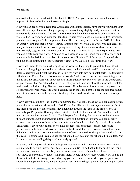one contractor, so we need to take this back to 100%. And you can see my over allocation now pops up. So let's go back to the Resource Graph.

Now you can see how this Resource Graph here would immediately have shown you where your over allocation problem was. I'm just going to zoom out very slightly, and you can see that the contractor is over allocated. And you can see exactly where the contractor is over allocated as well. So this is a very good view for identifying where over allocations occur. So I've introduced you there to a couple of other important views. There are many more in Project 2019. If I click on Other Views, and then on More Views, I get this more views dialog where you can access the many different available views. We're going to be looking at some more of those in the course, but I strongly suggest that you work your way through those and have a little experiments. And you can create your own views. You can copy a view as a starting point for a custom view, and you can edit the definition of a view. So as your use of Project 2019 develops, it's a good idea to find out about customizing views, because it can really save you a lot of time and effort.

Now what I want to look at next is splitting the view. So I'm going to go back to Gantt Chart View. And I'm going to go to the split views group on the View tab, and I'm going to click on the details checkbox. And what that does is to split my view into two horizontal parts. The top part is still the Gantt Chart. And the bottom part is now the Task Form. Now the important thing about this is that the Task Form will show the task information for the selected task in the Gantt Chart. So you can see that I've selected task five select style, and I can see all of the information related to that task, including things like any predecessors. Now let me go further down the project and select Prepare for flooring. And what I actually see in the Task Form is I see the resource names here. So the contractor is the resource for this particular task. And also see the predecessors just here.

Now what you see in this Task Form is something that you can choose. So you can decide which particular information to show in this Task Form. And I'll come to that in just a moment. But if I use these next and previous buttons, they'll take me through the tasks in the project. So I've currently got Prepare for flooring, which is task ID 45. Let's look at next. And you'll see that I now get the task information for task ID 46 Prepare for painting. So I can control how I move through using the next and previous buttons. Now as I mentioned just now you can actually choose what you want to show in the bottom for the selected task. And if you right click on the Task Form, it gives you options. So we have predecessors and successors, resources and predecessors, schedule, work cost, so on and so forth. And if we were to select something like Schedule, it will even show in there the amount of work required for that particular tasks. So in this case, 16 hours. And I can also see the scheduled start date and the scheduled finish date. And I can also see the leveling delay that's currently applied.

So there's really a good selection of things that you can show in Task Form view. And we can add more to this, which we're going to go into later on. So if I go back into the split view group, and the drop down next to details, you can even choose what is shown in the lower part of the split view. So currently, we have Task Form there. I could show Resource Form. Now you might think that's a little bit strange, isn't it showing you the Resource Form when you've got a task shown in the top? But in fact, what it means is that if I'm looking at prepare for painting task, the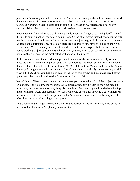person who's working on that is a contractor. And what I'm seeing at the bottom here is the work that the contractor is currently scheduled to do. So I can actually look at what one of the resources working on that selected task is doing. If I choose as my selected task, second fix electrics, I'd see that an electrician is currently assigned to these two tasks.

Now when you finished using a split view, there is a couple of ways of switching it off. One of them is to simply uncheck the details box up here. So the other way is just to hover over the split bar there to get the double arrow for the cursor, and then just drag it off the bottom of the screen. So let's do the horizontal one, like so. So there are a couple of other things I'd like to show you about views. You've already seen how to use the zoom to entire project. But sometimes when you're working on just part of a particular project, you may want to get some kind of automatic zoom so that you can see the most detail of that part of the project.

So let's suppose I was interested in the preparation phase of the bathroom refit. If I just select those tasks in the preparation phase, go to the Zoom Group, the Zoom button. And in the zoom dialog, if I select selected tasks, what Project 2019 will do is it just Zooms to those tasks. And in that way, I can get the maximum amount of detail in a View. And finally, one other very useful view, I'd like to show you. Let me go back to the top of this project and just make sure I haven't got a particular task selected. And let's look at the Calendar View.

Now Calendar View is a very interesting one where you can see the tasks of the project set out in a Calendar. And note how the milestones are colored differently. So they're showing here on mine in a gray color, whereas everything else is in blue. And you've got selected tabs at the top there for month, week, and custom view. And you could use that for showing a custom number of weeks in a date range that you specify. So that's Calendar View, which can be very useful when looking at what's coming up on a project.

That's basically all I've got for you on Views in this section. In the next section, we're going to take a look at Timelines. So please join me for that.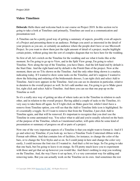### **Video: Timelines**

**Deborah:** Hello there and welcome back to our course on Project 2019. In this section we're going to take a look at Timelines and primarily, Timelines are used as a communication and presentation tool.

A Timeline can be a pretty good way of getting a summary of aspects, possibly even all aspects of a Project and presenting them to an audience. Perhaps you aren't as interested in the detail of your projects as you are, or certainly an audience where the people don't have or use Microsoft Project. So you want to show them just the right amount of detail of a project, maybe highlight certain points, without going into the sort of complex diagram that we have here for the wedding.

So first of all, let's switch on the Timeline for the wedding and see what it looks like at the moment. So I'm going to go up to View, and in the Split View group, I'm going to select Timeline. Now along the top of the Timeline, you have Dates. And the left hand end by default is the Start Date. And the right hand end by default is the Finish Date of the project. Now at the moment, there are no TAs shown on the Timeline. And the only other thing shown is a marker, indicating today. If I wanted to show some tasks on the Timeline, and let's suppose I wanted to show the Selecting and ordering of the bridesmaids dresses, I can right click and select Add to Timeline. And it now appears in the Timeline. And you can see its duration in particular, relative in duration to the overall project as well. So let's add another one, I'm going to go to Make guest list, right click and select Add to Timeline. And there you can see that one pop up on the Timeline as well.

So it's a really nice way of getting an idea of where tasks are in the Timeline in relation to each other, and in relation to the overall project. Having added a couple of tasks to the Timeline, it's very easy to take them off again. So if I right click on Make guest list, whilst I don't have a remove from Timeline option, you will see that the Add to Timeline little icon is highlighted. So it's essentially a toggle. So if I want to remove that from the Timeline, I just click Add to Timeline again, and that will be removed. It's important to recognize that you don't use the Timeline in some automated way. You select what to add and you're usually selected on the basis of the purpose of the Timeline, which as I mentioned earlier, will quite often be some kind of presentation or summary of progress on all or parts of a project.

Now one of the very important aspects of a Timeline is that you might want to format it. And if I go and select my Timeline, if you look up, we have a Timeline Tools Contextual ribbon with a Format sub ribbon. And that contains lots of facilities, for instance, to change the color of the bars, or to change the Text Styles and so on. So I could jump in here and change the color very easily, I could increase the font size if I wanted to. And that's a bit too large. So I'm going to take that one back, but I'm going to leave it on orange. So I'll pretty much leave you to experiment with those and get that set up however you would like. And there's nothing to stop you working on the Timeline. And, the way I have it set up here, it's a very convenient way for adding and removing tasks. But you can actually work on the Timeline on its own. And sometimes the rest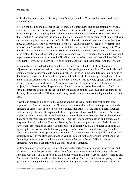of the display can be quite distracting. So let's adopt Timeline View. And you can do this in a couple of ways.

If you right click on the gray bar to the left there on Gantt Chart, one of the optional views that comes up is Timeline. But what you could also do if I just undo that is you could do the same thing by simply just dragging that divider all the way down to the bottom. And you'll see now that Timeline View occupies the whole of the view. And one of the advantages of this is that you can build up a quite complex content for the Timeline without the distraction of as we had just now, a Gantt Chart. And you may think to yourself, yeah, but that's not really very helpful is it because I can't see the task to add anymore. But there are a couple of ways of doing that. With the Timeline selected on the Timeline Tools Format tab in the Insert group, there is an existing tasks button. If you click on that, it brings up a hierarchical list of existing tasks. And if you want to put two or three more tasks onto the Timeline, you can select them and then click on OK. So for example, if we scroll down to let's go to details, and we'll add these three. And there we go.

So not only are they added to the Timeline, but if necessary, the height of the Timeline is adjusted to accommodate tasks that are actually happening at the same time. You could also add completely new tasks, you could add a task, which isn't even in the schedule yet. So again, up to that Format ribbon, and from the Insert group, select Task. So I can now go through and fill in the task information dialog as normal. And when I click on OK, it would appear on the Timeline and in my project schedule as well. Now, of course, for it to appear in the right place in the project, I may have to select Dependencies, I may have to set a start date and so on. But I can certainly enter the details of the task and have it added to both the Schedule and the Timeline in this way. I can also add a Milestone in that way. And I can also add something called a Call Out Task.

Now this is basically going to do the same as adding the task. But the task will in this case appear on the Timeline as a call out. Now what happens with a call out is it appears outside the Timeline as almost sort of note. So let's just cancel that. And let's take this task here, Register wedding and get license. If I right click, I can display as call out. And there you go, it's sort of appears as a call out outside of the Timeline as an additional note. Now, earlier on, I mentioned that one of the main reasons that people use Timelines is for communication and presentation purposes. And if you have a Timeline like this, then in order to present it or included in say, a PowerPoint presentation or send it to somebody in an email, you have a number of options. So again, up to that Format tab. In the copy group, there's one option, and that is Copy Timeline. And that button has three options, copy for email, for presentation, and copy full size. Copy will basically copy it to the clipboard, and then you can paste it in the appropriate format. And the final thing I want to show you here is the main new feature in Project 2019, in relation to Timelines. And that's the ability to have more than one Timeline.

So let's suppose we want to just highlight a particular perhaps shorter period in the project and add some tasks to that particular period. So let's just say I want to see what's going on between June and July only. If I go back up to the Format ribbon, in the Insert group, I have Timeline bar. And when I click that, you'll see that it adds a secondary Timeline. And what I'm going to do is go in and just change the dates to June and July. So right click on the Timeline, and select date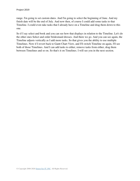range. I'm going to set custom dates. And I'm going to select the beginning of June. And my finish date will be the end of July. And now then, of course I could add some tasks to that Timeline. I could even take tasks that I already have on a Timeline and drag them down to this one.

So if I say select and book and you can see how that displays in relation to the Timeline. Let's do the other ones Select and order bridesmaid dresses. And there we go. And you can see again, the Timeline adjusts vertically as I add more tasks. So that gives you the ability to use multiple Timelines. Now if I revert back to Gantt Chart View, and I'll switch Timeline on again, I'll see both of those Timelines. And I can add tasks to either, remove tasks from either, drag them between Timelines and so on. So that's it on Timelines. I will see you in the next section.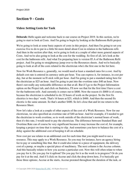# **Section 9 – Costs**

#### **Video: Setting Costs for Task**

**Deborah:** Hello again and welcome back to our course on Project 2019. In this section, we're going to start to look at Costs. And I'm going to begin by looking at the Bathroom Refit project.

We're going to look at some basic aspects of costs in this project. And then I'm going to set you exercise five to do to put in a little bit more detail about Cost in relation to the bathroom refit. And then in the section after that, we're going to look at a couple of other more general aspects of Costs. And we're also going to look at the cost for the wedding. So first of all, let's look at the cost for the bathroom refit. And what I'm preparing here is version 05.A of the Bathroom Refit project. And I'm going to straightaway jump over to the Resources sheets. And we're basically going to look at all of the costs related to the electrician who's the first one in the list here.

Now for Work Resource s, generally, we would need at least a standard rates for a cost. And by default cost rate is entered in currency units per hour. You can express it, for instance, in cost per day, but at the moment we'll stick with per hour. And I'm going to put a standard rating here for the electrician as \$25 an hour. And I'm going to put into the overtime rates \$40 an hour. Now there's not really any noticeable difference on that at all. But if I go to the Project Information option on the Project tab, and click on Statistics, I'll now see that for the first time I have a cost for the bathroom refit. And currently it comes out to \$800. Now the reason it's \$800 is of course, because the electrician is scheduled to do 32 hours of work on the project. So the first fix electrics is two days' work. That's 16 hours at \$25, which is \$400. And then the second fix electric is the same amount. So that's another \$400. So let's close that and let me return to the Resource Sheet.

Now let's take a look at a couple of other aspects of the cost of a Work Resource. Now for our electrician, we also specified an overtime rate of \$40 an hour. And for example, if I needed to get the electrician to work overtime, so to work outside of the electrician's normal hours of work, then it's this rate, I would need to pay the electrician. The difference between Standard Rate and Overtime Rate can of course be very significant because it may increase the cost of, for example, keeping a project on time that is starting to slip. And sometimes you have to balance the cost of a delay against the additional cost of keeping it all on schedule.

Now cost per use relates to an additional cost for each time that you might need to use a resource. This may apply to a Work Resource. So you may for instance, have an agency hiring fee to pay or something like that. But it could also relate to a piece of equipment, the delivery cost of a pump, or maybe a special piece of machinery. The next column is the Accrue column. And this basically relates to how you accrue a particular cost. Now this will often relate to when you pay for it. Do you pay for it upfront? Do you pay for it as the work is in progress? Or do you pay for it at the end. And if I click on Accrue and click the drop down here, I've basically got those three options; Accrue at the starts, Accrue prorated throughout the duration of the task, or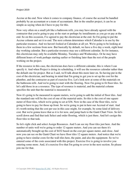Accrue at the end. Now when it comes to company finance, of course the accrual be handled probably by an accountant or a team of accountants. But in the smaller project, it can be as simple as saying when do I have to pay for this.

Now very often on a small job like a bathroom refit, you may have already agreed with the contractor that you're going to pay at the start or perhaps by installments as you go or pay at the end. So on this occasion, I've agreed to pay the electrician at the end. So I'm going to put the Accrue column and set it to end. The next column determines which Calendar is in use by the particular resource. And we haven't looked at Calendars at all yet. We're going to be looking at them in a few sections from now. But basically by default, we have a five day a week, eight hour day working calendar. But a particular resource may use a different calendar. So for instance, this electrician may only be available Monday, Tuesdays and Wednesdays. Or he may have different hours of work perhaps starting earlier or finishing later than the rest of the people working on the project.

If the resource in this case, the electrician does have a different calendar, this is where I can specify it. And when Project is doing its scheduling, it will use the resources calendar rather than the default one for project. But as I said, we'll talk about this more later on. So having put in the cost of the electrician, and bearing in mind that I'm going to get you to set up the cost for the plumber, and the contractor as part of exercise five. Let's look now at some of the materials on the bathroom refit. And we're going to start with the flooring. Now I'm going to fit floor tiles. So let's add those in as a resource. The type of resource is material, and the material column specifies the unit that the material is measured in.

Now it's going to be measured in square meters, we're going to add the initial of floor tiles. And the standard rate will be the cost of one of the material units. So this is the cost of one square meter of floor tiles, which we're going to set at \$36. Now in the case of the floor tiles, we're going to have to pay for those up front. So we're going to put in here our Accrual of start. And it's worth noting that the cost per use in this case might, for example, be some kind of delivery cost. But we're gonna leave that as it is for now, and jump back to the Gantt Chart View. So let's scroll down and find that task Select and order flooring, which is just there. And let's assign the floor tiles to that task.

So let's right click and select Assign Resources. And I can see my floor tiles just here. And the number of units well we're going to order 12 square meters. And you can see there it's automatically brought up the cost of \$432 based on the cost per square meter, and close. And now you can see on the Gantt Chart we have floor tiles 12 square meters. And notice that we're going to have similar costs for the wall tiles here, the paint, and also the equipment. So we've entered some of the costs associated with this project. Exercise five is going to involve you entering some more. And, it's exercise five that I'm going to cover in the next section. So please join me for that.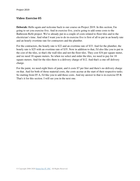### **Video: Exercise 05**

**Deborah:** Hello again and welcome back to our course on Project 2019. In this section, I'm going to set you exercise five. And in exercise five, you're going to add some costs to the Bathroom Refit project. We've already put in a couple of costs related to floor tiles and to the electrician's time. And what I want you to do in exercise five is first of all to put in an hourly rate and an hourly overtime rate for contractors and the plumber.

For the contractors, the hourly rate is \$22 and an overtime rate of \$33. And for the plumber, the hourly rate is \$25 with an overtime rate of \$35. Now in addition to that, I'd also like you to put in the cost of the tiles, so that's the wall tiles and not the floor tiles. They cost \$34 per square meter, and we need 18 square meters. So when we select and order the tiles, we need to pay for 18 square meters. And for the tiles there is a delivery charge of \$12. And that's a one off delivery charge.

For the paint, we need eight liters of paint, and it costs \$7 per liter and there's no delivery charge on that. And for both of those material costs, the costs accrue at the start of their respective tasks. So starting from 05 A, I'd like you to add those costs. And my answer to that is in exercise 05 B. That's it for this section. I will see you in the next one.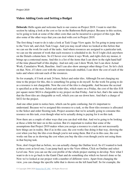## **Video: Adding Costs and Setting a Budget**

**Deborah:** Hello again and welcome back to our course on Project 2019. I want to start this section by taking a look at the cost so far on the Bathroom Refit project. Because in this section, we're going to look at some of the other costs that can be incurred in a project of this type. But also some of the other ways that you can deal with cost in Project 2019.

The first thing I want to do is take a look at Task Usage View again. So I'm going to jump across to the View tab, and click Task Usage. And you may recall when we looked at this before that we can see the work for each of the tasks. And where resources are assigned to a particular task, we can see the amount of work that each resource is scheduled to do. So if I right click anywhere on the Details column here. So if I hover over where it says Work, and right click my mouse, it brings up a contextual menu. And this is a list of the items that I can show in the right hand half of the time phased half of this display. And not only can I show Work, but I can show Actual Work, Cumulative Work, Baseline. And I can also show amongst other things Cost. So let's click on that. Now, if I show cost with the current timescale enabled, I can show the cost of each of the tasks and where relevant each of the resources.

So for example, if I look at task 24 here, Select and order tiles. Although I'm not charging my time to the project for this, this is something I'm going to do myself. So the work I'm going to do as a resource is not chargeable. Now the cost of the tiles is chargeable. And because the accrual is specified as at the start, Select and order tiles, which starts on a Friday, the cost of the tiles \$18 per square meter \$624 is chargeable to my project on that Friday. And in fact, that's the same day that the floor tiles are chargeable as well, which you can see down here. And that's a charge of \$432 for the project.

And one other point to notice here, which can be quite confusing, but it's important to understand. Because we've assigned this resource to a task, so the floor tiles resource is allocated to the Select and order flooring task, Project assumes that we're actually going to consume this resource on this task, even though what we're actually doing is paying for it on this task.

Now there are a couple of other ways that you can deal with that. And we're going to be looking at those a little bit later on in this section. But it's important to realize that some of the assumptions that Project 2019 makes when you assign a resource to a task are not necessarily how things are in reality. But if as in this case, the cost works fine doing it that way, showing the cost when you buy the tiles even though you're not using them. But if as in this case, the cost works out fine as in showing the cost when you buy the tiles even though you're not using them in that buying task.

Now, don't forget that as before, we can actually change the Outline level. So if I wanted to look at these costs at level one, I can jump back up to the View ribbon, Click on Outline and select Level one. Now you can see the cost profile of the whole project starting to develop. Now what I want to do is to go back to the Gantt Chart and do something else which we haven't done so far. Now we've looked at our project with a number of different views. Apart from changing the view, you can change the specific table that is shown on the left hand half. So for example, the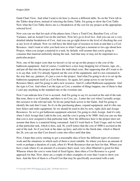Gantt Chart View. And what I want to do here is choose a different table. So on the View tab in the Tables drop down, instead of selecting the Entry Table, I'm going to show the Cost Table. Now what the Cost Table shows me is a breakdown of the cost for my project at the appropriate selected level.

Now you can see that for each of the phases here, I have a Total Cost, Baseline Cost, a Cost Variance, and an Actual Cost on the end here. Now let's go to level two. And you can see a very detailed tabular breakdown of Cost. And you can go right down to the level of checking the cost at any level of subtask. Now we still have the third type of resource to look at and that is a Cost Resource. And I want to refer you back now to what I said just a moment or two ago about how Project, when you assign a material to a task, by default, will assume that you're going to consume that material uniformly during the task. And that may or may not be important in a particular project.

Now, one of the major costs that we haven't so far set up on this project is the cost of the bathroom equipment. And of course, I could have a nice long shopping list of basins, taps, etc., and put all that into the project and show the individual costs. But supposing that all I want to do is to say that, well, I've already figured out the cost of the equipment, and it's not consumed in the way that say, painters, it's just a cost to the project. And what I'm going to do is to set up the bathroom equipment itself as a Cost Resource. So again, let's jump across to our favorite Resource Sheet, and I'm going to add a new resource. And it's called Bathroom equipment. And the type is Cost. And when I set the type as Cost, a number of things happen, one of them is that I can't pay anything in the standard rate or the overtime rate.

Now I can indicate how Cost is accrued. And I'm going to say it's accrued at the end of the task. But note, there is no Calendar, and there is no Cost, etc., I enter the cost when I actually assign this resource to the relevant task. So let me jump back across to the Gantt. And I'm going to identify the task that I want. So it's in the purchasing phase, expand equipment, and it's this one here Select and order equipment. So we should be used to this by now, right click and Assign Resources. So we've got bathroom equipment selected, I'm going to click Assign. And it's only when I click Assign that I add in the cost, and the cost is going to be 3000. And you can see that that cost is now assigned to that particular task. Now the difference here is the project does not assume that there is a material being consumed. And if I went back to Task Usage, and we look at that particular task, which is here, task 36, you'll notice that the cost of 3000 is accrued at the end of the task. So if you look at the dates up here, and refer to the finish date, which is March the 26, you can see that Cost doesn't come into effect until that date.

Now, I hope that you're starting to get a reasonable idea of how the different types of resource work and the situations in which each of them is most suitable. So where you have an amount of work or perhaps a duration of a task, often it's Work Resources that are best for that. Where you have a task where it's an amount of a resource that's used, very often Material is good for that. Whereas where the cost is some kind of fixed figure, then often a Cost Resource is a good approach for that. Now, there are a couple of other examples of costs that I want to show you here. And the first of them is a Fixed Cost that may be specifically associated with a task.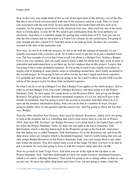Now in this case, you might think of this as sort of the equivalent of the delivery cost of the tiles. But this is not a fixed cost associated with one of the resources used on a task. This is a fixed cost associated with the task itself. So let's jump back to the Gantt Chart and let's look at an example. So I'm going to scroll down to the electrical costs area. And you'll see one of the items there is Certification, so task ID 50. We need to get certification from the local authority on electricity. And there is a standard charge for getting that certification of \$75. And you can see that the first column that we have here is a Fixed Cost column. So for certification, I'm going to type straight into this column \$75. And that needs to be paid up front. So that's the cost that's accrued at the start of this particular task.

Now note, it's not to do with the resource, it's not to do with the amount of material, it's not actually associated with a resource at all. So it makes sense to put this in as just a standard fixed cost. The last example of a cost that I want to tell you about is a Budget Cost. Setting a Budget Cost is not very intuitive, and you really need to know a little bit about how they work in order to remember and understand how to set them up. So let's suppose that on this project, I expect that I'm going to have some incidental expenses. So I'm going to need to pay maybe some glaze or maybe a bit of beading or some plastic strips or something around here, that's really incidental to the overall project. So I'm going to have to allow for the fact that I might need those expenses, I've probably got some idea of what they're going to be. So I need to allow myself \$300 over the whole of this project to pay for those little incidental expenses.

So what I can do is set up a Budget Cost. But a Budget Cost applies to the whole project. And in order to set that Budget Cost, you create a Budget Resource, and then assign it to the Project Summary Task. So once again, let's jump across to the Resource Sheet. And set up our Budget Resource. I'm going to call this Resource incidental expenses, it's a Cost, and we'll give it the initials of incidental. And I'm going to leave the accrual as prorated. And then what I do is to open up the resource information dialog. And you can do that in a number of ways. I'm just going to double click, it's the quickest and the easiest way. And I'm going to check the box that says, Budget.

Note the other checkbox here Generic, that's used for Generic Resources, which we're not going to look at the moment, but it is something that you'll come across later in your use of Project 2019. And click OK. So there's my Budget Resource. Let's jump back to the Gantt Chart, and let me select the Project Summary Tasks. So that's the one right at the top to Summary Task Information, which is this big button here in the Properties group on the Task tab. And notice that this dialog box is called Summary Task Information. Go to the Resources tab, and from the drop down, select my resource which is Incidental Expenses. And it's worth noting that you can only assign Budget Resources to the Project Summary Task, you can't assign them to any other task within the project. You also cannot enter a cost at this stage, I'll show you how to do that in just a moment. So we're just going to leave it with the resource name and click on OK.

Now we go back to Task Usage View. And what you see at the right at the top there is our Project Summary Task. And then underneath we have our single resource; Incidental Expenses, which is of course, a Budget Resource. Now what I'm going to do is change tables so that we can see the cost. So up to the tables drop down and select Cost. I'm just going to make a little bit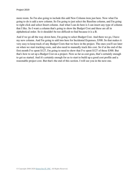more room. So I'm also going to include this add New Column item just here. Now what I'm going to do is add a new column. So I'm going to just select the Baseline column, and I'm going to right click and select Insert column. And what I can do here is I can insert any type of column that I like. So I want a column that's going to show the Budget Cost and these are all in alphabetical order. So it shouldn't be too difficult to find because it is a B.

And if we go all the way down here, I'm going to select Budget Cost. And there we go, I have my new column. And I'm going to add into here for Incidental Expenses, \$300. So that makes it very easy to keep track of any Budget Costs that we have in the project. The ones you'll see later on when we start tracking costs, and also need to manually track this cost. So if at the end of the first month I've spent \$127, I'm going to need to show that I've spent \$127 of those \$300. But that's how to set up a Budget Cost on a project. Now as far as cost goes, that's certainly enough to get us started. And it's certainly enough for us to start to build up a good cost profile and a reasonable project cost. But that's the end of this section. I will see you in the next one.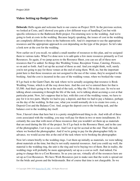## **Video: Setting up Budget Costs**

**Deborah:** Hello again and welcome back to our course on Project 2019. In the previous section, we looked at Costs, and I showed you quite a few different ways of handling Cost but with specific references to the Bathroom Refit project. I'm returning now to the wedding. And we're going to look at costs in the wedding. Because largely speaking, the issues of cost in the wedding are completely different to those in the bathroom refit. And it's important to use the appropriate resources and the appropriate approach to cost depending on the type of the project. So let's take a look now at the cost for the wedding.

Now earlier on if you recall, we added a small number of resources to this plan, and we assigned them to various tasks. What I've done now is to add quite a few more resources primarily as Cost Resources. So again, if we jump across to the Resource Sheet, you can see all of these new resources that I've added. So things like Wedding Venue, Reception Venue, Catering, Flowers, so on and so forth. And I set up the accrual of those as end. And you might think, well, surely you're not going to pay for those venues at the end of using them. Well, no, but the important point here is that those resources are not assigned to the use of the venue, they're assigned to the booking. And the cost is incurred in the case of the wedding venue, when we booked the venue

If I go back to the Gantt Chart, the task where we're actually assigning that resource is Book Wedding Venue, which is all the way down here. And the cost we've entered there for that is \$3,500. And that's going to be at the end of the task, so May the 17th in this case. So we're not talking about consuming it through the life of the task, we're talking about accruing a cost at that particular point. Now, let's suppose that in fact, with this cost of the wedding venue, we have to pay for it in two parts. Maybe we had to pay a deposit, and then we had to pay a balance, perhaps on the day of the wedding. In that case, what you would normally do is to create two costs, a Deposit Cost and the Balance Cost. And, assign the deposit cost to the booking task, and the balance cost to the wedding day itself.

Now, I haven't done that here but it is a pretty straightforward thing to do. And with all of these costs associated with the wedding, you may well pay for them in two or more installments. It's certainly the case that with most of these resources that you wouldn't set them up as materials that are used during the life of the project. So if I go back to the Resource Sheet, and in the case of the photographer, I set it up as a cost. And I set it up for accrual at the end. That's the task where we booked the photographer. And if we're going to pay for the photographer fully in advance, we would accrue this at the end of the task where we're booking the photographer.

Now let's return briefly to the wedding rings. I set them up initially as materials, we were talking about materials at the time, but they're not really material resources. And you could say well, the material is the wedding ring, the unit is the ring and we're buying two of them. But in reality, the wedding rings will probably be more appropriately set up as a cost as well. And indeed, I'm going to change this to a Cost Resource. So as you can see, virtually all of the resources here are set up as Cost Resources. We have Work Resources just to make sure that the work is spread out for the bride and groom and the bridesmaids. But of course that time is not chargeable. So we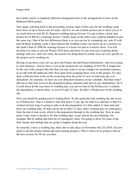have pretty much a completely different arrangement here to the arrangement we have in the Bathroom Refit project.

Now again, referring back to the proceeding section, many of the costs for the wedding could have been set up as fixed costs for tasks. And I've set one of them up here just to show you so if we scroll down to task ID 42; Register wedding and get license. I've put in there a local state license fee of \$60 for a marriage license. Clearly many of the other costs could be handled in just the same way. One of the key differences there is as you can see by comparing say, task 42 with task 46 Book wedding venue is that whereas the wedding venue cost shows up as a resource on the Gantt Chart of 3500 the marriage license is a fixed cost and so it doesn't show. You will develop over time as you use Project 2019 more and more of your own way of getting about dealing with cost. And very often, the reasons for doing them in certain ways are very specific to the project you're working on.

Having set up those costs, let's go up to the Project tab and Project Information. And we're going to click Statistics. And we have a cost at the moment for our wedding of \$29,750. It might also be the case with a project like this that you may want to set up a budget for incidental expenses, as we did with the bathroom refit. Now apart from assigning those costs to the project, I've also done a little bit more work on the resourcing from the point of view of removing any over allocations. So currently, we have no over allocated resources on my schedule. And then what I did was to take task seven or the preparation phase summary task and set up a dependency. So if I scroll down all the way down to wedding day, you can see here in the Predecessor's column, the dependency is shown there, so seven Fs plus 21 days. So that's a Predecessor of the wedding day.

Now you should be getting used to reading those. So this particular task wedding day has seven as a Predecessor. That is a finish to start link and a 21 day lag. So what I've said here is that I've worked out how long it's going to take to do the preparation. I've then added 21 days and said, that's my wedding date. So that's given me in effect 21 days, that's working days of contingency from the end of task seven, which is the preparation through to the wedding day. Now at some point, I may want to decide to fix that wedding date, I may choose the next Saturday, for example. But by adding that little bit of contingency there, I'm going to allow for some of the little bumps and mishaps that are going to happen along the way.

So currently, I have a wedding day, that's due to take place on November the 21st 2019. I'm now ready to get the project started and start tracking progress. That is where we're going to start in the next section. So I'll see you then.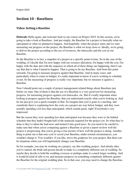# **Section 10 - Baselines**

#### **Video: Setting a Baseline**

**Deborah:** Hello again, and welcome back to our course on Project 2019. In this section, we're going to take a look at Baselines. And put simply, the Baseline for a project is basically what we anticipated or what we planned to happen. And hopefully, when the project starts and we start measuring our progress on the project, the Baseline is what we keep close to. Ideally, we're going to deliver the project according to the use of resources, the timescales and the cost in our Baseline.

So the Baseline is in fact, a snapshot of a project at a specific point in time. So in the case of the wedding, if I decide that I'm now happy with my resource allocation, I'm happy with the cost, I'm happy with the date and with the sequence in which all of these things are happening, then I can say that that is what I intend to happen. That is going to be my Baseline. And from this point onwards, I'm going to measure progress against that Baseline. And in many cases, and particularly when it comes to budget, it's really important to know if you're working to schedule or not. So the measuring of progress is really very important, but we measure it against a Baseline.

Now I should point out a couple of project management related things about Baselines just before we start. One of them is that the use of a Baseline is a very good tool for measuring progress, for measuring progress against cost timescales, etc. But it's really important when looking at progress against the Baseline, that you understand exactly what you're looking at. And let me just give you a quick example of that. So imagine that you've gone to a meeting, and somebody there is explaining how the costs on a project are way below budget, and they were actually spending a lot less than anticipated, which sounds great, right? Everybody's very impressed.

But the reason they were spending less than anticipated was because they were so far behind schedule that they hadn't bought half of the materials required for the project yet. So what they've done is they've taken the bad news and turned it into good news. So you need to be careful to make sure that when you're comparing against a Baseline or given a report on how well the project is progressing, that you're giving a true picture of how well the project is doing. Another thing to point out is that once you've saved your Baseline, under normal circumstances, you wouldn't change it. You wouldn't, if you like, move the goalposts for your project. But there can be situations when you will legitimately change your Baseline.

So for example, you may be working on a project, say this wedding project. And shortly after you've started, the bride and groom decide to make it a completely different sort of wedding. So maybe they decide to hold the wedding overseas or perhaps make it a much larger wedding. And it would be kind of silly to try and measure progress on something completely different against the Baseline for the original wedding plan. So in that case, you may need to change the Baseline,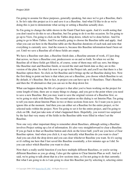I'm going to assume for these purposes, generally speaking, but once we've got a Baseline, that's it. So let's take this project as it is and save it as a Baseline. And what I'd like to do as we're doing this is just to demonstrate what saving or setting a Baseline actually does.

So I'm going to change the table shown in the Gantt Chart here again. And it's worth noting that you don't need to do this to set a Baseline, but I'm going to do it on this occasion. So I'm going to go up to View, I'm going to click on the Tables drop down, which we've done before. And I'm going to go to More Tables. And I'm actually going to choose the Baseline table and apply. And what you can see here in the Baseline table are the Baseline durations of each task and note that everything is currently zero. And the reason is, because this Baseline information hasn't been set yet. Until we save a Baseline all of these fields are empty.

We have a Baseline start date, a Baseline finish date, a Baseline amount of work, if I just drag that across, we have a Baseline cost, predecessors so on and so forth. So when we set the Baseline all of these fields get filled in, of course, some of them may still say zero, but things like Baseline start and Baseline finish, or record the start and finish date as they are in this version of the plan. So what I do now is go up to the Project tab, and you'll see that there is a Set Baseline option there. So click on Set Baseline and it brings up the set Baseline dialog box. Now the first thing to point out here is that when you set a Baseline, you choose which Baseline to set. By default, it's Baseline. But in fact, in project you can have up to 11 Baselines. That's Baseline, and then the 10 alternatives that you can see in the drop down list.

What can happen during the life of a project is that after you've been working on the project for some length of time, there are so many things to change, and you get to the point where you need to save a new Baseline. But you may want to save the original version of a Baseline first, so we're going to stick with Baseline. The second option on this dialog is set Interim Plan. I'm going to tell you more about Interim Plans in two or three sections from now. So I want you to just to ignore this at the moment. And then you can either set a Baseline for the entire project, or for selected tasks within the project. Now I'm going to set it for the entire project, and I'm going to click on OK. And just take note of what's happened there. Hopefully, you weren't too surprised by the fact that very many of the fields in the Baseline table were filled in when I set the Baseline.

Now one very other important thing to remember about Baselines, although setting a Baseline involves Project setting up a lot of information. It's also very straightforward to clear a Baseline. If you go back to that set Baseline button and click on the lower half, you'll see you have a Clear Baseline option. And when you click it, it says basically what Baseline do you want to clear? And you can click the drop down and you can clear whichever Baseline you want. So it's saying or it's telling me here that I last saved this Baseline essentially, a few minutes ago as I did. So you can select which Baseline you want to clear.

Now that's a really useful function if you have multiple different Baselines, or you're saving different Baselines as you go along. I also get the option to Clear Interim Plan as well. And as I said, we're going to talk about that in a few sections time, so I'm not going to do that currently. But what I am going to do is I am going to clear this Baseline just by selecting it, selecting entire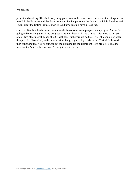project and clicking OK. And everything goes back to the way it was. Let me just set it again. So we click Set Baseline and Set Baseline again, I'm happy to use the default, which is Baseline and I want it for the Entire Project, and Ok. And now again, I have a Baseline.

Once the Baseline has been set, you have the basis to measure progress on a project. And we're going to be looking at tracking progress a little bit later on in the course. I also need to tell you one or two other useful things about Baselines. But before we do that, I've got a couple of other things to do. First of all, in the next section, I'm going to tell you about the Critical Path. And then following that you're going to set the Baseline for the Bathroom Refit project. But at the moment that's it for this section. Please join me in the next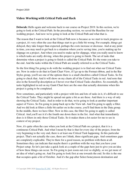## **Video: Working with Critical Path and Slack**

**Deborah:** Hello again and welcome back to our course on Project 2019. In this section, we're going to look at the Critical Path. In the preceding section, we saved the Baseline for our wedding project. And now we're going to look at the Critical Path and what that is.

The reason that I want to look at the Critical Path now is because as we start to track progress on a project, it's very often the case that things start to go a little bit wrong. For example, things get delayed, they take longer than expected, perhaps the costs increase or decrease. And at any point in time, you may need to get back to a situation where you're saving time, you're making up for slippage on a project. And when you need to make up for slippage, what you really need to know is which tasks are really driving, when this project is going to finish. The set of tasks that determine when a project is going to finish is called the Critical Path. It's the route you take to the end. And the tasks within the Critical Path are usually referred to as the Critical Tasks.

So the first thing I'm going to do with the wedding project is to find out what our Critical Tasks are. Now in order to do that in Gantt Chart View, if I go up to the Format ribbon, and in the Bar Styles group, you'll see one of the options there is a small checkbox called Critical Tasks. So I'm going to check that. And it will show on my charts all of the Critical Tasks in red. And note that also in the ScreenTip description as I hover over that Critical Tasks checkbox. So essentially, the tasks highlighted in red on my Gantt Chart here are the ones that actually determine when this project is going to be completed.

Now sometimes, and particularly with a project with lots and lots of tasks in it, it's difficult to see the Critical Tasks. They might be spread out quite a bit as are these. And there is a way of only showing the Critical Tasks. And in order to do that, we're going to look at another important aspect of Views. So I'm going to jump back up to the View tab. And I'm going to apply a filter. And we did look at filters a little bit earlier on in the course, you'll find them in the Data group. In the middle, there we have filter. Now in this case, the filter I'm going to apply is called Critical. And you'll see it it's the fourth one down there in the list. And what that immediately does is it filters in only those Critical Tasks. So it makes them a lot easier for me to see in context of my project.

Now, it's quite often the case when you look at the Critical Path on a project, that it is a continuous Critical Path. And what I mean by that is that for every day of the project, from the very beginning to the very end, there is at least one Critical Task happening. In this particular project. That's not actually the case, there are I think, three significant gaps. And sometimes gaps are completely explicable. They're there for a good reason, no problem with them at all. Sometimes they can indicate that maybe there's a problem with the way that you have your Project setup. So let's just take a quick look at a couple of the gaps here just to give you an idea of how these things can occur. So I'm going to just zoom out ever so slightly, so we get more of an idea of what's going on. And I'm going to look first at one towards the end. So this is the one that occupies quite a bit of October. And it's the gap after Select honeymoon destination and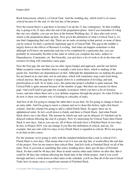Book honeymoon, which is a Critical Task. And the wedding day, which itself is of course critical because it's the end, it's the last day of the project.

Now the reason there's a gap there is because I set up the 21 day contingency. So that wedding day is going to be 21 days after the end of the preparation phase. And if you remember if I drag this out very slightly, you can see here at the bottom Wedding day, 21 days after task seven, which is the preparation phase up here. Now given the definition of what a Critical Task is, it's one that's happening that can't slip. There are no tasks occurring in that period, so none of them can be critical. So that's a perfectly legitimate gap in a Critical Path. The gap in the middle is largely down to the effects of Resource Leveling. And what can happen sometimes is that although we'll know one particular task has to be completed by a particular day, you can probably be reasonably flexible in the order in which you complete the tasks, subject to Dependencies, Constraints, etc. But basically, you just have a lot of work to do in the time and resource leveling will sometimes cause gaps.

Now the first gap, the one that you see after Agree budget and approach, and the one before Make reception venue shortlist, there is actually a task active there, which is making of the guests list. And there are dependencies on that. Although the dependencies on making the guests list are based on its start date, not its end dates, which will sometimes stop a task from being critical anyway. But the gap here is largely down to a combination of leveling, and task prioritization as well. So in many ways, this particular project schedule is quite unusual. The Critical Path is quite unusual because of the number of gaps. But there are reasons for those gaps. And you'll tend to get gaps for example, in projects where you have a lot of resource issues, and also where there isn't a very definite sequence through the project. So what I'd like to do now is show you another way of looking at criticality of tasks.

And first of all, I'm going to change the table that's in use here. So I'm going to change it back to an entry table. And I'm going to insert a column and we've done this before, right click Insert column. And the column I'm going to add is called Finish Slack. So again, these are in alphabetical order. So let's scroll down to finish, and there is Finish Slack. And what Finish Slack shows me is the Slack. The amount by which any task can be delayed, it's finished can be delayed without affecting the end of a project. Now it's interesting for Critical Tasks their Finish Slack is zero days. And as you can see, all of these red tasks have a Finished Slack of zero days. In fact, in Project 2019, you can change if you like this definition of critical, and say, for example, that any task with two days or less Finish Slack is regarded as critical. We're not going to do that on this course.

For the moment, we're going to stick with the standard definition that a task is critical if it's Finish Slack is zero days. That means that even if it was one day late, it would affect the end date of the project. Now let me remove that critical filter. And let's look at Finished Slack on all of the tasks. Now if you look at something like select wedding dress, that's got 48 days of Finished Slack. So that could be 48 days late. Bear in mind various other tasks follow on after that. But it could be 48 days late without affecting the finish date of the whole project. And if you scroll through and have a look down at other tasks in the schedule, you'll see that all of the non-Critical Tasks have in many cases, a significant amount of Finished Slack.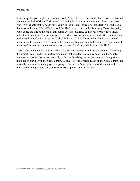Something else you might find useful as well. Again, if I go to the Gantt Chart Tools, the Format tab underneath the Critical Tasks checkbox in the Bar Styles group, there is a Slack checkbox. And if you enable that, for each task, you will see a visual indicator of its Slack. So you'll see a line next to the non-Critical Tasks. And the Slack also shows on the Summary Tasks. So again, you can see the line at the end of this summary task just here. So it gives a really good visual indicator of how much Slack there is on individual tasks within your schedule. So in summation, in this section, we've looked at the Critical Path and Critical Tasks and at Slack. A couple of other things to mention. If I go back to the Resource Tab, and go into Leveling Options, again, I mentioned this earlier on, there's an option in here; Level only within available Slack.

If you click on level only within available Slack that does severely limit the amount of leveling the project is able to do. But it does also mean that you don't cause any delay. And secondly, if you need to shorten the project possibly to deal with a delay during the running of the project, the place to start is with the Critical Path. Because, it's the Critical Tasks on the Critical Path that basically determine when a project is going to finish. That's it for the end of this section. In the next section. I'm going to set you exercise six so please join me for that.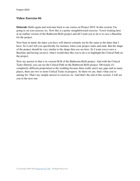## **Video: Exercise 06**

**Deborah:** Hello again and welcome back to our course on Project 2019. In this section, I'm going to set you exercise six. Now this is a pretty straightforward exercise. You're looking here at an outline version of the Bathroom Refit project and all I want you to do is to save a Baseline for the project.

Now bear in mind, the dates you have will almost certainly not be the same as the dates that I have. So I can't tell you specifically for instance when your project starts and ends. But the shape of the project should be very similar to the shape that you see here. So I want you to save a Baseline and having saved it, what I would then like you to do is to highlight the Critical Path on the project.

Now my answer to that is in version 06 B of the Bathroom Refit project. And with the Critical Tasks filtered, you can see the Critical Path on the Bathroom Refit project. Obviously it's completely different proposition to the wedding because there really aren't any gaps and in many places, there are two or more Critical Tasks in progress. So there we are, that's what you're aiming for. That's my sample answer to exercise six. And that's the end of this section. I will see you in the next one.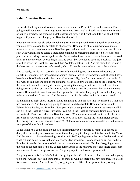### **Video: Changing Baselines**

**Deborah:** Hello again and welcome back to our course on Project 2019. In this section, I'm going to tell you a few more things about Baselines. Now, we've already set a Baseline for each of our two projects, the wedding and the bathroom refit. And I want to talk to you about what happens if you need to change your Baseline first of all.

Now, there are various situations in which a Baseline might need to be changed. In some cases, you may have a reason legitimately to change your Baseline. In other circumstances, it may mean that rather than changing the Baseline, you perhaps ought to be saving a new one. So let's start with what might be called a legitimate example of changing a Baseline. So I've done this plan for the wedding, I've set up the costs, I've sorted out my resource over allocations, etc. And as far as I'm concerned, everything is looking good. So I decided to save my Baseline. And just after I've saved the Baseline, I realized that I've left something out. And the thing I've left out is the best man or the groomsman's tuxedo, which I know is going to be a cost to the wedding.

And so really, this is not a case that the cost of the wedding has been exceeded because of something changing, it's just a straightforward mistake; we've left something out. It should have been in the Baseline in the first instance. Now essentially, I don't want to start all over again, I just want to add that one task to the Baseline. So let's see how we can change the Baseline. Now the way that I would normally do this is by making the changes that I need to make and then doing a set Baseline, but only for selected tasks. I don't know if you remember, when we went into set Baseline last time, there was that option there. So what I'm going to do first is I'm going to insert the task that's missing. And I'm going to put it after select and order groom tuxedo.

So I'm going to right click, Insert task, and I'm going to add the task that I've missed. So that task has been added. And I'm quickly going to switch this table back to Baseline View. So into Tables, More Tables, and Baseline. Now you might be tempted at this point to say okay, well, I can fill in the Baseline figures, just here. I can put in the Baseline start date, finish date, so on and so forth. That isn't really how Baselines work. When you want to add an item like this to the Baseline or you want to change an item, you need to do it by setting the normal fields up and then doing a set Baseline because Project 2019 does a certain amount of calculation. So there are a couple of things I could do here.

So for instance, I could bring up the task information box by double clicking. But instead of doing this, I'm just going to cancel out of there, I'm going to change back to Normal Entry View. And I'm going to change the settings for this task. So I'm going to say that it's a 20 day task. And what I'm also going to say is that it really needs two resources. So one resource is going to be a little bit of time by the groom to help the best man choose a tuxedo. But I'm also going to need the cost of the best man's tuxedo. So let's jump across to the resource sheet and insert a new cost resource and to keep things consistent, I'm going to put it underneath groom's attire.

I'm going to call this Best Man's Attire. It's going to be a Cost Resource. And the accrual is going to be end. And let's just add some initials in there as well. So there's my new resource. It's a Cost Resource, of course. And as I say, I'm just going to need 10% of the groom's time just to get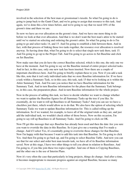involved in the selection of the best man or groomsman's tuxedo. So what I'm going to do is going to jump back to the Gantt Chart, and we're going to assign that resource to this task. And again, we've done this a few times before, and we're going to say that we need 10% of the groom's time and there we are.

So now we have an over allocation on the groom's time. And we have one more thing to do before we look at that over allocation. And that is we don't want the best man's attire to be started until we've started on selecting and ordering the groom's attire. So what I'm going to do is I'm going to go and select tasks 14, and 15. And I'm going to establish a link between them. And in fact, with that process of linking those two tasks together, the resource over allocation is resolved anyway. So having done that, what I'm going to do is select that single new task there, task 15. And I'm going to go up to the Project Tab. And I'm going to go across to Set Baseline and click on Set Baseline.

Now make sure that you do have the correct Baseline selected, which is this one, the only one we have at the moment. And I'm going to say set the Baseline instead of entire project selected tasks. And in fact, in this case, only one new task has been inserted. Now there are a couple of important checkboxes here. And I'm going to briefly explain these to you. Now if you add a task like this, note that it isn't only individual tasks that we store Baseline information for. If we have a task within a Summary Task, so in this case, this task, task 15 that we're looking at is within the Attire Summary Task. And I'm sure you notice that we have Baseline information for the Summary Task. And in turn Baseline information for the phase that the Summary Task belongs to, in this case, the preparation phase. And in turn Baseline information for the whole project.

Now in the process of adding this task, we have to decide whether we want to change whether we want to update the Baseline figures for all Summary Tasks up the tree if you like. So essentially, do we want to roll up Baselines to all Summary Tasks? And you can see we have a checkbox just there, which would allow us to do that. We also have the option of selecting which Summary Tasks we want to update Baseline information for. This is called rolling up the information. So if we wanted, for example, to leave all of the original totals as they are, and just add the individual task, we wouldn't check either of those boxes. Now on this occasion, I'm going to say roll up Baselines to all Summary Tasks. And I'm going to click on OK.

Now I'll get this message that says Baseline has already been used and then the date Are you sure you want to override the data in this Baseline. So it just give me a warning that I've made a change. And if I select Yes, it's essentially going to overwrite those changes for that Baseline. Now I'm happy with that because I want to add this task into that Baseline. So I'm going to click Yes. And then I'm going to go back up, and I'm going to select Baseline Table. And now you can see that for our select and order best man tuxedo task, we have all of its Baseline information saved. Now at this stage, I have two other things to tell you about in relation to Baselines. And I'm going to, if you like join these two topics together. And one of them is Copying Baselines, and the other one is the use of Interim Plans.

Now it's very often the case that particularly in long projects, things do change. And after a time, it becomes inappropriate to measure progress against an original Baseline, because so many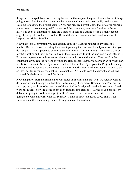things have changed. Now we're talking here about the scope of the project rather than just things going wrong. But there often comes a point when you size that what you really need is a new Baseline to measure the project against. Now best practice normally says that whatever happens, you're going to save the original Baseline. And the normal way to save a Baseline in Project 2019 is to copy it. I mentioned there are a total of 11 sets of Baseline fields. So many people copy the original Baseline to Baseline 10. And that's the convention that's used as a way of keeping the original Baseline.

Now that's just a convention you can actually copy any Baseline number to any Baseline number. But the reason for putting these two topics together, as I mentioned just now is that you do it as part of what appears to be setting an Interim Plan. An Interim Plan is in effect a sort of low fat Baseline and Interim Plan is if you like a Baseline with just the start and finish dates in it. Baselines in general store information about work and cost and durations. They're all in the columns that you can see in front of you in the Baseline table here. An Interim Plan only has start and finish dates in it. Now, if you want to set an Interim Plan, if you go to the Project Tab and go into Set Baseline again, the second option there set Interim Plan. And what you do when you set an Interim Plan is you copy something to something. So I could copy the currently scheduled start and finish dates to start and finish one.

Now that pair of start and finish dates constitutes an Interim Plan. But what we actually want to do here is we want to copy our Baseline. So from copy, I can select Baseline. And I'm going to say copy into, and I can select any one of these. And as I said good practice is to start at 10 and work backwards. So we're going to say copy Baseline into Baseline 10. And as you can see, by default, it's going to do the entire project. So if I was to click OK now, my entire Baseline is going to be copied into Baseline 10. So really, it kind of makes a backup copy. That's it for Baselines and this section in general, please join me in the next one.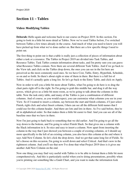## **Section 11 – Tables**

### **Video: Modifying Tables**

**Deborah:** Hello again and welcome back to our course on Project 2019. In this section, I'm going to look in a little bit more detail at Tables. Now we've used Tables before, I've switched between Tables a few times already in the course. And much of what you need to know you will have picked up from what we've done earlier on. But there are a few specific things I need to point out.

The first thing to point out is that a table is really just a collection of pieces of information about either a task or a resource. The Tables in Project 2019 are divided into Task Tables, and Resource Tables. Task Tables contain information about tasks, and I'm pretty sure you can guess what Resource Tables contain. Now there are several different Task Tables. And if we go back to the View tab, and click on the Tables drop down, the ones you can see in the list here are perceived as the most commonly used ones. So we have Cost, Table, Entry, Hyperlink, Schedule, so on and so forth. So there's about eight or nine of them in there. But there is a full list of Tables. And it's actually quite a long list. So let's go back to the Entry Table, and click on Apply.

Now in order to tell you a little bit more about Tables, what I'm going to do here is to drag the chart parts right off to the right. So I'm going to grab this middle bar, and drag it all the way across, which gives us a little bit more room, as we're going to talk about the columns in this table. Now the task entry table, and many of the Tables is just a combination of different columns. And of course, as you would expect, you can customize what columns you see in your View. So if I wanted to insert a column, say between the start and finish columns, if I just select Finish, right click and select Insert column, I then can see all the different field names that I could use for this column header. And there are lots and lots in there. As I've said before, they're all in alphabetical order. So that makes them a little bit easier to find. And you can see all of the baseline ones that we have in there.

Now I'm just going to hark back to something that we did earlier. And I'm going to go all the way down to the bottom, and I'm going to select Finish Slack. So that gives me a column with the Slack information in it. So nice and easy to insert a column. Now apart from inserting the column in the way that I just showed you between a couple of existing columns, or I should say more specifically to the left of an existing column, you also have this column at the end where it says Add New Column. So let's click the drop down. And we get that same long list of Fields. So let's choose on this occasion, I'm going to scroll down and select Critical. And that's now in the rightmost column. And you'll see that now I've done that what Project 2019 does is it gives me another Add New Column on the end.

Now one thing you may find very useful with Tables is to be able to format them a little bit more comprehensively. And this is particularly useful when you're doing presentations, possibly when you're printing out something like a Gantt Chart, and you want to make the information look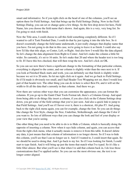smart and informative. So if you right click on the head of one of the columns, you'll see an option there for Field Settings. And that brings up the Field Settings Dialog. Now in the Field Settings Dialog, you can set or change quite a few things. So the first drop down list here, Field Name, lets you choose the field name that's shown. And again, this is a very, very long list. So I'm going to stick with finish.

Now the Title area, I could choose to call this field something completely different. So if I wanted to call it Task Finished Date, I could do that by just typing it into the title box. So it doesn't essentially change the field name underneath, it just really changes that display name that you have. I'm not going to do that in this case, we're going to leave it as finish. I could also say how I'd like that title align, so Center, Left, or Right. And also how I would like the data aligned. So let's change the data alignment from Right to Center. And let's make the column a little bit wider. So currently, it's set to 16 units. So let's make that 20 and where the header text is too long to fit. If I have this box checked, that will then wrap the text. And let's click on OK.

So you can see now there's been a significant change to the formatting of that particular column, everything is aligned to the center, and our column is slightly wider than the ones next to it. If you look at Finished Slack starts and work, you can definitely see that finish is slightly wider because we set it to 20 units. So let me right click on it again. And we go back to Field Settings. So if I'd made it obviously too small, and I had Header Text Wrapping not set, then I would lose part of that header text. The other thing you can do in here is select Best Fit, and it will set the width to fit all the data that's currently in that column. And there we go.

Now there are various other ways that you can customize the appearance, you can format the columns. If you go up to the Gantt Chart Tools Format tab, there's a Columns Group. And apart from being able to do things like insert a column, if you also click on the Column Settings drop down, you get some of the field settings that you've just seen. And also a quick link to jump to that Field Settings. And you'll see if I hover over it, there is a shortcut, Alt plus F3. And going back to the right click menu again, you can for example, change the font. So you can do things like change the Text Style, change the Size, Underline, Strikethrough, and change the Color if you want to. So lots of different ways that you can change the look and feel of your display or your view that you're seeing.

One other thing that you need to be able to do is to Hide a Column, which is basically doing the opposite of inserting a column. Now when it says hide column, and again, you can access that from the right click menu, what it actually means is remove it from this table. It doesn't delete any data, it just means that that column of information is no longer shown. So if I was to hide this column, you'll see that I can no longer see it. And if I wanted to, I could insert that again. So we should be used to doing that. And I go back to my list. So if I was looking for finish, I could start to type finish. And it will bring up just the items that match what I've typed. So it's like a little filter almost. But what you'll see is that when I re add that column back in, I do lose those customizations that I've applied earlier. So you can see the most obvious one, the text is no longer center aligned.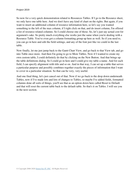So now for a very quick demonstration related to Resources Tables. If I go to the Resource sheet, we only have one table here. And we don't have any kind of chart on the rights. But again, if you want to insert an additional column of resource information here, so let's say you wanted something to the left of the max column, if I right click on that, and do insert column, I'm offered a list of resource related columns. So I could choose one of those. So, let's just say actual cost for argument's sake. So pretty much everything else works just the same when you're dealing with a Resource Table. You've even got a column formatting group up here as well. So if you need to, you can go in here and edit the field settings, and any of the font just like we could in the last table.

Now finally, let me just jump back to the Gantt Chart View, and go back to that View tab, and go into Table once more. And then I'm going to go to More Tables. Now if I wanted to create my own custom table, I could definitely do that by clicking on the New Button. And that brings up the table definitions dialog. So I could go in here and I could give my table a name. And for each field, I can specify alignment with title and so on. And in that way, I can set up a table that serves a particular purpose and possibly combines together exactly the pieces of information that I want to cover in a particular situation. So that can be very, very useful.

And one final thing, let's just cancel out of that. Now if we go back to the drop down underneath Tables, now if I've made lots and lots of changes to Tables, so maybe I've added fields, formatted columns done all sorts of things, you'll see that as an option down here called Reset to Default and that will reset the current table back to the default table. So that's it on Tables. I will see you in the next section.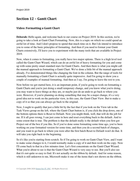## **Section 12 – Gantt Chart**

#### **Video: Formatting a Gantt Chart**

**Deborah:** Hello again, and welcome back to our course on Project 2019. In this section, we're going to take a look at Gantt Chart Formatting. Now, this is a topic on which we could spend an awful lot of time. And I don't propose to spend that much time on it. But I do intend to introduce you to some of the basic principles of formatting. And then if you need to format your Gantt Charts extensively, I'll leave you to experiment with the many tools that are available in Project 2019.

Now, when it comes to formatting, you really have two major options. There is a high level tool called the Gantt Chart Wizard, which can do an awful lot of heavy formatting for you and come up with some pretty smart standard stars for Gantt Charts. And then there is what you might call the manual approach to formatting a Gantt Chart. We've done a little bit of the manual approach already, I've demonstrated things like changing the font in the column. But the range of tools for manually formatting a Gantt Chart is actually quite impressive. And I'm going to show you a couple of examples of manual formatting. And then as I say, I'm going to leave the rest to you.

Now before we get started here, it is an important point, if you're going to work on formatting a Gantt Charts and you're just doing a small temporary change, and you know what you're doing, you may want to leave things as they are, or maybe just do an undo to go back to where you were. However, if you're planning on doing something that may be a major change, it's a very good idea not to work on the particular view, in this case, the Gantt Chart View. But to make a copy of it so that you can always go back to the original.

Now, I ought to qualify that just a little bit by the fact that if you look on the View tab in the Task Views group on the left, where the Gantt Chart button is, if you click the drop down, one of the bottom options there is Reset to Default. Now you might think, well, that will do the job for me. If it all goes wrong, I can just come in here and reset everything back to the default. And to some extent that is true. The problem is that the default really is the default when you first got Project out of the box if you like. So if you've done some formatting some time ago, you've been working on your formatted version for some time, and then you do a second batch of changes, and you want to go back to where you were after the first batch Reset to Default won't do that. It will take you right back to the beginning.

So it's like you're starting from scratch. So if I'm going to work on Gantt Chart View, and I want to make some changes to it, I would normally make a copy of it and then work on the copy. Now I'll come back to that in a few minutes time. Let's first concentrate on the Gantt Chart Wizard. What you're about to see is that the Gantt Chart Wizard is very easy to use. But you'll also see that it's not quite so easy to find. It's not actually on the ribbon by default. And for some reason, which is still unknown to me, Microsoft make it one of the items that's not shown on the ribbon.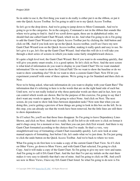So in order to use it, the first thing you want to do really is either put it on the ribbon, or put it onto the Quick Access Toolbar. So I'm going to add it on to my Quick Access Toolbar.

So let's go to the drop down. And we're going to jump down to More Commands. And we're going to go to the categories. So in the category, Command is not in the ribbon that sounds like where we're going to find it. And if we scroll down again, these are in alphabetical order, we should find one called Gantt Chart Wizard, which we do. And what I'm going to do is I'm going to add the Gantt Chart Wizard to my Quick Access Toolbar just by clicking the Add button and click on OK. And if you look now up on the Quick Access toolbar, you'll see I have my new Gantt Chart Wizard icon on the Quick Access toolbar, making it really quick and easy to use. So let's give it a go, let's fire up the Gantt Chart Wizard. And what this will do is it will take you through a short series of screens in which you make some fairly straightforward choices.

It's quite a high level tool, the Gantt Chart Wizard. But if you want to do something quickly, that will give you pretty smart results, it is a good option. So let's click on Next. And the next screen is what kind of information do you want to display in your Gantt Chart? Do we want standard information? Do we want to show the Critical Path? Do we want to show the baseline or do we want to show something else? Or do we want to show a custom Gantt Chart. Now I'll let you experiment yourself with some of these options. We're going to go for Standard and then click on Next.

Next we're being asked, what task information do you want to display with your Gantt Bars? The information that it's referring to here is in the words that are on the right hand side of each bar. Until now, we've not really looked at why those particular words are there and in fact, how you can control which words are shown. But for the purpose of this exercise, I'm going to say that I don't want any words to appear. So I'm going to select None. And click on Next. The next screen, do you want to show link lines between dependent tasks? Now note that when you are doing this, you're getting a preview of how things are going to look in this box on the left. So in this step, you can already see that the words have been removed, but the little lines are still there to show dependencies.

So if I select No, you'll see that those lines disappear. So I'm going to leave Dependency Lines Shown, and click on Next. And that's it really. So all I'm left to do with now is click on format it and it chugs away for a moment or two. And then you can just click Exit wizard. And there is my Gantt Chart formatted according to the choices that I've made. So that's a very, very straightforward way of formatting a Gantt Chart reasonably quickly. Let's now look at some manual aspects of formatting. Just before I do, let's undo what we've just done. So I'm just going to click the undo button on the Quick Access Toolbar. And we're back to where we were.

What I'm going to do first here is to make a copy of the current Gantt Chart View. So if I click on Other Views, go down to More Views, and with Gantt Chart selected, I'm going to click Copy. And it will make a copy of the Gantt Chart. So I'm going to give my new view and name. And I'm going to call it DA Gantt Chart. And the fact that I've put my initials on the start there makes it very easy to identify that that's one of mine. And I'm going to click on OK. And you'll see now in More Views, I have my DA Gantt Chart listed. So what I'm going to do now is I'm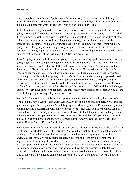going to apply it. So let's click Apply. So that's made a copy. And I can revert back to my original Gantt Charts whenever I want to. So let's start out with doing a little bit of formatting of the table. And note that what I'm currently working on is the Entry Table.

So the first thing I'm going to do, I'm just going to move this out of the way a little bit, is I'm going to select all of the columns from task name to predecessor. And I'm going to best fit all of those columns. So right click down to Field Settings, and select Best Fits and the widths of those columns are now adjusted accordingly. I'm then going to go in, and I'm going to hide the predecessors' column. And I'm also going to hide the work column. And then I think what I'm going to do is I'm going to center align everything in the finish column. So back into Field Settings. And I'm going to say align data to the center. And something else that we can do. Let's suppose that I chose all of the text under the Attire Summary Task.

So we're going to select all of those, I'm going to right click to bring up the mini toolbar. And I'm going to go in and I'm going to change the font to something else. So let's just select this one here. Not the nicest font in the world. But that doesn't matter too much. And you can see that that's only applied to the tasks that I've selected. Now what if I wanted to do a project wide change of the font, so let me undo that very quickly. What I can do is go up to the Format tab, and then go to the Text Styles option just here. It's the first one in the format group. And I could select the same font. Now I'm probably not going to get the same font. So I'm just going to choose a different one just here. And I could choose a font style, I could choose a size if I wanted to. So let's go to town, let's choose font size 14, and I'm going to click OK. And that will change absolutely everything on the project plan. And this looks pretty terrible, but hopefully you get the idea. So I'm going to very quickly undo that as well.

Now let's take a look at a couple of other options when it comes to formatting the chart itself. First of all, there is a Gantt Chart Styles Gallery, and it's this big gallery just here. Now there are quite a few styles. We've got some Scheduling styles, and we've got some Presentation styles and you might want to experiment with some of those to see which ones you like the most. And in general terms one of the key things here as we just saw with the table on the left is that you can either choose to style a particular bar or to change the style of all bars of a particular type. So in the Bar Styles group over here, there is a Format button. And you can see that we have two options Format Bar, or Format Bar Styles.

Now Format Bar will format the specific bar that you've selected, whereas Bar Styles will format all of them. So let's take a look at Bar Styles. And you'll see that this brings up a rather complex looking Bar Styles dialog box. And we can pretty much format every single aspect of a Bar Style. You can get really, really technical here. Now first of all, we have different types of objects. So we have straightforward task objects, we have splits, we have milestones, summary tasks, project summary, task, etc. Now with each of these, we can choose its appearance. And we can view or in some cases, change various aspects of how the bar appears. So let's take our standard task, which is what most of these bars represent. And you can see the color there, it's a kind of blue. So if I wanted to change the appearance, I've got a number of ways that I could change it.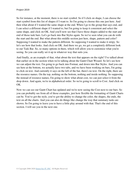So for instance, at the moment, there is no start symbol. So if I click on shape, I can choose the start symbol from this list of shapes if I want to. So I'm going to choose this one just here. And then what about if I wanted the same shape at the end. When I go to the group that says end, and I can select a different shape if I wanted to, but I'm going to keep it consistent and select the same shape, and click on OK. And you'll now see that I have those shapes added to the start and end of those task bars. Let's go back into Bar Styles again. So we've seen what you can do with the start and the end. But what about this middle section just here, shape, pattern and color? Supposing I wanted to make the pattern different. So supposing I wanted to make it stripy. So let's see how that looks. And click on OK. And there we go, we get a completely different look to our Task Bar. So, so many options in there, which will allow you to customize what you're seeing. So you can really set it up in whatever way that suits you.

And finally, as an example of that, what about the text that appears on the right? I've talked about that earlier on in the section when we're talking about the Gantt Chart Wizard. So let's see how we can adjust the text. I'm going to go back into Format, and down into Bar Styles. And you can see here at the bottom, we actually have two tabs, and we have been working on bars, I'm going to click on text. And currently it says on the left of the bar, there's no text. On the right, there are the resource names. On the top, nothing on the bottom, nothing and inside nothing. So supposing the instead of resource names, I'm going to show what about cost, we can just select it from the drop down. And again, we're in alphabetical order. So we're going to scroll to Cost. And click on OK.

Now we can see our Gantt Chart has updated and we're now seeing the Cost next to our bars. So you can probably see from all of those examples, just how flexible the formatting of Gantt Charts can be. You've got the style, you've got the ability to change the color, the shapes, the ends, the text on all the charts. And you can also do things like change the way that summary tasks are shown. So I'm going to leave you to have a little play around with that. That's the end of this section. I will see you in the next one.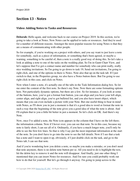## **Section 13 - Notes**

#### **Video: Adding Notes to Tasks and Resources**

**Deborah:** Hello again, and welcome back to our course on Project 2019. In this section, we're going to take a look at Notes. Now Notes can be applied to tasks or resources. And they're used for a number of different reasons. Amongst the most popular reasons for using Notes is that they are a means of communicating with other people.

So for example, if you're working on a project with others, and you say want to just leave a note for somebody, such as a piece of information, or something that's been agreed, or maybe a warning, something to be careful of, then a note is a really good way of doing this. So let's take a look at adding a note to one of the tasks on the wedding plan. So I'm in Gantt Chart View, and let's suppose that I've got a contact name and number for somebody who can print really, really nice wedding invitations. So I'm going to go down to task 19; Send out invitations, I'm going to right click, and one of the options in there is Notes. Note also that up on the task tab. If I just switch to that, in the Properties group, we also have a Notes button there. But I'm going to use right click in this case, and click on Notes.

Now when I enter a note, it's actually one of the tabs in the Task Information dialog box. So let me enter the content of the first note. So there's my Note. Now there are some formatting options here. Not particularly dynamic options, but there are a few. So for instance, if you look at some of the buttons, here, you've got a format font button, you can align and you have your left align, center align, and right align, you've got bulleted list, and you also have insert object, which means that you can even include a picture with your Note. But one useful thing to bear in mind with Notes, as I'll show you in just a moment is that it's a good idea to word or format the note in such a way that the beginning of the note gives you a good idea of what the note is about. And I'll explain that to you a little bit better in just a moment. So let's click on OK. And there's my Note.

Now, once I've added a note, the Note icon appears in the column that I have on the left there; the information column. Now if I hover over, you can see that note. So in this case, because my note is fairly short, I can see all of it. Ordinarily, if you have a much longer note, you'll only be able to see the first few lines. So that is why I say put the most important information at the start of the note. So you don't have to go into the note to see the full details. Now if I see that a task has a note and I want to open it up, obviously, if I just double click on the task, and go to the Notes tab, I can see that note.

And if you're wondering how you delete a note, so maybe you make a mistake, or you don't need that note anymore, there is no delete note button per se. All you need to do is highlight the text, hit the delete key to remove it and the note will disappear. And finally, just one other thing I mentioned that you can insert Notes for resources. And I'm sure you could probably work out how to do that for yourself. But let's go through it anyway. I'm going to jump across to the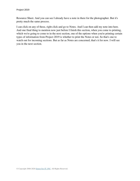Resource Sheet. And you can see I already have a note in there for the photographer. But it's pretty much the same process.

I can click on any of these, right click and go to Notes. And I can then add my note into here. And one final thing to mention now just before I finish this section, when you come to printing, which we're going to come to in the next section, one of the options when you're printing certain types of information from Project 2019 is whether to print the Notes or not. So that's one to watch out for incoming sections. But as far as Notes are concerned, that's it for now. I will see you in the next section.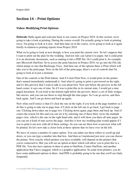## **Section 14 – Print Options**

### **Video: Modifying Print Options**

**Deborah:** Hello again and welcome back to our course on Project 2019. In this section, we're going to take a look at printing. During the course overall, I'm actually going to look at printing twice. I'm going to look at it now. And then later on in the course, we're going to look at it again briefly in relation to printing reports from Project 2019.

What we're going to look at now though, is how you print the current view. So let's suppose that I want to print out the plan for the wedding. And not only can I print it to paper, but I could print it to an electronic documents, such as making it into a PDF file. Or I could print it, for example, into Microsoft OneNote. So to access the print function in Project 2019, we go into the File tab, which jumps us into that Backstage View. And then one of the options there is Print which will take you to the print page. Now on the left of the print page, there's a set of controls that I'm going to look at in just a moment.

One of the controls is the Print button. And if I click Print Now, it would print on the printer that's named immediately underneath it. And what it's going to print is previewed on the right, and it's this preview that I want to talk to you about first. Now just below the preview in the left hand corner, it says one of nine. So if I was to print this in its current state, I would get a nine paged document. If you look to the bottom right below the preview, there's a set of little wedges like arrows, and you can use those to step through the nine pages. So I can go across, and then back again. And I can go down and back up again.

Now what you'll notice is that if I click the one on the right, if you look at the page numbers as I do this is going to take me to page four, if I click on the left one to go back, I get back to page one. Clicking down takes me to page two. Clicking down again, page three and back up. And of course the reason for this and you can see it by selecting one of these three views the multiple pages view, which is the one on the right hand side, and it will show you there all nine pages. So you can see it kind of runs across the page. And this is how my wedding plan would appear if I was to print it out now with all of these settings. So you can see there how to preview what will be printed. So let's now take a closer look at these options that we have over on the left.

We have of course a number of copies option. You can either use these rollers to scroll up and down, or you can type a number into that box. And then as I mentioned just now you can choose the printer. Now exactly which printers you have available, will depend on the printers that you're connected to. But you will see an option in there which will allow you to print this to a PDF file. You also have options in there to print to OneNote, Center OneNote, and another application that I have snagged, which is a graphics application. So aside from printers, you do have some additional options in there. And PDF is probably going to be one that you'll use fairly frequently.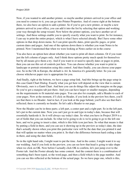Now, if you wanted to add another printer, so maybe another printers arrived in your office and you need to connect to it, you can go into Printer Properties. And of course right at the bottom there, we also have an option to add a printer. So if you've got a new printer, or maybe a new printers arrived in your office, you can add it into the list by selecting that option and working your way through the setup wizard. Now below the printer options, you have another set of settings. And these settings enable you to specify exactly what you want to print. So for instance, I can say to print the entire project, which is what I have selected already. But I have some other options in that drop down menu. So I can print specific dates, print specific pages, or print custom dates and pages. And one of the options down there is whether you want Notes to be printed. Now I mentioned that when we were looking at Notes earlier on in the course

You also have an option here about whether you want to print all sheet columns. Or if you want just the left column of pages only. And I think these options pretty much speak for themselves but by all means give them a try. And if you want to or need to specify dates or pages to print, then you can use this set of controls just here. You can choose whether you want to print in landscape or portrait orientation using this control. And then finally, you can choose your paper size. So in the UK in Europe, the default is A4. In America it's generally letter. So you can choose whichever paper size is appropriate for you.

And finally, right at the bottom, we have a page setup link. And this brings up the page setup in this case Gantt Chart Dialog. Exactly what you get here will depend on the view that is current. Obviously, ours is a Gantt Chart. And here you can do things like adjust the margins on the page. So you've got a margins tab just there. And you can have larger or smaller margins, depending on the requirements to fit material onto pages. You can also for example, add a Header to each of your pages. Now at the moment, if I click on Header, if you look in the preview box there, you'll see that there is no Header. And in fact, if you look at the page behind, you'll also see that that's reflected; there is currently no header. So let's add a Header to our page.

Now the Header can be in three parts; a left part, a center part and a right part. So in the left part, let's put in the current date. Now you can't just go in and type in today's date, because that will essentially hardcode it. So it will always say today's date. So what you have in Project 2019 is a set of fields that you can include. So what we're going to do is we're going to go to the left one here, and we're going to insert a date, which is this little icon just here. So what that means is that by putting a field in there, and you can see it showing up in the preview as today's date, the date that's actually shown when you print this particular view will be the date that you printed it and that will update no matter when you print it. So that's the difference between hard coding a date in there, and using the date fields.

So in the right hand side, I might want to put the time. And in the center, I might want it to say our wedding. And if you look in the preview, you can see how that head is going to take shape when we click on OK. Now before I actually click OK to confirm, let's just jump over to the Footer tab. And the Footer already has some content. And the content there is a combination of something that's been typed, so the word page, and then a field which is the page number. And you can see this reflected at the bottom of the actual page. So we have page one, which is this,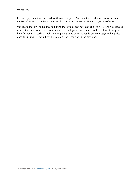the word page and then the field for the current page. And then this field here means the total number of pages. So in this case, nine. So that's how we get this Footer, page one of nine.

And again, these were just inserted using these fields just here and click on OK. And you can see now that we have our Header running across the top and our Footer. So there's lots of things in there for you to experiment with and to play around with and really get your page looking nice ready for printing. That's it for this section. I will see you in the next one.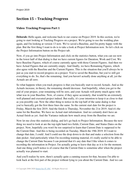# **Section 15 – Tracking Progress**

#### **Video: Tracking Progress Part 1**

**Deborah:** Hello again, and welcome back to our course on Project 2019. In this section, we're going to start looking at Tracking Progress on a project. We're going to use the wedding plan again, and I'm looking at version 13 now. We've saved a Baseline, and I'm pretty happy with the plan. But the first thing I want to do is to take a look at Project Information now. So let's click on the Project Information button on the Project tab.

Now, if you go into Project Information and click on the statistics button, what you can see now in the lower half of that dialog is that we have current figures for Duration, Work and Cost. We have Baseline Figures, which of course currently agree with those Current Figures. And then we have Actual Figures that are currently empty. And finally, we have Remaining Figures, which also agree with the Baseline and the Current Figures. This is the situation that you'll always be in just as you start to record progress on a project. You've saved the Baseline, but you've still got everything to do. So, that's the remaining. And you haven't actually done anything at all, yet the Actuals are all zero.

So what happens when you track progress is that you basically start to record Actuals. And as the Actuals increase, in theory, the remaining should decrease. And hopefully, when you get to the end of your project, your remaining will be zero, and your Actuals will pretty much agree with what was in your Baseline. Now, of course, if they agree accurately, that would be an extremely well planned and executed project indeed. But really, it's your intention to keep it as close to that as you possibly can. Now the other thing to notice in the top half of the same dialog is that you've basically got the first three lines the same. So the current start date for the project is Friday, March the first 2019. And the finish is Thursday, November the 21st 2019. And it's the same for the Baseline. We have no Actual start information. And we certainly don't have an Actual finish as yet. And the Variance indicate how much away from the Baseline we are.

Now let me close this statistics dialog, and let's go back to Project Information. Because the next thing we need to look at are the top right hand two fields; Current Date, and Status Dates on the project. Now, hopefully you won't be too surprised to learn that Current Date is supposed to be the Current Date. And this is being recorded on Tuesday, March the 19th 2019. If I want to change that date, I could. And I could use the drop down to do that and make a selection from the date picker. And particularly when I'm recording training material, it's really useful to be able to change the Current Date because I can pretend that it's any date that I like when it comes to recording the information in Project. I'm actually going to leave that day as it is for the moment. And one thing you'll notice is of course that the Current Date is sometime after when the project actually was planned to start.

And you'll realize by now, there's actually quite a cunning reason for that, because I'm able to look back at the first part of the project without lying to you about the Current Date. And we can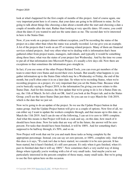look at what's happened for the first couple of months of this project. And of course again, one very important point here is of course, that your dates are going to be different to mine. So I'm going to talk about things like choosing a date about a month after the start and choosing a date a couple of months after the start, Rather than looking at very specific dates. Of course, you could cheat the dates if you wanted to and use the same dates as me. The second date we're interested in here is the Status Date.

Now, if you work on a project almost without exception, you'll be recording the status of the project on a date other than when the status was actually recorded. Let me give you an example. A lot of the projects that I work on are IT or training related projects. Many of them are financial services related projects. And very often what we're dealing with is information that's been gathered either from project teams, managers, individuals, and typically it would be something along these lines; what was the status of your project last Wednesday. And by the time we come to put all of that information into Microsoft Project, it's usually a few days old. Now there are exceptions to that sometimes the information goes straight in.

In fact, if you use some of the other Project Related Tools, you can even get members of the team to enter their own Status and record their own Actuals. But usually what happens is you gather information up to the Status Date which may be a Wednesday or Friday, the end of the month, but you'll often enter it in on a later date. So when we're recording Status, when we're recording progress on a project, it's very important that you set the Status Date. Because what you're basically saying to Project 2019, is the information I'm giving you now relates to this Status Date. And for this instance, the first update that we're going to do is for a Status Date on, say, the 11th of March. So let's click on OK. And if you look at the Project tab, and in the Status Group, you'll see the latest Status Date just there. So you can see it says March the 11th 2019, which is the date that we just set.

Now we're going to do an update of the project. So we use the Update Project button in that status group. And the Update Project button will give us a couple of options. Now first of all, we can either say I want to update the workers complete through, and that means up to this date, so March the 11th 2019. And I can do one of the following, I can set it to zero to 100% complete. And what this means is that Project will look at a task and say, on this date, how much of it should have been done. Now for tasks that are way off in the future, the answer will be zero percent. For tasks that should have been finished, it will be 100%. And for something that's supposed to be halfway through, it's 50%, and so on.

Now Project will work that out for you and mark those tasks as being complete by the appropriate percentage. Instead, you can say set zero percent, or 100%, complete only. And what this does is it says, "If a task isn't due to have started, we consider it to be zero percent. It has been started, but it hasn't finished, it's still zero percent. It's only when it gets finished, when it's past its finished date that it will say 100%". Now sometimes that's a very useful way of doing things where typically you're working with a lot of very small tasks. And maybe you're not particularly interested in the percent complete of those many, many small tasks. But we're going to use the first option here on this occasion.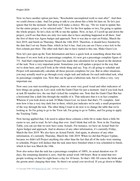Now we have another option just here, "Reschedule uncompleted work to start after". And then we could choose a date. And I'm going to talk to you about this a little bit later on. So let's just ignore that for the moment. And then we'll make a choice. We say, "Do we want to update this for the entire project, or for selected tasks". Now for the first update or two, I'm going to update the whole project. So let's click on OK to run the update. Now, in fact, if I scroll up and down the project, you'll see that there are only two tasks due to have anything happened at all there. And the first of them was Agree budget and approach. Now it was due to start on Friday, March the first 2019, and finish on Thursday, March the 14th 2019. Therefore, it should have finished by the date that I set my Status Date, which in fact it has. And you can see I have a nice tick in the first column just there. The other task that's due to have started is this one, Make Guest List.

Now let's just open up the Task Information and have a quick look at something about that task. Because if we now look at its percentage complete, it's now got a percentage complete figure of 7%. And that's important because Project has made that calculation for us based on the duration of the task. Now a very important point. Sometimes you will update a project in the way that we've done here, and you'll look at the whole thing and say, Yep, it's all going to schedule and Project will automatically calculate all those percent completes for you. But in other situations, you may actually need to go through every single task and indicate for each individual task, what its percentage complete was. Now that can be quite a laborious task, but it's often a very, very important one.

Now once you start recording progress, there are some very good visual and other indicators of how things are going on. Let's stick with the Gantt Chart for just a moment. And if you look back at task ID number two, the one that's ticked the complete one. Note that the Gantt Chart Bar has a horizontal line a dark line through the middle of it. That indicates that it is in fact complete. Whereas if you look down at task 18 Make Guest List, we know that that's 7% complete. And note how it has a very tiny dark line in there, which just indicates we're only a small proportion of the way through the task. The other thing I want to do now is to change the table that we're looking at. So I'm going to go to the View tab, I'm going to go to Tables, and I'm going to apply the Tracking Table.

Now having applied that, I do need to adjust these columns a little bit to make them a little bit easier to see, and to read. So let's drag that over. And I think that will do. Now in the Tracking Table, you can see that we now have some Actuals. For instance, we have an Actual Start for Agree budget and approach. And in absence of any other information, it's currently Friday, March the first 2019. We also have an Actual Finish. And again, in absence of any other information, it's currently Thursday, March the 14th 2019. When we did that Project Update, because we didn't tell Project anything else other than the fact that all of the tasks were running to schedule, Project will deduce that the task must have finished when it was scheduled to finish, which in fact was March the 14th.

Now also notice that the task has a percentage complete of 100%, its actual duration was 10 days, the remaining duration is zero, And the actual work 160 hours. Bear in mind that two people working on that for eight hours a day for 10 hours. So that's 160. Of course the bride and the groom aren't charging their time. So there's no actual cost involved. If you go down to Make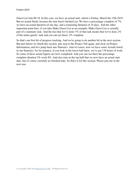Guest List task ID 18. In this case, we have an actual start, which is Friday, March the 15th 2019. But no actual finish, because the task hasn't finished yet. We have a percentage complete of 7%, we have an actual duration of one day, and a remaining duration of 14 days. And the other important point here, if you take Make Guest List as an example, Make Guest List is actually part of a summary task. And the fact that we've done 7% of that task means that we've done 2% of the entire guests' task and you can see there; 2% complete.

So that's our first bit of progress tracking. And we're going to do another bit in the next section. But just before we finish this section, just stop to the Project Tab again, and click on Project Information, and let's jump back into Statistics. And of course, now we have some Actuals listed in our Statistics. So for instance, if you look in the lower half there, we've got 176 hours of work. So some of these actual figures are now completed. And you can see there the percentage complete duration 2% work 8%. And also note in the top half that we now have an actual start date, but of course currently no finished date. So that's it for this section. Please join me in the next one.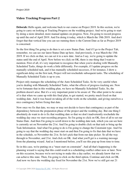#### **Video: Tracking Progress Part 2**

**Deborah:** Hello again, and welcome back to our course on Project 2019. In this section, we're going to carry on looking at Tracking Progress on the wedding project. And we're going to start by doing a more detailed, more manual updates on progress. Now, I'm going to record progress up until the end of April 2019. And I'm doing it today, which is March the 19th 2019. And don't forget that that vertical line you can see running there is the Current Date as far as Project 2019 is concerned.

So the first thing I'm going to do then is set a new Status Date. And if I go to the Project Tab, remember, we can see our latest Status Date up here. And previously, it was March the 15th 2019. If we click on that, we can set it to a new date. And as I say, we're going to update the status until the end of April. Now before we click on OK, there is one thing that I want to mention. First of all, it's very important to recognize that when you're dealing with Manually Scheduled Tasks, things do work a little differently. For example, if I update progress on the manually scheduled task, and it has manually scheduled successes, if for instance, I show a significant delay on the first task, Project will not reschedule subsequent tasks. The scheduling of Manually Scheduled Tasks is up to you.

Project only manages the scheduling of the Auto Scheduled Tasks. So be very careful when you're dealing with Manually Scheduled Tasks, what the effects of progress tracking are. Now we're fortunate that in this wedding plan, we have no Manually Scheduled Tasks. So, the problem doesn't arise. But it's a very important point to be aware of. The other point to be aware of is that when we came up with this final plan, to get started, we pretty much fixed on that wedding date. And it was based on taking all of the work on the schedule, and giving ourselves a nice contingency before fixing that date.

Now once we fix that date, we may or may not decide to leave that contingency as part of the dependency between the preparation phase of the project and the wedding day. But one thing I absolutely do want to do is fix that wedding date so that we don't inadvertently reschedule the wedding day once we start recording progress. So I'm going to click on OK, first of all to set our Status Date. And then I'm going to scroll down to the wedding date task, which you can see here is currently set on November the 21st. And I'm going to double click on that task to bring up the Task Information. And what I'm going to do is I'm going to change the Constraint type. And I'm going to say that the wedding day must start on and then I'm going to fix that date that we have in the schedule, so November the 21st. So let's pick that from our date picker. So all the way through to November, and 21st. And click on OK. And what you'll get is a warning message from the planning wizard. And as I mentioned before, you'll see this pop up from time to time.

So in this case, we're putting on a "must start on constraint". And all that's happening is the planning wizard is saying that this could result in a scheduling conflict either now or later. Now on this occasion, because we're not trying to make this a day earlier, we already know that we can achieve this state. Then, I'm going to click on the third option, Continue and click on OK. And now we have the wedding day fixed for November the 21st. Now we've still got our 21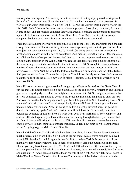working day contingency. And we may need to use some of that up if progress doesn't go well. But we're fixed currently on November the 21st. So now it's time to track some progress. So we've set our Status Date correctly on April 30 2019. And the Current Date Today is March the 19th 2019. So let's look at the tasks that have been in progress. First of all, we already know that Agree budget and approach is complete that was marked as complete on the previous progress update. Let's turn our attention now to Make Guest List. Now Make Guest List is now also complete. So that's good news. But how do you mark something as complete?

Well, there are a number of ways of doing it. If you go to the Task Tab, and within the Schedule Group, there is a set of buttons with significant percentages complete on it. So you can see these ones just here zero percent complete 25, 50, 75 and 100. Many people only really record the level of completeness with this sort of granularity. And marking something as a 100% complete, just click on the hundred percent button. And that task is now complete. And we can see that by looking at the task bar on the Gantt Chart, you can see that darker colored blue line running all the way through the middle, which indicates that that task is 100% complete. Now you have a number of very other useful buttons in there. You have a Mark on Track button. And if you hover over it, it says, "Set the scheduled tasks so that they are on schedule per the Status Dates. And you can set the Status Date on the project tab", which we already know. Now let's move on to another one of the tasks. Let's move on to Make Reception Venue Shortlist, which is down here task ID 24.

Now, if I zoom out very slightly, so that I can get a good look at this task on the Gantt Chart, I can see that it is almost complete. So our Status Date is the end of April, remember, and this task goes very, very slightly over that. So I might not want to set it to 100%, I might want to say that it's 75% complete. So I'm going to go up to my Schedule group, and I'm going to click on 75%. And you can see that that's roughly about right. Now let's go back to Select Wedding Dress. Now at the end of April, that should have been probably about half done. So let's suppose that our update is actually 50% done. Now I'm going to do this a slightly different way, I'm going to double click to bring up the Task Information. And if I click on the General tab, there is a percentage complete option just here. So what I can do is I can mark this as 50% complete, and click on OK. And again, if you look at that dark bar running through the task, you can see that it's about halfway indicating that this task is 50% complete. So there you can see there are a couple of ways to mark things as complete manually. So let's now jump down to another task and we're going to go to Make Caterer Shortlist.

Now the Make Caterer Shortlist should have been completed by now. But we haven't made as much progress on it as we'd like. So if I look at the bar there, I'd say we've probably achieved about 85%. So what I could do again, is double click to go into Task Information. And I can manually enter whatever figure I like in here. So remember, using the buttons up on the task ribbon, you only have the option of 0, 25, 50, 75, and 100, which is a little bit restrictive if your task completion doesn't fall within those buttons. But here, I can manually enter 85% if I want to, and click on OK. And I can see that that looks roughly about right. And now let's scroll down to Make Wedding Venue Shortlist. And I can see I'm running a bit behind on this one. And the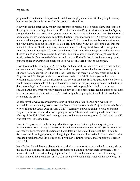progress there at the end of April would be I'd say roughly about 25%. So I'm going to use my buttons on the ribbon this time. And I'm going to select 25%.

Now with all the other tasks, we have no progress to record. So let's just see how that looks on the project overall. Let's go back to our Project tab and into Project Information. And let's jump straight down into Statistics. And you can now see the Actuals at the bottom there. So in terms of percentage, we have percentage complete, duration 15%, and work 29%. So having done those updates, which gets us up to the end of April. What I'd like to look at now is another view and the view that we're going to look at is called Tracking Gantt View. So let's jump back into the View tab, click the Gantt Chart, drop down and select Tracking Gantt. Now when we go into Tracking Gantt View again, it's very often the case that we need to change the width of some of these columns so we can see everything fine. But a quick way of doing this to get everything nicely resized is if we go to the View tab and click on Entire Project in the Zoom group, that's going to space everything out nicely for us so we get an overall view of the project.

Now if you look for example, at Agree budget and approach, which is a completed task and we can see the tick in there, you'll look at the taskbar and you can see that it's now in two parts. There's a bottom bar, which is basically the Baseline. And there's a top bar, which is the Task Progress. And for that particular task, of course, both are at 100%. But if you look at Select wedding dress, you can see the Baseline at the bottom, And the Task Progress at the top. Now, it would be quite reasonable at this point to carry on with the project, keeping an eye on the things that are running late. But in many ways, a more realistic approach is to look at the current situation. And say, what we really need to do now is to do a bit of a reschedule at this point. Let's take into account the fact that some of the tasks might be slipping behind a little bit. And let's reschedule the project.

So let's say that we've recorded progress up until the end of April. And now we want to reschedule the outstanding work. Now, that's one of the options on the Project Update tab. Now, we've still got the Status Date of April 30 2019 currently, but we're going to click on Update Project. On this occasion, what we're going to say is, "Reschedule uncompleted work to start after April the 30th 2019". And we're going to do that for the entire project. So let's click on OK. And that work is rescheduled.

Now, in the process of rescheduling, what then happens is that we get not surprisingly, a resource issue. And we've got some over allocations in the column on the left. So let's see if we can resolve these resource allocations without delaying the end of the project. So if I go into Resource and Leveling Options, and I'm going to level only within available Slack, which is this checkbox just here. And I'm going to stick with Level Entire Project, and I'm going to click on Level All.

Now Project finds it has a problem with a particular over allocation. And what I normally do in this case is to skip any of these flagged problems and aim to deal with them separately if they remain. So on this occasion, I'm going to select Skip All and you can see that it has managed to resolve some of the allocations, but we still have a few outstanding which would have to go in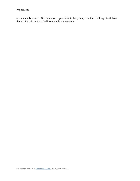and manually resolve. So it's always a good idea to keep an eye on the Tracking Gantt. Now that's it for this section. I will see you in the next one.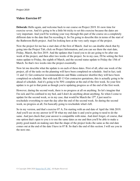### **Video: Exercise 07**

**Deborah:** Hello again, and welcome back to our course on Project 2019. It's now time for exercise seven. And it's going to be a little bit tricky to set this exercise because the dates are very important. And you'll be working your way through this part of the course on a completely different date to the date that I'm recording it. So I'm going to describe this in terms of the start of the Bathroom Refit project. And I'm looking here at the very early stages of the project.

Now the project for me has a start date of the first of March. And we can double check that by going into the Project Tab, click on Project Information, and you can see there the start date, Friday, March, the first 2019. And the updates that I need you to do are going to be after one week of the project, and then after two weeks of the project. So in my case, I'll be setting the first status update to Friday, the eighth of March, and the second status update to Friday the 15th of March. So that's two weeks into the project essentially.

Now let me describe what the update is on each of these dates. First of all, after one week of the project, all of the tasks on the planning will have been completed on schedule. And in fact, task 11 and 12; Get contractor recommendations and Make contractor shortlist they will have been completed on schedule. But with task ID 13 Get contractor quotations, this is actually going to be ahead of schedule. And it's going to be 50% complete at the end of the first week. So your first update is to get to that point as though you're updating progress as of the end of the first week.

However, during the second week, there is no progress at all on anything. So let's imagine that I'm sick and I'm confined to my bed, and I don't do anything about anything. So when I come to update for the second week, so in my case, that would be March the  $15<sup>th</sup>$ , I just need to reschedule everything to start the day after the end of the second week. So during the second week, no progress at all, I'm basically going to reschedule what's left.

So in my version, and that's exercise 07 A, I'm starting with an end date of April the 16th 2019. And you'll see on my answer in 07 B what my end date is and you're going to need to do the same. And just check that your answer is compatible with mine. And don't forget, of course, that one option that's open to you is to use the same dates as me and then you'll be able to make a pretty good match on making sure that the shape of the project looks the same as the end date comes out at the end of the date I have in 07 B. So that's the end of this section. I will see you in the next one.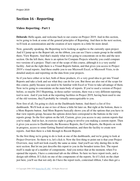# **Section 16 - Reporting**

#### **Video: Reporting - Part 1**

**Deborah:** Hello again, and welcome back to our course on Project 2019. And in this section, we're going to look at some of the general principles of Reporting. And then in the next section, we'll look at customization and the creation of new reports in a little bit more detail.

Now, generally speaking, the Reporting we're looking at applies to the currently open project. And if I jump up to the Report tab, on the ribbon, you can see I have a main group in the middle there; View Reports. And that's mainly what we're going to concentrate on in this and the next section. On the left there, there is an option for Compare Projects whereby you could compare two versions of a project. That's out of the scope of this course, although it is a very useful facility. And on the right there is a Visual Reports button, and that gives you access to Project 2019's visual reports. And these enable you to use Microsoft Excel, or Microsoft Visio, to do detailed analysis and reporting on the data from your projects.

So if you have either or in fact, both of those products, it's a very good idea to get into Visual Reports and take a look and see what they can do for you. But those are also out of the scope for this course, partly because you need to be familiar with Excel or Visio to take advantage of them. Now we're going to concentrate on the main body of reports. If you've used a version of Project before, so maybe 2013 Reporting, in those earlier versions, there was a very different reporting tool to now. And if you look at the reporting facilities in Project 2019, having been used to one of the old versions, they'll probably be virtually unrecognizable to you.

Now first of all, I'm going to click on the Dashboards button. And there's a list of five dashboards. We'll look at one or two of those a little bit later on. But right at the bottom, there is a More Reports button. And More Reports basically shows you all of the options that you have in that view reports group, because the options down here correspond to the buttons in the view reports group. So the first option on the left, Custom, gives you access to any custom reports that you've made. And in fact, in exercise eight is going to involve you making a custom report. Then it gives you access to Dashboards, the Resource Reports, the Cost Reports, the Reports on work in progress, access to some Getting Started information, and then the facility to create new reports. And then there is a link through to Recent Reports.

So the first thing we're going to do is look at one of the dashboards, and we're going to look at Project Overview. So there it is, let's click it. Now the first thing to point out is that your Project Overview, may well not look exactly the same as mine. And you'll see why during this in the next section. But let me just describe this report to you in the broadest terms first. The report itself is made up of a number of components. And you notice that at the moment, when I've opened the reports, I have a contextual tab on the ribbon. So here we have report tools, and a design sub ribbon. If I click on one of the components of the reports. So if I click on the chart just here, you'll see that not only do I have the report tools, contextual ribbon, I also then get a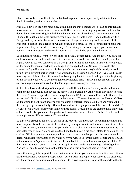Chart Tools ribbon as well with two sub tabs design and format specifically related to the item that I clicked on, in this case, the charts.

And I also have on the right hand side, a field list pane that's opened up so I can go through and make some nice customizations there as well. But for now, I'm just going to close that field list down. So it's worth bearing in mind that wherever you are clicked, you'll get those contextual ribbons. If I click on the table just here, you'll see I get a Table Tools Ribbon at the top with a Design and Layout sub ribbon so I can make any changes to the design and layout that I like. And that's because I am clicked on what is essentially a table. So, those contextual ribbons only appear when they are needed. Now when you're working on customizing a report, sometimes you may want to customize the whole reports or the overall design of the whole report.

So sometimes you may want to work on the individual components. And the tools you have for each component depend on what sort of component it is. And if we take for example, our charts Again, you can see you can work on the design and format of the charts in many different ways. So for example, you can certainly do things like change the Color Scheme, you could also change the Style if you wanted to. So let's go a bit crazy and select style eight. And you could turn it into a different sort of chart if you wanted to by clicking Change Chart Type. And I could have any one of these charts if I wanted to. Now going back to what I said right at the beginning of this section, once you've got those general principles, there is really a huge amount that you can do in reports to customize the standard reports and create your own.

So let's first look at the design of the report Overall. If I click away from any of the individual components, I'm back to just having the report Tools Design tab. And working from left to right, there is a Themes group, where I can change the overall Theme, Colors, Fonts and Effects of the report. And if I click on the drop down in the bottom of Themes, it opens up the Themes Gallery. So I'm going to go through and I'm going to apply a different theme. And let's apply ion. And there we go, I get a completely different look and feel to my reports. And then what I could do if I wanted to if I wasn't happy with some of these colors, I could go in and change those individual colors. I could also go in and change the font, so maybe I want it back to Calibri. And I could also apply some different effects if I wanted to.

So that's one aspect of the overall design of the reports. Another aspect is you might want to add new components to the reports. So for instance, you might want to add another chart. So if I click on Chart just here, it lets me choose a particular type of chart that I want without committing to a particular type of data. So let's assume that I wanted to insert a pie chart related to something. If I click on OK, it appears and then as you'll see later, what would happen next is that you would decide what data you wanted to show and how you wanted to format that pie chart and so on. But at the moment, let's just delete it. And we'll come back to those individual components later. We then have the Report group. And one of the options there underneath manage is the Organizer. And we're going to come back to that later on as is a very important part of Project 2019.

Now, if you've got this report the way that you want it, and you want to include it or insert it into another document, you have a Copy Report button. And that copies your report to the clipboard, and then you can paste it into another documents. If you're planning to print the reports, either to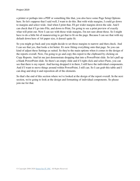a printer or perhaps into a PDF or something like that, you also have some Page Setup Options here. So let's suppose that I said well, I want to do this. But with wide margins, I could go down to margins and select wide. And when I print that, I'll get wider margins down the side. And I can check that if I go into File, and down to Print, I'm going to see a print preview of exactly what will print out. Now I can see with those wide margins, I'm not sure about those. So I might have to do a little bit of maneuvering to get that to fit on the page. Because I can see that with my default down here of A4 paper size, it doesn't quite fit.

So you might go back and you might decide to set those margins to narrow and then check. And I can see that yes, that looks a lot better. It's now fitting everything onto that page. So you can kind of adjust these Settings as suited. So they're the main options when it comes to the design of the reports overall. Now, I'm going to go and copy this report to the clipboard by clicking on Copy Reports. And let me just demonstrate dropping that into a PowerPoint slide. So let's pull up a blank PowerPoint slide. So there's an empty slide and if I right click and select Paste, you can see that there is my report. And having dropped it in there, I still have the individual components. And if I want to move things around within PowerPoint, I still can. So I can grab this table and I can drag and drop it and reposition all of the elements.

So that's the end of this section where we've looked at the design of the report overall. In the next section, we're going to look at the design and formatting of individual components. So please join me for that.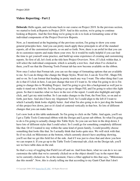### **Video: Reporting - Part 2**

**Deborah:** Hello again, and welcome back to our course on Project 2019. In the previous section, we started to look at Reports in Project 2019. And in this section, we're going to continue looking at Reports. And the first thing we're going to do is to look at formatting some of the individual components of the Project Overview Reports.

Now, as I mentioned at the beginning of the previous section, I'm going to show you some general principles here. And you can pretty much apply these principals to all of the standard reports, all of the customized reports, so on and so forth. Now, there is an awful lot that you can do to customize reports and make them your own. So it would be really helpful if you can find the time to get yourself some practice, and build up some experience of creating and customizing reports. So first of all, let's look at the title here Project Overview. Now, if I click within that, it will select the individual component, which is actually a text box. And when I've clicked in there, you'll see that the Drawing Tools Format tab has now become available on the ribbon.

Now once I select that Format tab, you can see the range of formatting options that are available to me. So I can do things like change the Shape Styles, Word Art, I can do Text Fill , Shape Fill, and so on. So I can format that heading in pretty much any way I want. The other thing that I can do is that if I click in here, I can just change that text if I want to. So what I'm going to do is I'm going to change this to Wedding Project. And I'm going to give this a background as well just to make it stand out a little bit. So I'm going to go up to Shape Fill, and I'm going to select this light green. So that it matches what we have in the rest of the report. I could also highlight and right click, and I get my mini toolbar. So I can make changes to the Font, the Font Size, so on and so forth, just here. And also I have my Alignment Tool. So I could align to the left if I want to which I actually think looks slightly better. And what I'm also going to do is just drag the bounds of this project box down, just so it's kind of centered vertically in that box. So lots of different changes that you can make there.

Let's now look at this table underneath. So I'm going to click on the Table. And again, you'll see I get a Table Tools Contextual ribbon with the Design and Layout sub ribbon. So what I'm going to do is I'm going to actually change this Table Style. So you can see here in the drop down, I have lots of different styles that I could select. So I could go for something completely different like that. Or if I wanted to stay within the same kind of green family, I could possibly choose something that looks like that. So I actually think that looks quite nice. We will stick with that. So if we click on Milestones at the bottom, which currently doesn't have anything showing, you'll see that we get this field list of the side. And if I was just to close that and show you how we can reopen it. If you go up to the Table Tools Contextual tab, click on the Design tab, you'll see we have table data on the end.

So that's a way of toggling that Field List off and on. And from there, what we can do is we can customize the table that we're currently clicked on or the object should I say in the report that we're currently clicked on. So at the moment, I have a filter applied to this that says, "Milestones due this month". Now, this is clearly telling me that according to my Gantt Chart that I don't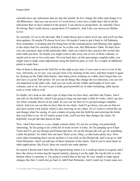currently have any milestones that are due this month. So let's change this filter and change it to All Milestones. And you can see now if I scroll down, I now have a table that's full of all the milestones that we have marked in the project. I can choose to group them. So currently I have No Group. But I could choose a group there if I wanted to. And I also can choose an Outline Level.

So currently, it's set to all sub tasks. But I could choose just to show level one, and you'll see that item updates. Or maybe I'll choose level two. Or maybe I want to put it back to All Subtasks. Now remember, everything that I'm doing here all the customizations and filtering only applies to the object that I'm currently clicked on. So in this case, this Milestones Table. So that's how you can customize data in this particular table. And you could in fact, practice this on this late tasks table just here. So maybe you might want to take away one or two of those columns, or maybe put in one or two extra ones. Or even back here, on this percentage complete table, you might want to make some adjustments using the field list pane as well. So a couple of additional points to make here.

One of them is that given the field list on the right at any time, if you want to move it out of the way, obviously, as we saw, you can just close it by clicking on the cross, and then reopen it again by clicking on the Table Data button. And when you're working on a table, don't forget that you also have a Layout Tab up here. So you can do things like change the text direction, you can sort out alignment in the table cells. And you can work out the widths and heights of rows and columns, and so on. So you've got a really good powerful set of table formatting, table layout tools to work with as well.

So finally, let's look at one other type of object that we have here, and that's the Charts. And I can still see the field list, which I am going to drag out and make a little bit wider. And I can also see what's actually shown on my chart. So you can see here we've got percentage complete ticked. And you can see that we have that on our charts. And if I go down, you can see that we also have actual work ticked, which is also showing on my charts. So if I want to switch this up and change what I'm seeing, it's just a matter of going into the field list and selecting the fields that you'd like to see. So if I untick actual work, you'll see how that changes the charts. So hopefully you get the idea based on that.

Now, what I have here is a very simple column charts. It's not too exciting, not particularly interesting. So I'm going to do a little bit of work on how it looks. So I'm jumping up to Chart Tools and I've got my Design and Format tabs here. So on the Design tab, let's go for something a little bit prettier. So what's this one here? Style seven. Okay, so that looks pretty nice. Now some other formatting that I can do up here is I can click on the Design tab, and I can go to Add Chart Elements. And I can add any of these elements of the charts. And if you've used charts in other applications, like Excel, these are exactly the same options.

So maybe I decide that I don't like the legend being where it is, I could go down to Legend, and I have the choice of removing the legend entirely, placing it on the right, the top the left or at the bottom where it currently is. I'm going to switch that to the top. So very simple to make quick changes like that. I could also go back to Add Chart Elements. And I could say I want some axis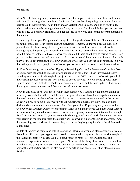titles. So if I click on primary horizontal, you'll see I now get a text box where I can add in my axis title. So this might be something like Tasks. And then let's keep things consistent. Let's go back to Add Chart Element, Axis Titles and do vertical. And this appears kind of on its side, which makes it a little bit strange when you're trying to type. But this might be a percentage that will do fine. So hopefully from that, you get the idea of how you can format different elements of that charts.

I can also go back up to Design and do things like change the Color Scheme if I wanted to. And from the Format tab, I can start to change individual elements. So maybe I decide that I don't particularly like these orange bars, they clash a bit with the yellow that we have down here. I could go up to Shape Fill, and I could select any one of these colors that I want just to make it a little bit nicer to look at. So having shown you quite a bit there about how to format reports. Let's go back to Reports again, and let's take a look at one or two of these other dashboards. Now with many of these, for instance, the Cost Overview, the way they've been set up is hopefully in a way that will appeal to most people. But of course you know how to customize that if you need to.

So Cost Overview gives you a Cost Figure, a Remaining Cost and a Percentage Complete. Now of course with the wedding project, what's happened so far is that it hasn't involved directly spending any money. So although the project is marked as 14% complete, we've still got all of the remaining costs to incur. But you should be able to see with how we come up with those figures there in the Cost Status Table. You can also see charts and this one up here, it shows us the progress versus the cost, and then the one below the cost status.

Now, in this case, once you start to look at these charts, you'll start to get an understanding of how they work. And you'll see that the blue line generally way above the orange line indicates that work tends to be ahead of cost. And a lot of the cost comes towards the end of the project. So early on, we're doing a lot of work without incurring too much cost. Now, each of these dashboards is a summary in some sense. And if we go back to Reports, again, you can look at Cost Overview, Project Overview, Upcoming Tasks, so on and so forth. And then Other Reports include something called a Resource Overview, which gives you resource statistics, for example, for all of your resources. So you can see the bride and groom's actual work. So you can see here very clearly in the resource stats, the actual work is shown in blue for the bride and groom. And the remaining work is shown in orange. So you can see they've got quite a bit of work left to do at this stage.

So lots of interesting things and lots of interesting information you can glean about your project from these different report types. And I would recommend taking some time to work through all the standard reports if you can. And also don't forget to refer to Help for additional and alternative explanations of each of the reports. Now one of the things I mentioned to you before was that I was going to show you how to create your own reports. And I'm going to do that as part of the next section where I'm also going to be setting you exercise eight so please join me for that.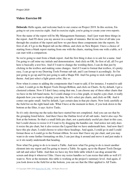### **Video: Exercise 08**

**Deborah:** Hello again, and welcome back to our course on Project 2019. In this section, I'm going to set you exercise eight. And in exercise eight, you're going to create your own reports.

Now the name of the report will be My Management Summary. And I just want three things in the report. And I'll show you my answer in a couple of minutes. But let me first of all take you through the creation of the report and how we put those three components into the reports. So first of all, if I go to the Report tab on the ribbon, and click on New Report. I have a choice of starting from a blank report starting from one with the charts, starting from one with a table, or I can start with a comparison.

So we're going to start from a blank report. And the first thing it does is to ask for a name. And I'm going to call mine my initials and demonstration. And click on OK. So first of all, all I've got here is basically a text box. And if I want to change the wording there, I can do that just by clicking in the textbox and making some changes. And if I want to format that textbox, it's pretty easy, I can go up to my Drawing Tools Format sub tab, and I can format it accordingly. So I'm just going to go up and I'm just going to add a Shape Fill. And I'm going to stick with my green theme. And just select a light green color, like so.

Now when it comes to adding the components that I want to add, if for instance, I wanted to add a chart, I could go to the Report Tools Design Ribbon, and click on Charts. So by default, I get a clustered column. Now if I don't fancy using that one, I can choose any of these other charts that we have in the left hand menu. So I could change it to a line graph, or maybe a pie chart, it really depends how you want to display your data. So let's select pie charts, and click on OK. And it comes out quite small. And by default, I get certain data in that pie charts. Now look carefully at the field list on the right hand side. What I have at the moment in there, if you look down to the bottom at the filter, it says Active Tasks.

So it's only showing me the tasks that have started but not completed. And you can see that by the grouping listed below. And then I have the Outline level of all sub tasks. And it also says No Sort at the bottom. So that's a small little pie chart, not a particularly useful pie chart in this case, but I could choose to resize it if I want to by dragging the handles out. And notice not only does it resize the pie chart, but it also resizes the Legend that we have underneath here. And now that I have this pie chart, I could choose to select these headings. And again, I could go in and I could format those so I could go to the Format ribbon. So now that I have my pie chart, and you may want to do some further formatting on this, I can just drag it around and move it and just make it so it sits neatly underneath that heading.

Now what I'm going to do is to insert a Table. And now what I'm going to do is insert another element into my report and I'm going to insert a Table. So again, up to the Report Tools Design sub tab and select Table. And then we have my first little table which I can drag around the screen and drop it wherever I like. I have my resize handles so I can resize that table as well if I want to. Now at the moment, this table is working at the project's summary level. And again, if you look down in the field list at the bottom, you can see that the filter applied is All Tasks.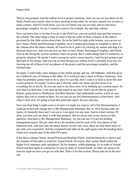They're not grouped. And the outline level is project summary. And you can see just above in the Select Fields area exactly what we have showing in that table. So we have named it so we have a name column. And if I scroll down, you can see finish, you can see start, and we also have percentage complete. So say I wanted to remove for example, the start date column.

Now you know how to do that if we go to the Field List, you can unclick start and that removes the column. The other thing to bear in mind is that the order of these columns in the table is governed by this little section down here. So in the field list right at the bottom, you can see we have Name, Finish and Percentage Complete. So if I wanted percentage to complete to show in the column after the name column, all I need to do is grab it by clicking my mouse and drag it in between those two. And you can now see that we have Name, Percentage Complete, and Finish. Now in the Group By section currently I have no group. But I could change that if I wanted to, to group by duration. Or maybe I want to group by active versus inactive. And I'm just going to put that back to No Group. And you can see that because my outline level is currently level one, it's showing me all of those level one phases of the project and the percentage complete, and the finished date.

So again, I could make some changes to the outline group, and say, All Subtasks. And that gives me a different way of looking at this table. Or I could just take it back to Project Summary. And what I'm probably gonna want to do is, once I've got this, how I want it to look is move this into a nicer position. So maybe I want to put it directly under our charts and just resize it so everything fits in nicely. So you can start to see there, how we're building up a custom report. So now that I've done that, I can open up this report at any time. And I can do that by going to Report, going down to Dashboard, and More Reports. And underneath custom, you'll see any reports that you've created in there. So you can see my DA Demonstration is listed there. And when I click on it, it's going to load that particular report. So nice and easy.

Now one final thing I might want to do here is I might not want to call it DA Demonstration, I could go in here and change this to My Management Summary like so. Now having made my report, it's basically there and I can use it, I can open it at any time. And in a later section, I'll show you how you can share it with later projects. But let me go now to my answer to this question. And there is My Management Summary. As you can see, I've got the heading management report. The pie chart shows the baseline cost for each of the four phases of the bathroom refit. And note that one phase doesn't involve any costs, there are only three slices of pie with costs associated. And the completed task table on the right again, note the heading there, which isn't actually part of the table Of course.

It has three columns Name, Actual Finish and Baseline Finish. And the hierarchy is shown and the contents of that table is sorted by Actual Finish. Of course, that's actual finish within the higher level summary tasks and phases. So for instance, within planning, it's in order of Actual Finish and then again in contractors it's also in order of Actual Finish. So that's my answer for exercise eight see how you get on with that. That's it for this section. Please join me in the next one.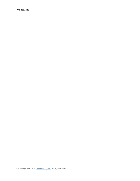Project 2019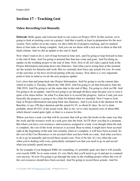# **Section 17 – Tracking Cost**

#### **Video: Recording Cost Manually**

**Deborah:** Hello again, and welcome back to our course on Project 2019. In this section, we're going to look at tracking costs on a project. And that is partly at least in preparation for the next section. Now earlier on in the course, we did a little bit of progress tracking, and we marked three or four tasks as being complete. And you can see those with a tick next to them in that left hand column. And we did an update to the end of April.

Now what I want to do is sort of leap forward in time now, and I'm going to leap forward in time to the end of June. And I'm going to pretend that June has come and gone. And I'm doing an update on the wedding project to the end of June. Now, first of all, let's take a quick look at the Project Information and jump down into Statistics. And what you're seeing here at the moment are the actuals for duration and work. But we currently don't have any actuals for cost. So none of the activities so far have involved parting with any money. Now there is a very important point to bear in mind as we do the next progress update.

Let's close that and jump back into Project Information. And I'm going to set the current date, which in reality is Tuesday, March the 19th 2019. And I'm going to set that forward to June the 19th 2019. And I'm going to set the status date to the end of May, I'm going to click on OK. And I'm going to do an update. And I'm not going to go through all these steps because you've seen it quite a few times before. So what I've done here is to record the progress. And as I said, just now basically the progress is going to be a little bit behind what we intended. Now I want to look back at Project Information and jump back into Statistics. And if you look at the duration for the Baseline, it says 190 days duration and the actual 61.43, so about 61 days. So we've done probably about 40 42% of the actual work. But so far, we've only incurred costs of about \$60, which doesn't sound quite right, or there is a reason for this.

Where you have a task cost that will be accrued, that will go into the books in the same way that the work and the resource work on a task goes into the book. So I'll show you that in a moment. But where you have cost resources, and resources assigned to a task, even though when the task is complete, the cost of the work resources is accrued. Bear in mind, it might have been accrued right at the beginning of the task, but certainly when it's complete, it will have been accrued. So the cost of the Cost Resources is not accrued when you have both on a task. And what you have to do is go in manually and record those actual costs. Now to be fair, it's very often the case when you're dealing with costs, particularly estimated cost that you need to go in and record what you actually spend anyway.

So for example if you budgeted \$400, for something, it's probably quite rare that it will actually cost exactly \$400. So to some extent, it's very likely that you'll need to go in and put in a manual cost anyway. So now I'm going to go through the tasks in the wedding project where the cost of the cost resources should have been accrued. And I'm going to record those actuals. And I'm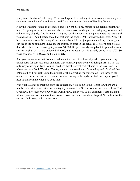going to do this from Task Usage View. And again, let's just adjust these columns very slightly so we can see what we're looking at. And I'm going to jump down to Wedding Venue.

Now the Wedding Venue is a resource, and if I right click my mouse in the details column just here, I'm going to show the cost and also the actual cost. And again, I'm just going to widen that column very slightly. And let me just drag my scroll bar across to the point where the actual task was happening. You'll notice there that that was the cost; \$3,500 is what we budgeted. Now if I hover my mouse over Wedding Venue and double click and jump to the tracking column, you can see at the bottom here I have an opportunity to enter in the actual cost. So I'm going to say that where this venue is now going to cost \$4,500. If I just quickly jump back to general you can see the original cost of we budgeted of 3500, but the actual cost is actually going to be 4500. So we're essentially 1000 over and click on OK.

And you can see now that I've recorded my actual cost. And basically, when you're entering actual costs for cost resources on a task, that's a really popular way of doing it. But it's not the only way of doing it. Now, you can see here that the actual cost rolls up to the task itself. So where we have Book Wedding Venue, you can now see that that's rolled up and it's added that 4500, so it will roll right up to the project level. Now what I'm going to do is go through the other cost resources that have been incurred according to the updates. And once again, you'll hear again from me when I've done that.

And finally, as far as tracking costs are concerned, if we go up to the Report tab, there are a number of cost reports that you could try if you wanted to. So for instance, we have a Task Cost Overview, a Resource Cost Overview, Cash Flow, and so on. So it's definitely worth having a little experiment with some of these to see if you find them useful and helpful. So that's it for this section. I will see you in the next one.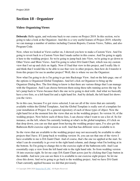# **Section 18 - Organizer**

#### **Video: Organizing Views**

**Deborah:** Hello again, and welcome back to our course on Project 2019. In this section, we're going to take a look at the Organizer. And this is a very useful feature of Project 2019, whereby we can manage a number of entities including Custom Reports, Custom Views, Tables, and also Program Code.

Now, when we looked at Views earlier on, I showed you how to make a Custom View. And I'm going to revert back to a Custom View that I made earlier in this course. And I'm going to apply it here to the wedding project. So we're going to jump back into View, we're going to go down to Other Views and More Views. And I'm going to select DA Gantt Chart, which was my custom view that I set up and click on Apply. Now if I had that view in this project, and I really like it and think that I would like to be able to use that view in other projects, then how do I transfer it from this project for use in another project? Well, this is where we use the Organizer.

Now what I'm going to do is I'm going to go into Backstage View. And on the Info page, one of the options is Organized Global Templates. And let's click on Organizer to bring up the Organizer Dialog Box. The first thing to know is that there are various things that I can manage with the Organizer. And I can choose between them using these tabs running across the top. So let's jump back to Views because that's the one we're going to deal with. And what we basically have a two lists, so a left hand list and a right hand list. And by default, the left hand list shows you the views.

So in this case, because I've got views selected, I can see all of the views that are currently available within the Global Templates. And the Global Template is really sort of a template for your installation of Project. It's a general repository of each of those types of object. Now the right hand list at the moment lists the views that are in the wedding project. So version 16, of the wedding project. Now below each of those lists, I can choose what I want to see a list of. So for instance, on the left, where I'm currently looking at what's in the global templates, if I click on that drop down, you can see that apart from having the wedding project open, I've also got the Bathroom Refit exercise eight version as well. And that has different views available to it.

So the views that are available to the wedding project may not necessarily be available to other projects that I have. If I jump back to wedding version 16, you can see that one of the views I have available to me is DA Gantt Chart. And of course, that's the one we applied at the start. So what I can do essentially is go over to the right hand column, and change what I'm looking at in the bottom. So I'm going to change this to the exercise eight of the bathroom refit. And I can essentially copy a view from the left hand side to the right hand side. So from wedding version 16 into exercise eight. So let me copy DA Gantt Chart across just by clicking that Copy button in the middle. And now you can see there it is available to our exercise eight project. So let me close this down. And we're going to go back to the wedding project. And we have DA Gantt Chart currently applied because we did that previously.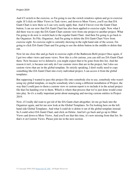And if I switch to the exercise, so I'm going to use the switch windows option and go to exercise eight. If I click on Other Views in Task views, and down to More Views, you'll see that DA Gantt Chart is now there so I can very easily apply that. And if I hover over the Gantt Chart button, I can see now that DA Gantt Chart has also been applied to exercise eight. Now what I did there was to copy the DA Gantt Chart custom view from one project to another project. What I'm going to do now is switch back to the regular Gantt Chart. And then I'm going to go back to the Organizer. So File, Organizer, And I'm going to delete the DA Gantt Chart View from exercise eight. So exercise eight is currently showing in the right hand side of the screen. I'm going to click DA Gantt Chart and I'm going to use the delete button in the middle to delete that out.

Now let me close this and go back to exercise eight of the Bathroom Refit project Once again, if I got two other views and more views. Now this is a bit curious, you can still see DA Gantt Chart there. Now because we've deleted it, you might expect that to be gone from this list. And the reason it isn't, is because not only do I see custom views that are in the project, but I also see custom views that are in the global template. So strictly speaking, I don't really need to copy something like DA Gantt Chart into every individual project, I can access it from the global templates.

But supposing I wanted to pass this project file onto somebody else to use, somebody who wasn't using my global template, or maybe somebody who's using a different installation of Project, the way that I could pass to them a custom view or custom report is to include it in the actual project file that I'm handing over to them. Which is where that process that we've just done would come into play. So it's a really important point about managing and moving custom entities in Project 2019.

Now, if I really did want to get rid of the DA Gantt chart altogether, let me go back into the Organizer again, and let me now look at the Global Templates. So I'm looking here on the left hand side Global Templates. And what I could do is delete it out of the global template instead. So I could select DA Gantt Chart, and click on Delete. And let's go back and go up to Other Views and down to More Views. And you'll see that this time, it's now missing from that list. So that's it on Custom Views. Please join me in the next section.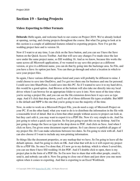## **Section 19 – Saving Projects**

#### **Video: Exporting to Other Formats**

**Deborah:** Hello again, and welcome back to our course on Project 2019. We've already looked at opening, saving, and closing projects throughout the course. But what I'm going to look at in this section is a couple of additional features related to exporting projects. Now I've got the wedding project here and is version 16.

Now if I want to at any time, I can click on the Save button, and you can see I have the Save button on the Quick Access Toolbar. And that will save any changes I've made since the last save under the same project name, so SSI wedding 16. And as we know, because this works the same across all Microsoft applications, if we wanted to say save this project as a different version, or give it a different name, you can do that by going into the backstage area. So File, and you have a Save As option just here. You can then go through and select a location in which to save your project files.

So again, I have various different options listed and yours will probably be different to mine. I could choose to save into OneDrive, and I've got two there one for business and one for personal. I could save into SharePoint, I could save into this PC. So if I wanted to save it to my hard drive, this would be a good option. And Browse at the bottom will also take me directly into my local drives where I can browse for an appropriate folder to save it into. Now most of the time when you're saving a project file, and you can see the file extension down here it says save as type .mpp. And if I click that drop down, you'll see all of those different file types available. But MPP is the default and MPP is the one that you're going to use the majority of the time.

Now, in order to work on a Microsoft Project File, you do need a copy of Microsoft Project on your PC. If on the other hand, what you want to do is to distribute the information in the file with a reasonable level of detail. But in a form that other people without access to project can look at, but they can't edit it, you may want to export it to a PDF file. Now it's very simple to do. And I'm just going to select a quick save location. So I'm just going to put this on my desktop. And I'm just going to change the Save as type in the drop down to PDF. And click on Save. And when I click on Save, I'm given some document export options. So I can choose to publish all pages of my project file. Or I can make selections between two dates. So I'm going to stick with all. And I can also choose if I want to include any non-printing information.

So things like the document properties, or any markup that we have. So I'm going to leave all the default options. And I'm going to click on OK. And what that will do is it will export my project file to a PDF file. So once I've done that, if I now go to my desktop, which is where I saved this, you can see there I have SSI wedding 16 dot PDF. And if I double click to open, there is my project plan in the form of a PDF file. So I'm now free to share that with other people, email it, send it, and nobody can edit it. Now I'm going to close out of there and just show you one more option when it comes to exporting. And that is exporting to an Excel Workbook.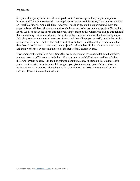So again, if we jump back into File, and go down to Save As again, I'm going to jump into browse, and I'm going to select that desktop location again. And this time, I'm going to save it as an Excel Workbook. And click Save. And you'll see it brings up the export wizard. Now the export wizard will basically guide you through the process of exporting your project file out into Excel. And I'm not going to run through every single stage of this wizard you can go through it if that's something that you need to do. But just note here, it says this wizard automatically maps fields in project to the appropriate export format and then allows you to verify or edit the results. So you can go through and do that and I'll just click on Next. And the next step is to select the data. Now I don't have data currently in a project Excel template. So I would use selected data and then work my way through the rest of the steps of that export wizard.

Now amongst the other Save As options that we have, you can save as tab delimited text files, you can save as a CSV comma delimited. You can save as an XML format, and lots of other different formats in here. And I'm not going to demonstrate any of these on this course. But if you're familiar with those formats, I do suggest you give them a try. So that's the end on our review of the other export options that you have within Project 2019. That's the end of this section. Please join me in the next one.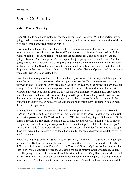# **Section 20 - Security**

### **Video: Project Security**

**Deborah:** Hello again, and welcome back to our course on Project 2019. In this section, we're going to take a look at a couple of aspects of security in Microsoft Project. And the first of them is to see how to password protect an MPP file.

Now in order to demonstrate this, I'm going to save a new version of the wedding project. So we're currently on wedding version 16. And I'm going to save this as wedding version 17. And what I'm going to do is I'm going to jump into the backstage area, and click on Save As I'm going to browse. And for argument's sake, again, I'm just going to select my desktop. And I'm going to save this as version 17. So I'm just going to make a minor amendment to that file name. So before we hit the Save button, I want to do one small thing first. I'm going to go to this tools drop down at the bottom of the dialog box, click it and select General Options. And this is where you get the Save Options dialog box.

Now, I want you to ignore that first checkbox that says always create backup. And then you can put either no password, one password or two passwords on the file. At the moment, it has no passwords, and it has no password protection. So anybody can open the project and anybody can change it. Now, if I put a protection password on, then somebody would need to know that password in order to be able to open the file. And if I put a right reservation password on, then what that means is that in order to make changes to the project, somebody would need to know the right reservation password. Now I'm going to put both passwords on in a moment. So I'm going to put a password on both of these, and I'm going to make them the same. You can make them different if you want to.

So I'm going to say PA55wd, which is basically a corruption of the word password. So again, PA55wd. And click on OK. And it's asking me to confirm so PA55wd. And then again, the right reservation password, so PA55wd. And click on OK. And now I'm going to click on Save. So I'm going to reopen that file again, by going back to File, down to Open, I'm going to go to browse and pick up that file from my desktop. And there it is at the top. So if I double click, and you'll see it says that this file is protected, and it requires a password in order for me to be able to open it. So let's type in that password. And then it asks me for the second password. And there we go, my file is open.

Now I'm going to go back into Save As again. So let's go to File, down to Save As, I'm going to browse to my Desktop again, and I'm going to save another version of this and do it slightly differently. So let's save it as 17A and click on Tools and General Options. And you can see it's carried over that password protection. So I could choose to remove that if I wanted to. So I'm actually going to remove the password. And this time select Read Only Recommended and click on OK. And save. Let's close that down and reopen it again. So File, Open, I'm going to browse to my location. And I'm going to select the top one there 17A. And you'll see I get prompted. It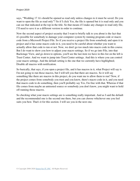says, "Wedding 17 A's should be opened as read only unless changes to it must be saved. Do you want to open the file as read only"? So if I click Yes, the file is opened but it is read only and you can see that indicated at the top in the title. So that means if I make any changes to read only file, I'll need to save it as a different version in order to continue.

Now the second aspect of project security that I want to briefly talk to you about is the fact that it's possible for somebody to damage your computer system by running program code or macro code from a Microsoft Project File. So if you receive a project file from somebody and open it in project and it has some macro code in it, you need to be careful about whether you want to actually allow that code to run or not. Now, we don't go too much into macro code in this course. But I do want to show you how to adjust your macro settings. So if we go into File, into that Backstage View, and go down to options, you'll see the last item we have in this list on the left is Trust Center. And we want to jump into Trust Center settings. And this is where you can control your macro settings. And the default setting is the one that we currently have highlighted; Disable all macros with notification.

So basically, that says, if you open a project file, and it has macros in it, what Project will say is I'm not going to run those macros, but I will tell you that there are macros. So it will say something like there are macros in this project, do you want me to allow them to run? Now, if the project comes from somebody you trust and you know, there's macro code in it, and you need that macro code to do something, then you'll probably say Yes, I'm fine with that. Whereas if that file comes from maybe an untrusted source or somebody you don't know, you might want to hold off running those macros.

So checking what your macro settings are is something really important. And as I said the default and the recommended one is the second one there, but you can choose whichever one you feel suits you best. That's it for this section. I will see you in the next one.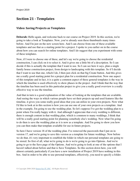## **Section 21 - Templates**

#### **Video: Saving Projects as Templates**

**Deborah:** Hello again, and welcome back to our course on Project 2019. In this section, we're going to take a look at Templates. Now, you've already seen these thumbnails many times before. And I'm just on the new screen here. And I can choose from one of these available templates and use that as a starting point for a project. I spoke to you earlier on in the course about how you can search for online templates. And I do suggest that you experiment with some of these templates.

Now, if I were to choose one of these, and let's say we're going to choose the residential construction, I can click on it to select it. And it gives me a little bit of a description. So I can decide if this is actually the template that I want to use. So I can see here it says, plan a single family house construction project, from design to landscaping with this template. So if I decide that I want to use that one, which I do, I then just click on that big Create button. And this gives me a really good starting point for a project plan for a residential construction. Now one aspect of this template and in fact, it is a quite a common aspect of these general templates is the way in which the timeline is used effectively to show phases in the project. And I think that the way that the timeline has been used in this particular project to give you a really good overview is a really effective way to use the timeline.

And that in turn is a good explanation of the value of looking at the templates that are available. And seeing the ways in which various people have set their projects up and used features like the timeline, it gives you some really good ideas that you can utilize in your own projects. Now what I'd like to look at in this section is how you can use one of your own projects as a template. And in the example, I'm going to use the wedding plan. So let's suppose I've got the wedding plan to a point where I'm really happy with it. And although I appreciate that every wedding is different, there is enough content in that wedding plan, which is common to many weddings, I think that will be a really good starting point for planning somebody else's wedding. Now what I'm going to do then is save the wedding plan as it is now as a template. And I'm going to show you how you can then make that template available for use in future projects.

So here I have version 18 of the wedding plan. I've removed the passwords that I put on in version 17, and we're going to save this version as a template for future weddings. Now before we do that, it's very important to establish the folder in which our personal templates are going to be stored. So first of all, what we're going to do is we're going to go into Options. And we're going to go to the Save page of the Options. And we're going to look at one of the options that I haven't talked about before and that is Save Templates. So this section down here, you will almost certainly particularly if you have a new installation of Project 2019 have nothing in this box. And in order to be able to use personal templates, effectively, you need to specify a folder.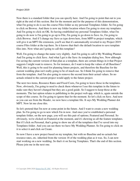Now there is a standard folder that you can specify here. And I'm going to point that out to you right at the end of this section. But for the moment and for the purpose of this demonstration, what I'm going to do is use the course Files folder as my personal Templates folder. So I'm going to click on Browse. And there is now my folder location where I'm going to store my templates. And I'm going to click on OK. So having established my personal Templates folder, what I'm going to do now is I'm going to go up to File, I'm going to go down to Save As, I'm going to click Browse. And if I change my Save as type down here, from MPP to project template, which will give it an MPT file extension, you'll see that it's automatically reverted to my Project 2019 course Files folder at the top there. So it knows that that's the default location to save template files into. Now what am I going to call this template?

Well, I'm going to change the name very slightly. And I'm going to call it My Wedding Planner. And I'm going to click Save. And what I get is the Save As template dialog box. Now although I'm saving the current version of that plan as a template, there are certain things in it that Project suggests I might want to remove. So for instance, do I want to keep the values of all Baselines? Well, this is going to be used for planning future projects, and therefore the Baseline for the current wedding plan isn't really going to be of much use. So I think I'm going to remove that from the template. And I'm also going to remove the second item their actual values. So no actuals related to the current project would apply to the future project.

The next two items, Resource Rates and Fixed Costs, I'm going to leave those in the templates. Now, obviously, I'm going to need to check them whenever I use this template in the future to make sure they haven't changed but they are a good guide. So I suggest to keep those at the moments. The last option relates to publishing to the project web app, which is, again outside the scope of this course. So I'm going to ignore that for the moment. So let's click on Save. And now as you can see from the Header, we now have a template file. It says My Wedding Planner dot MPT. Now let me close this.

So let's pretend that I'm now at some point in the future. And I want to create a new wedding plan. So I'm going to go to new which I'm in now. And once you've established a personal template folder, on the new page, you will see this pair of options; Featured and Personal. So obviously, we're clicked on Featured at the moment, and it's showing us all the feature templates. But if I click on Personal, that's going to show me all of the templates that I've saved into my Templates folder. And you can see there we have My Wedding Planner. So I'm going to click on it to select it and click on Create.

So now I have a new project based on my template, but with no Baseline and no actuals but resource rates, etc. inherited from the version 18 of the wedding plan as it was. So, I can now start working on a new wedding. So that's it on Saving Templates. That's the end of this section. Please join me in the next one.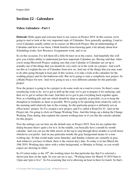## **Section 22 - Calendars**

#### **Video: Calendars - Part 1**

**Deborah:** Hello again and welcome back to our course on Project 2019. In this section, we're going to start to look at the very important topic of Calendars. Now generally speaking, I tend to cover Calendars usually earlier on in courses on Microsoft Project. But an understanding of Calendars and how to use them, I think benefits from knowing quite a bit already about how Scheduling works, how Resource Assignments work, and so on.

So on this occasion, I've left them till a little bit later on in the course. And hopefully this will give you a better ability to understand just how important Calendars are. Having said that, when you're using Microsoft Project, making sure that your Calendar or Calendars are set up is actually one of the things that you should do very early on in the work on a project. And you'll see this as I explain the use of Calendars from now on. And one of the things that you may want to do after going through at least part of this section, is to take a look at the calendars for the wedding project and for the bathroom refit. But we're going to start a completely new project. So a Blank Project for now. And we're going to use a very different calendar for this particular project.

Now the project is going to be a project to do some work on a road in a town. So there's some resurfacing work to do, we've got to drill up the road, we've got to prepare it for surfacing, and then we've got to surface the road. And then we've got to put everything back together again. Now as a building job, and one which should be done as quickly as possible, so as to keep the disruption to residents as short as possible. We're going to be operating from relatively early in the morning until relatively late in the evening. So this particular project is definitely not an office hours' project. So I've created a new project, and I've called it Road Fix 01. And on the Project tab, I'm going to click on Change Working Time. And this brings up a dialog the Change Working Time dialog, that explains the current working time or if you like the current calendar for this project.

Now the settings you see here are the default ones in Project 2019. Now let me explain this dialog because there's quite a lot in it. In the middle, you basically have a month by month calendar. And you can use the little arrows at the top to step through those months or scroll down whichever you prefer. And on any particular month, the gray background means it's a nonworking day. So that would make sense Saturday, and Sunday columns are currently in gray. And whatever you have in black, there is the current day's date. So today is in fact March the 19th 2019. Working days show with a white background, so Monday to Friday, as you would expect are showing in white.

So if I select today so the  $19<sup>th</sup>$ , the working times for that particular day that I've selected a shown just here on the right. So you can see it says, "Working times for March 19 2019 8am to 12pm and 1pm to five". So I'm assuming that we're allowing an hour in there for lunch. So that's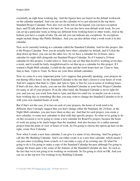essentially an eight hour working day. And the figures here are based on the default workweek on the calendar standard. And you can see the calendar we've got selected in the top there; Standard Project Calendar. Now also over on the left on the legend, you can have exception days, and I'll talk about those a bit later on. You can also have non-default work week. So you can set up a particular week as being say different from working hours to other weeks. And at the bottom you have a couple of tabs. On one tab you can indicate any exceptions. So exceptions might include things like Public Holidays. And you can also define what a work week is in this calendar.

Now we're currently looking at a calendar called the Standard Calendar. And for this project, this is the Project Calendar. Now you do actually have three calendars by default, and if I click the drop down up there, you can see the other two. So we have a calendar for 24 hours, and a calendar for night shift alongside our Standard Project Calendar. So if I wanted a 24 hour calendar for this project, I could select it. And you can see that that involves working seven days a week, and it would be fairly straightforward to set that up as a calendar for this project. If I wanted a Night Shift calendar, I could do the same and the work hours here are 12am to 3am, 4am to 8am, 11pm to 12am. So those are your three default calendars.

Now we come to a very important point. Let's suppose that generally speaking, your projects do run during office hours. So the Standard Calendar is the one that's closest to your hours of work. And let's suppose that 8am to 12pm, and 1pm to 5pm, is fine for you in terms of working hours. If that's all true, then clearly, you can use this Standard Calendar as your basic Project Calendar for many or all of your projects. If on the other hand, the Standard Calendar is never right for you, and you say you work from 9am to 1pm, and then two until six, or maybe you do a seven hour working day or something like that, you may want to change the Standard Calendar to fit in with your own standard hours of work.

But if that's not the case, if in fact on each of your projects, the hours of work tend to be different, then I strongly suggest that you don't change either the Standard, the 24 hour, or the Night Shift calendars, you just leave them as they are. And that for each project, you create a new calendar, or some new calendars to deal with that specific project. So what we're going to do on this occasion is we're going to create a new calendar for Road Fix project, because the hours of work are going to be much longer than the standard. And also because it's a rather unusual project from the point of view of hours of work. So I'm going to choose the option up here on the right, create New Calendar.

Now when I create a new base calendar, I can give it a name of my choosing. And I'm going to call this My Building Calendar. And I can either create it as a new base calendar, which means I can just enter everything from scratch, or I can make a copy of an existing one. Or what I'm going to do is I'm going to make a copy of the Standard Calendar because although I'm going to change the hours quite a bit, some of the features of the Standard Calendar are fine. So such as the fact that we're not going to be working on weekends. So I'm going to click on OK. And you can see at the top now I'm working in my Building Calendar.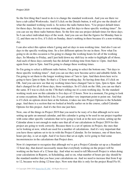So the first thing that I need to do is to change the standard workweek. And you see there we have a tab called Workweeks. And if I click on the Details button, it will give me the details of what the standard working week is. So notice the radio button here, "Use project default times for these days, Set days to non-working time, and Set days to these specific working times". So you can see my three radio buttons there. So the first one use project default times for these days. So I can select individual days of the week. And you can see that the figures for Monday 8am to 12, and then one to five, if I click on Sunday, there's nothing in there because it's a non-working day.

I can also select this option where I going and set days to non-working time. And also I can set days to the specific working time. So a few different options for me in there. Now what I'm going to do on this occasion is I'm going to change the working hours for all of the working days. So Monday to Friday, and I just held down my shift key in order to highlight all of those. And each of these days currently has the default working time from 8am to 12pm. And then again from 1pm to 5pm. And I'm going to change these working times.

So I'm going to select a different radio button, I'm going to select the bottom one; "Set days to these specific working times". And you can see they now become active and editable fields. So I'm going to set them to the longer working times of 7am to 1pm. And then down here we're going to have 2pm to 8pm. So that's a 12 hour working day. So having done that, if I click on OK. And you can now see that my working times have changed 7am to 1pm, 2pm to 8pm. And that's changed for all of those days, those weekdays. So if I click on the 18th, you can see that's the same. If I was to click on the 17th that's telling me it's a non-working day. So the standard working week now on this calendar is five days of 12 hours. Now in a moment, I'm going to look at some exceptions. But before I do, I've got another very important point to point out. And that is if I click on options down here at the bottom, it takes me into Project Options to the Schedule page. And there is a section that we looked at briefly earlier on in the course, called Calendar Options for this project. And it's the first one just here.

Now, one of the things in Project 2019 that you need to be wary of is that although we're now setting up quite an unusual calendar, and this calendar is going to be used in our project together with some other specific variations that we're going to look at in the next section, setting up the Calendar alone is not enough to make sure that all of our calculations in Project 2019 for this project are going to work correctly. Because there is a set of options in Project, the ones that we're looking at now, which are used for a number of calculations. And it's very important that you have those options set to tie in with the Project Calendar. So for instance, one of them here, hours per day, is set at eight. And if we leave that set at eight, we're going to find some inconsistencies in the calculations that Project does.

Now it's important to recognize that although we've got a Project Calendar set up as a Standard 12 hour day, that doesn't necessarily mean that everybody working on the project will be working on the basis of a 12 hour day. And what we need to tell Microsoft Project is when doing your calculations in Reports, in Scheduling, and so on, what number of hours per day should be the standard number that you base your calculations on. And we need to increase that from 8 up to 12, because we're doing 12 hour days. Now note that this is only for the project Road Fix 01.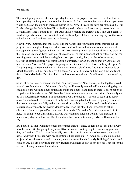This is not going to affect the hours per day for any other project. So I need to be clear that the hours per day on this project, the standard hours is 12. And therefore the standard hours per week would be 60. So I'm going to increase that up to 60. Now I'll leave the days per month as 20. But I'll also change the Default Start Time. So if any tasks where we don't specify a start time, the Default Start Time is going to be 7am. And I'll also change the Default End Time. And again, if we don't specify an end time for a task, it defaults to 8pm. I'll leave the starting day for the week, a Sunday and the fiscal year starting in January.

Now it's very important that those are set to the values that you want to apply throughout the project. Even though as I say individual tasks, and we'll see individual resources may not all correspond to those figures and click on OK. Now having set up our Standard Working week in the Building Calendar. Let's now look at exceptions. It's very important not only that you get the working week set up and the working hours set up correctly, that you also scheduling any relevant exceptions before you start planning a project. Now an exception that I want to set up here is Easter Monday. This project is going to run either side of the Easter holiday this year. So I'm going to go to March, which I'm already on. That's a bit of luck. And Easter Monday is on March the 25th. So I'm going to give it a name. So Easter Monday and the start time and finish time of both March the 25th. And I also need to make sure that that's indicated as a non-working day.

So if I click on Details, you can see that it's already selected Non-working at the top there. And also it's worth noting that if this was half a day, so if we only wanted half a nonworking day, we could select the working times option and put in the times to and from in there. But I'm happy to keep that as it is and click on OK. Now by default when you set up an exception, it's actually set up as a Recurring Exception. But in doing that what Project 2019 does is to set it up to recur once. So you have here recurrence of daily and if we jump back into details again, you can see their recurrence pattern daily and it starts on Monday, March the 25th. And it ends after one recurrence, so you only get Easter Monday once. If on the other hand, I wanted to set up Christmas. So let me go to December and click on the 25th and let's set that up as well. So in here, I'm going to put Christmas Day. And we're going to click on Details. And again, it's a nonworking day, which is fine. But I could say that I want it to recur yearly, on December the 25th.

But I could say that I want it to occur more times than just once. So let's do this for quite a way into the future. So I'm going to say after 10 occurrences. So it's going to recur every year, and they will end in 2028. So what I normally do at this point is set up any other exceptions that I have. And when I finished with my exceptions, I can click on OK. And now let me go into the project information option and change my calendar from Standard to My Building Calendar and click on OK. So I'm now using that new Building Calendar as part of my project. That's it for this section. Please join me in the next one.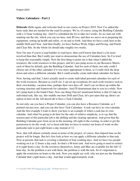#### **Video: Calendars - Part 2**

**Deborah:** Hello again, and welcome back to our course on Project 2019. Now I've added the basic tasks that are needed for the road fix project. We're, of course, using the Building Calendar with a 12 hour working day. And I've scheduled the fix to take two weeks. So we start out with marking out the site, which you can see here, task ID two, and then we move on to preparing the equipment, setting up health and safety, so on and so forth. And then we have a task here in the middle Drill and Clear. And then finally, we have Surface Work, Edges and Paving, and Finish and Clear Site. So the whole lot should take roughly two weeks.

Now I'm sure if you're a road builder or road layer, then you'll know that there's a lot more involved than that. But I really just want to demonstrate the use of Calendars here. So I've tried to keep this reasonably simple. Now the first thing to point out is that when I added the resources, the work resources to this project, and let's just jump across to our Resource Sheets, each of them by default, gets the Building Calendar. And for each of them, not only could I choose one of the other calendars if it was more appropriate to them, so I could click the drop down and select a different calendar. But I could actually create individual calendars for them.

Now, having said that, I don't actually need to create individual personal calendars for each of the work resources. Because as you'll see, I can set up exceptions for each work resource such as their own holiday, vacation time, perhaps their own days off. And I can set those up within the existing structure and framework for calendars. And I'll demonstrate that to you in a while. Now let's jump back to the Gantt Chart. Now one thing I haven't mentioned before is that if I take an individual task, like say, this middle one here Drill and Clear, let's just open that up, there's an option in here on the Advanced tab to have a Task Calendar.

So not only can you have a Project Calendar, you can also have a Resource Calendar, as I pointed out just now, and you can also have Task Calendars. A task can have its own calendar. And the first example I want to show you here is an example of where a task has its own calendar. And what I'm going to do here for the sake of relative simplicity, is to say that the noisiest part of this particular job is the drilling and the clearing operation. And given that the Building Calendar goes from seven in the morning, till eight in the evening, in order to get the permission to do this work, we've been told that we have to restrict our hours of work on this particular task to just eight hours a day instead of 12.

Now, that will almost certainly mean in terms of the project, of course, that elapsed time on the project will be longer. But let's first look at how we can apply a different calendar to that task. Now at present, that task is covering a duration of four working days. And we have two people working on it at 12 hours a day each. So that's a 96 hour task. And we're going to need to restrict it to eight hours a day. So the resources themselves, Jenny and Max are available for the full 12 hour day. So the problem is not with them, the problem is with the task. So it's important to apply the restriction on hours to the task. Now you might say well, why not just use the Standard Calendar that's eight hours a day. And that would approximately work.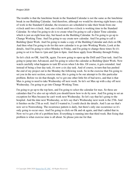The trouble is that the lunchtime break in the Standard Calendar is not the same as the lunchtime break in our Building Calendar. And therefore, although we would be showing eight hours a day of work in the Standard Calendar, the resources are scheduled to take their break from one o'clock until two o'clock. And, one o'clock until two o'clock is working time in the Standard Calendar. So what I'm going to do is to create what I'm going to call a Quiet Time calendar, which is just an eight hour day, but based on the Building Calendar. So I'm going to go up to Change Working Time. And I'm going to say create new calendar. And I'm going to call it Building Quiet Work. And I'm going to make a copy of the Building Calendar and click on OK. And then what I'm going to do for this new calendar is to go into Working Weeks, Look at the details, And I'm going to select Monday to Friday, and I'm going to change these times So it's going to set it to 9am to 1pm and 2pm to 6pm. And those apply from Monday through Friday.

So let's click on OK. And Ok, again. I'm now going to open up the Drill and Clear task. And I'm going to jump into Advanced, and I'm going to select the calendar as Building Quiet Work. Now watch carefully what happens to task ID seven when I do this. Of course, it gets extended. And instead of being a four day task, it's now a six day task. And of course, in turn that has pushed the end of my project out to the Monday the following week. So in the exercise that I'm going to set you in the next section, exercise nine, this is going to be our attempt to fix this particular problem. Before we do that though, we've got one other little bit of bad news, and that is that Max is going to need to take Wednesday off next week. So let's set Max up with a day off next Wednesday. I'm going to go into Change Working Time.

I'm going to go up to the top here, and I'm going to select the calendar for max. So these are calendars that I've also set up which you should know how to do by now. And I'm going to set an exception for Max because he can't work next Wednesday. So let's say that he's going to the hospital. And the date next Wednesday, so let's say that's Wednesday next week is the 27th. And it finishes on the 27th as well. And if I wanted to, I could check the details. And I can see that's now set to Nonworking. The recurrence pattern is daily, but there's only one occurrence so it's only going to occur once. And I'm going to click on Ok and ok again, and that's added that in. Now we've got a bit of a problem here. Everything is running into that third week. But fixing that problem is what exercise nine is all about. So please join me for that.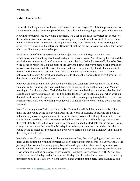### **Video: Exercise 09**

**Deborah:** Hello again, and welcome back to our course on Project 2019. In the previous section I mentioned exercise nine a couple of times. And this is what I'm going to set you in this section.

Now in the previous section, we had a problem. We'd set up the road fix project but because of the need to restrict hours of work on the noisiest part of the job, which was task ID seven here, the drill and clear task two hours, just eight hours a day from nine to one in the morning, and again, from two to six in the afternoon. Because of that the project has run over into a third week, which we didn't really want to happen.

In addition, one of the key resources on the project Max has had to go to hospital next Wednesday, and I'm talking about Wednesday in the second week. And allowing for that and the restriction on time for work, we're running two and a bit days behind where we'd like to be. Now we're going to resolve that on the basis of the very good news that we've been given permission to work over the weekend. So this is the weekend which is spanned by that drill and clear task, we can work those same restricted hours nine to one, and again, from two till six on both Saturday and Sunday. So what you need to do is to change the working time so that working on that Saturday and Sunday is allowed.

Now beware because in effect, you have a few like two calendars involved there. The Project Calendar is the Building Calendar. And that is the calendar, of course that Jenny and Max are working to. But there is also a Task Calendar. And that is the building quiet time calendar. And even though that was based on the Building Calendar, that's the one that dictates when work on that task is allowed to happen so bear that in mind when you're going through this exercise. Just remember that what you're looking to achieve is a situation where work is being done over that weekend.

Now I'm starting you off with the file exercise 09 A and you'll find that in the exercise folder, that's the one you're going to start with. And my answer is an exercise 09 B. And I'm going to talk about my answer in just a moment. But just before I do one other thing, if you find it more convenient to use dates which are nearer to the date when you're working through this course, then that's totally fine. When you open 09 A, you can change the start date for the project. So just change it to whatever the preceding Monday from where you are now is. And then the idea is you're trying to make this project fit into a two week period. So start on a Monday, and finish on the Friday at the latest.

Now of course, if you do make that change to the start date, then that's going to affect any other dates you're setting up within the project. So don't forget about that as well. So anyway, that's the job to get that weekend working going. Now if you do get that weekend working sorted, you should find that Max's day to go to the hospital is actually not going to cause any problems at all. Now let's take a look at one aspect of my answer. Now here is my answer in 09 B. As you can see, it starts on a Monday, and it finishes on a Friday. But the point I want to make to you a very important point is this. Once we've got that weekend working going here, there's Saturday and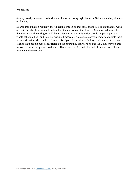Sunday. And you've seen both Max and Jenny are doing eight hours on Saturday and eight hours on Sunday.

Bear in mind that on Monday, they'll again come in on that task, and they'll do eight hours work on that. But also bear in mind that each of them also has other time on Monday and remember that they are still working on a 12 hour calendar. So those little tips should help you pull the whole schedule back and into our original timescales. So a couple of very important points there about a situation where a Task Calendar is if you like a subset of a Project Calendar. And, how even though people may be restricted on the hours they can work on one task, they may be able to work on something else. So that's it. That's exercise 09, that's the end of this section. Please join me in the next one.